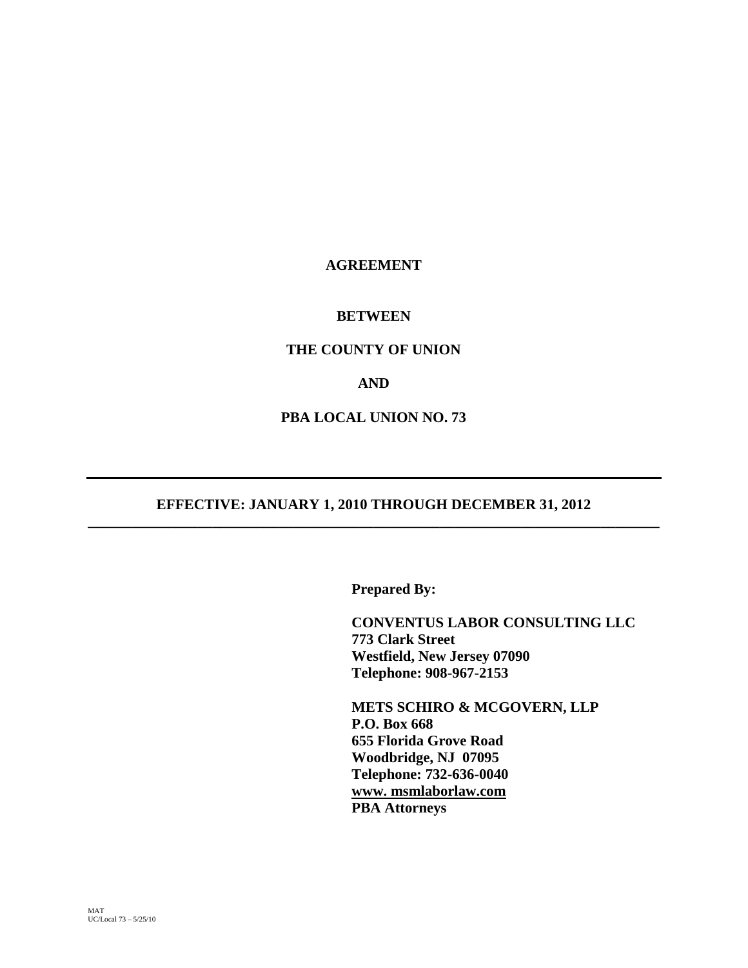# **AGREEMENT**

# **BETWEEN**

# **THE COUNTY OF UNION**

# **AND**

# **PBA LOCAL UNION NO. 73**

# **EFFECTIVE: JANUARY 1, 2010 THROUGH DECEMBER 31, 2012 \_\_\_\_\_\_\_\_\_\_\_\_\_\_\_\_\_\_\_\_\_\_\_\_\_\_\_\_\_\_\_\_\_\_\_\_\_\_\_\_\_\_\_\_\_\_\_\_\_\_\_\_\_\_\_\_\_\_\_\_\_\_\_\_\_\_\_\_\_\_\_\_\_\_\_\_\_\_**

 **Prepared By:** 

 **CONVENTUS LABOR CONSULTING LLC 773 Clark Street Westfield, New Jersey 07090 Telephone: 908-967-2153** 

 **METS SCHIRO & MCGOVERN, LLP P.O. Box 668 655 Florida Grove Road Woodbridge, NJ 07095 Telephone: 732-636-0040 www. msmlaborlaw.com PBA Attorneys**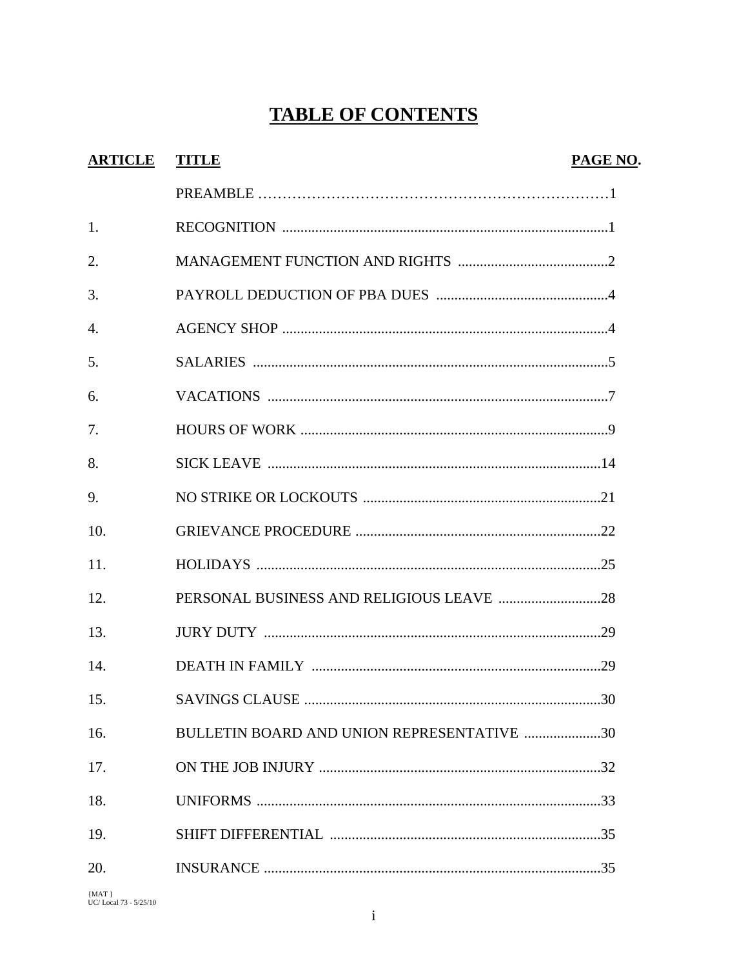# **TABLE OF CONTENTS**

| <b>ARTICLE</b> | <b>TITLE</b>                               | PAGE NO. |
|----------------|--------------------------------------------|----------|
|                |                                            |          |
| 1.             |                                            |          |
| 2.             |                                            |          |
| 3.             |                                            |          |
| 4.             |                                            |          |
| 5.             |                                            |          |
| 6.             |                                            |          |
| 7.             |                                            |          |
| 8.             |                                            |          |
| 9.             |                                            |          |
| 10.            |                                            |          |
| 11.            |                                            |          |
| 12.            |                                            |          |
| 13.            |                                            |          |
| 14.            |                                            |          |
| 15.            |                                            |          |
| 16.            | BULLETIN BOARD AND UNION REPRESENTATIVE 30 |          |
| 17.            |                                            |          |
| 18.            |                                            |          |
| 19.            |                                            |          |
| 20.            |                                            |          |

 $\left\{\rm{MAT} \atop \rm{UC/}\rm{Local}\,73$  - 5/25/10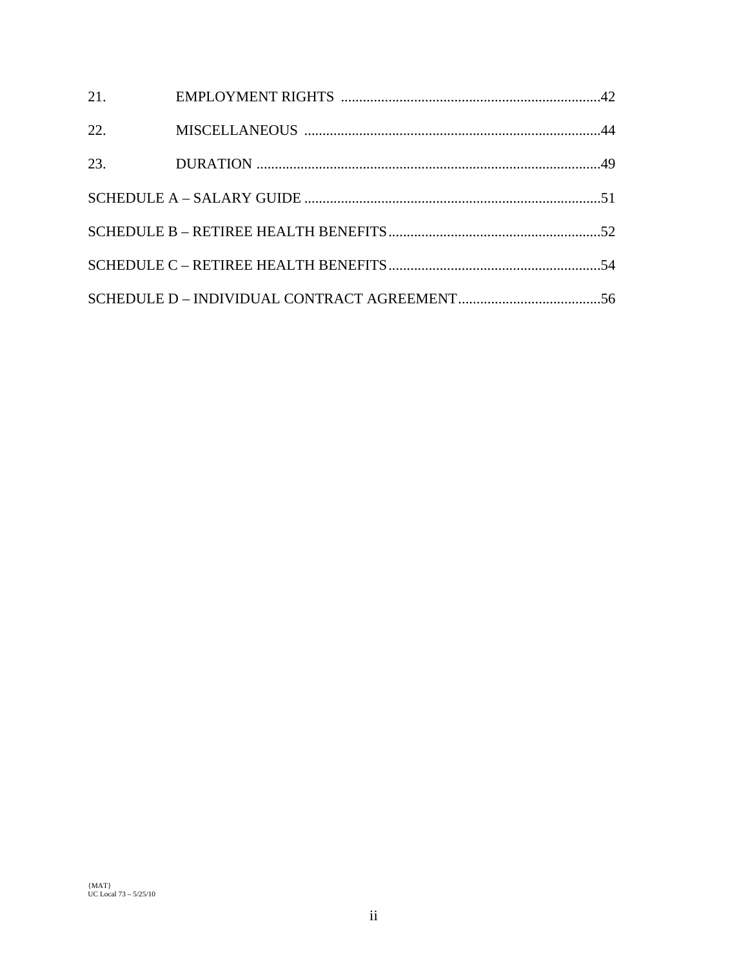| 21. |  |
|-----|--|
| 22. |  |
| 23. |  |
|     |  |
|     |  |
|     |  |
|     |  |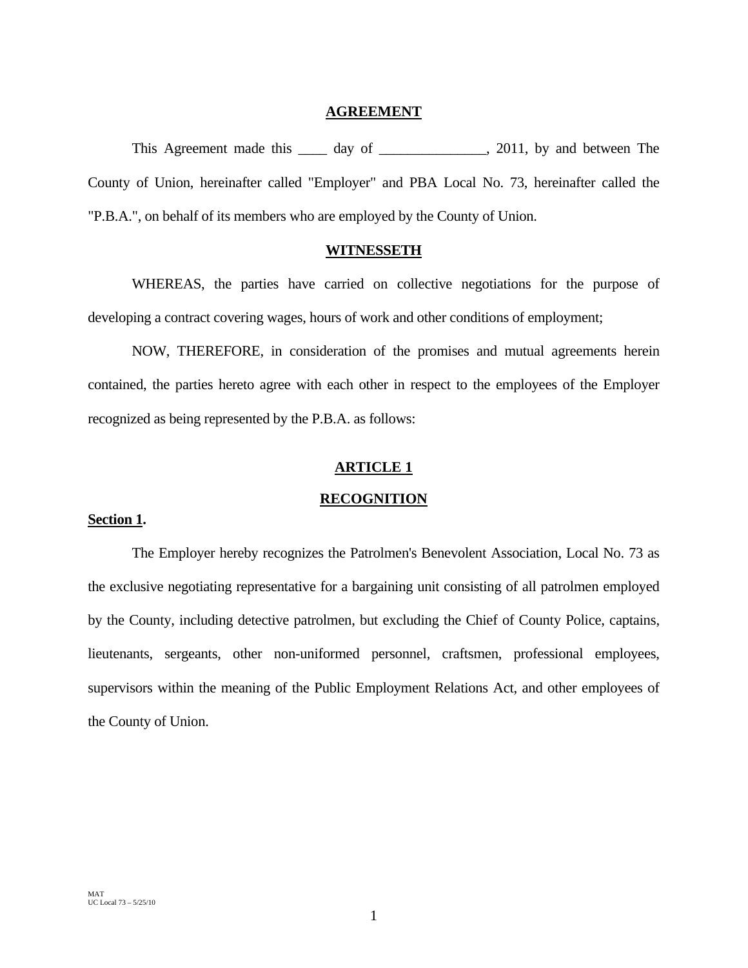### **AGREEMENT**

This Agreement made this \_\_\_\_\_ day of \_\_\_\_\_\_\_\_\_\_\_\_\_, 2011, by and between The County of Union, hereinafter called "Employer" and PBA Local No. 73, hereinafter called the "P.B.A.", on behalf of its members who are employed by the County of Union.

# **WITNESSETH**

 WHEREAS, the parties have carried on collective negotiations for the purpose of developing a contract covering wages, hours of work and other conditions of employment;

 NOW, THEREFORE, in consideration of the promises and mutual agreements herein contained, the parties hereto agree with each other in respect to the employees of the Employer recognized as being represented by the P.B.A. as follows:

# **ARTICLE 1**

# **RECOGNITION**

# **Section 1.**

The Employer hereby recognizes the Patrolmen's Benevolent Association, Local No. 73 as the exclusive negotiating representative for a bargaining unit consisting of all patrolmen employed by the County, including detective patrolmen, but excluding the Chief of County Police, captains, lieutenants, sergeants, other non-uniformed personnel, craftsmen, professional employees, supervisors within the meaning of the Public Employment Relations Act, and other employees of the County of Union.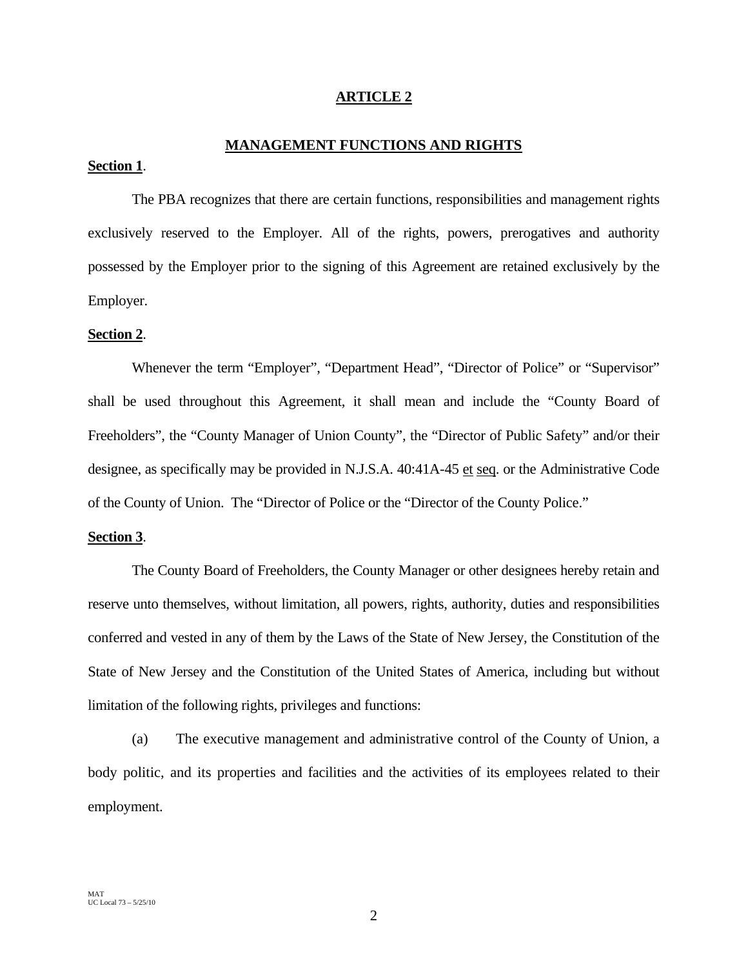# **ARTICLE 2**

# **MANAGEMENT FUNCTIONS AND RIGHTS**

# **Section 1**.

 The PBA recognizes that there are certain functions, responsibilities and management rights exclusively reserved to the Employer. All of the rights, powers, prerogatives and authority possessed by the Employer prior to the signing of this Agreement are retained exclusively by the Employer.

#### **Section 2**.

 Whenever the term "Employer", "Department Head", "Director of Police" or "Supervisor" shall be used throughout this Agreement, it shall mean and include the "County Board of Freeholders", the "County Manager of Union County", the "Director of Public Safety" and/or their designee, as specifically may be provided in N.J.S.A. 40:41A-45 et seq. or the Administrative Code of the County of Union. The "Director of Police or the "Director of the County Police."

# **Section 3**.

 The County Board of Freeholders, the County Manager or other designees hereby retain and reserve unto themselves, without limitation, all powers, rights, authority, duties and responsibilities conferred and vested in any of them by the Laws of the State of New Jersey, the Constitution of the State of New Jersey and the Constitution of the United States of America, including but without limitation of the following rights, privileges and functions:

 (a) The executive management and administrative control of the County of Union, a body politic, and its properties and facilities and the activities of its employees related to their employment.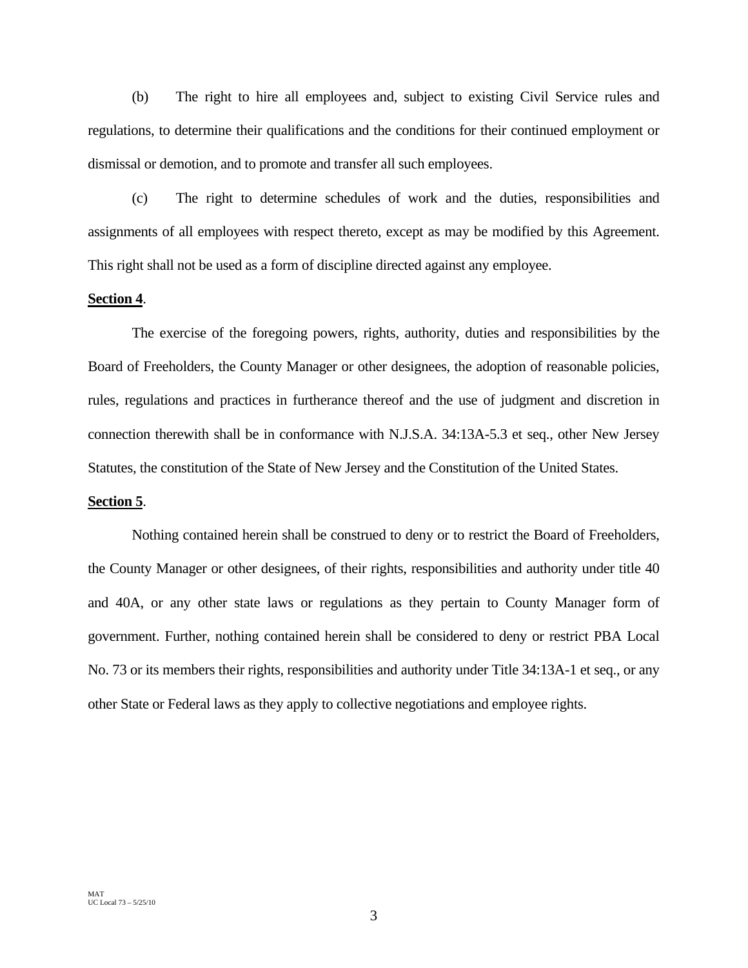(b) The right to hire all employees and, subject to existing Civil Service rules and regulations, to determine their qualifications and the conditions for their continued employment or dismissal or demotion, and to promote and transfer all such employees.

 (c) The right to determine schedules of work and the duties, responsibilities and assignments of all employees with respect thereto, except as may be modified by this Agreement. This right shall not be used as a form of discipline directed against any employee.

# **Section 4**.

 The exercise of the foregoing powers, rights, authority, duties and responsibilities by the Board of Freeholders, the County Manager or other designees, the adoption of reasonable policies, rules, regulations and practices in furtherance thereof and the use of judgment and discretion in connection therewith shall be in conformance with N.J.S.A. 34:13A-5.3 et seq., other New Jersey Statutes, the constitution of the State of New Jersey and the Constitution of the United States.

#### **Section 5**.

 Nothing contained herein shall be construed to deny or to restrict the Board of Freeholders, the County Manager or other designees, of their rights, responsibilities and authority under title 40 and 40A, or any other state laws or regulations as they pertain to County Manager form of government. Further, nothing contained herein shall be considered to deny or restrict PBA Local No. 73 or its members their rights, responsibilities and authority under Title 34:13A-1 et seq., or any other State or Federal laws as they apply to collective negotiations and employee rights.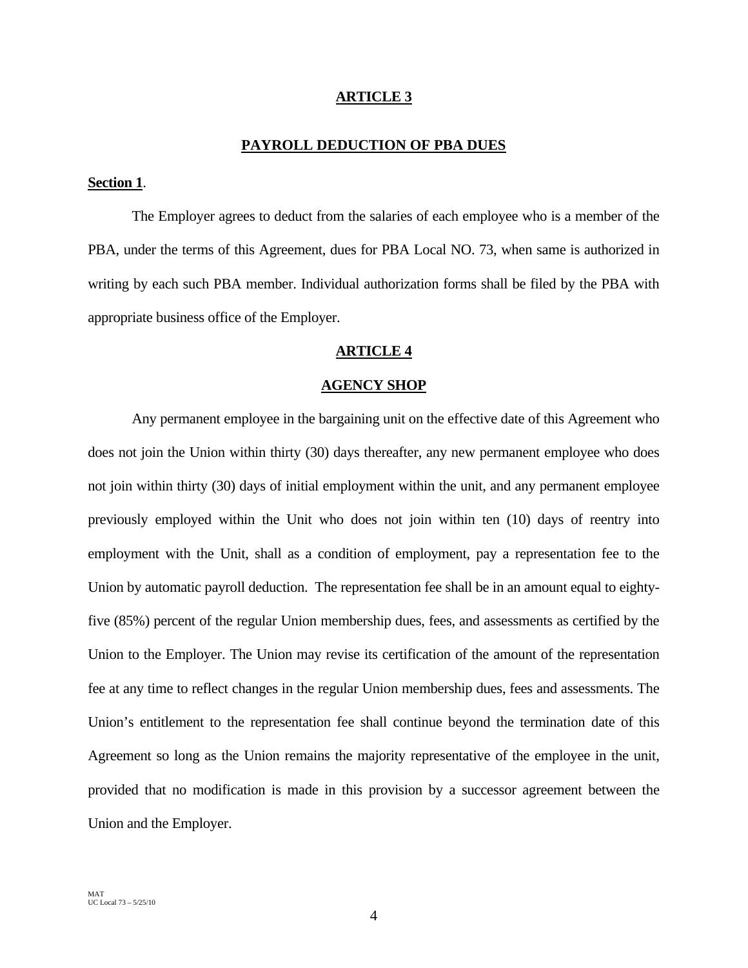## **ARTICLE 3**

# **PAYROLL DEDUCTION OF PBA DUES**

# **Section 1**.

 The Employer agrees to deduct from the salaries of each employee who is a member of the PBA, under the terms of this Agreement, dues for PBA Local NO. 73, when same is authorized in writing by each such PBA member. Individual authorization forms shall be filed by the PBA with appropriate business office of the Employer.

# **ARTICLE 4**

#### **AGENCY SHOP**

 Any permanent employee in the bargaining unit on the effective date of this Agreement who does not join the Union within thirty (30) days thereafter, any new permanent employee who does not join within thirty (30) days of initial employment within the unit, and any permanent employee previously employed within the Unit who does not join within ten (10) days of reentry into employment with the Unit, shall as a condition of employment, pay a representation fee to the Union by automatic payroll deduction. The representation fee shall be in an amount equal to eightyfive (85%) percent of the regular Union membership dues, fees, and assessments as certified by the Union to the Employer. The Union may revise its certification of the amount of the representation fee at any time to reflect changes in the regular Union membership dues, fees and assessments. The Union's entitlement to the representation fee shall continue beyond the termination date of this Agreement so long as the Union remains the majority representative of the employee in the unit, provided that no modification is made in this provision by a successor agreement between the Union and the Employer.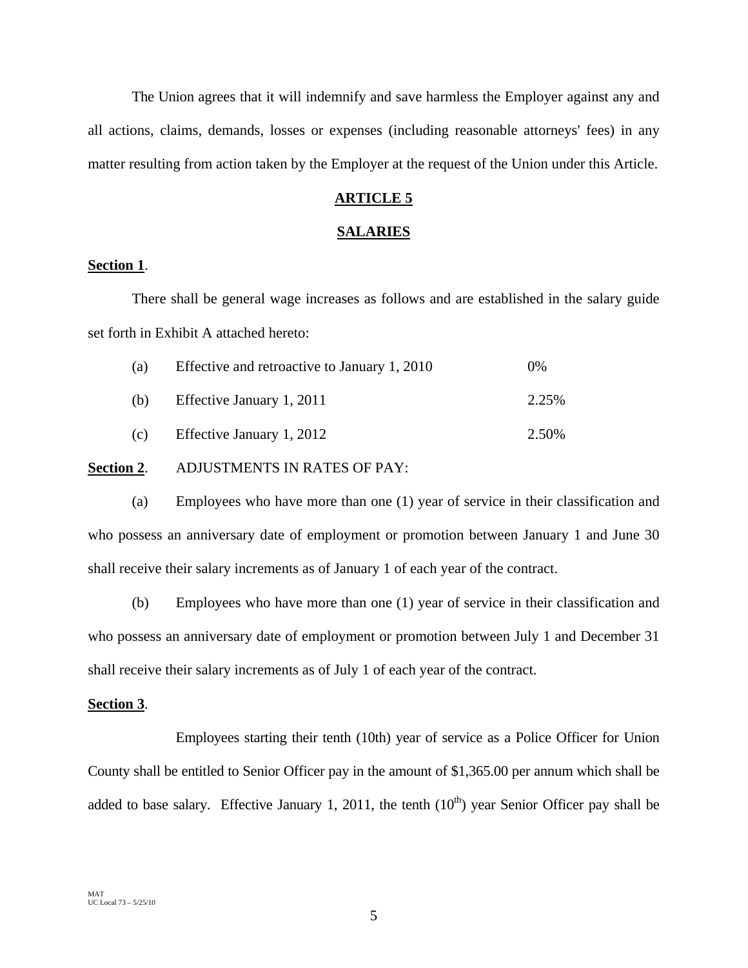The Union agrees that it will indemnify and save harmless the Employer against any and all actions, claims, demands, losses or expenses (including reasonable attorneys' fees) in any matter resulting from action taken by the Employer at the request of the Union under this Article.

# **ARTICLE 5**

# **SALARIES**

# **Section 1**.

There shall be general wage increases as follows and are established in the salary guide set forth in Exhibit A attached hereto:

| (a) | Effective and retroactive to January 1, 2010 | $0\%$ |
|-----|----------------------------------------------|-------|
| (b) | Effective January 1, 2011                    | 2.25% |
| (c) | Effective January 1, 2012                    | 2.50% |

# **Section 2**. ADJUSTMENTS IN RATES OF PAY:

(a) Employees who have more than one (1) year of service in their classification and who possess an anniversary date of employment or promotion between January 1 and June 30 shall receive their salary increments as of January 1 of each year of the contract.

(b) Employees who have more than one (1) year of service in their classification and who possess an anniversary date of employment or promotion between July 1 and December 31 shall receive their salary increments as of July 1 of each year of the contract.

#### **Section 3**.

 Employees starting their tenth (10th) year of service as a Police Officer for Union County shall be entitled to Senior Officer pay in the amount of \$1,365.00 per annum which shall be added to base salary. Effective January 1, 2011, the tenth  $(10<sup>th</sup>)$  year Senior Officer pay shall be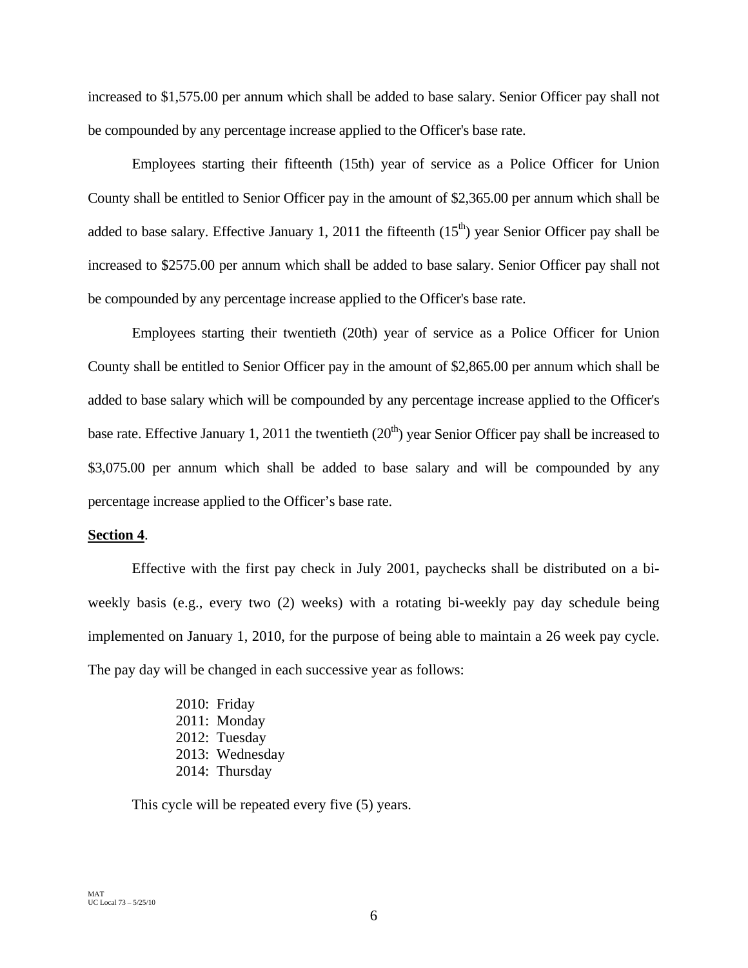increased to \$1,575.00 per annum which shall be added to base salary. Senior Officer pay shall not be compounded by any percentage increase applied to the Officer's base rate.

Employees starting their fifteenth (15th) year of service as a Police Officer for Union County shall be entitled to Senior Officer pay in the amount of \$2,365.00 per annum which shall be added to base salary. Effective January 1, 2011 the fifteenth  $(15<sup>th</sup>)$  year Senior Officer pay shall be increased to \$2575.00 per annum which shall be added to base salary. Senior Officer pay shall not be compounded by any percentage increase applied to the Officer's base rate.

Employees starting their twentieth (20th) year of service as a Police Officer for Union County shall be entitled to Senior Officer pay in the amount of \$2,865.00 per annum which shall be added to base salary which will be compounded by any percentage increase applied to the Officer's base rate. Effective January 1, 2011 the twentieth  $(20<sup>th</sup>)$  year Senior Officer pay shall be increased to \$3,075.00 per annum which shall be added to base salary and will be compounded by any percentage increase applied to the Officer's base rate.

#### **Section 4**.

Effective with the first pay check in July 2001, paychecks shall be distributed on a biweekly basis (e.g., every two (2) weeks) with a rotating bi-weekly pay day schedule being implemented on January 1, 2010, for the purpose of being able to maintain a 26 week pay cycle. The pay day will be changed in each successive year as follows:

> 2010: Friday 2011: Monday 2012: Tuesday 2013: Wednesday 2014: Thursday

This cycle will be repeated every five (5) years.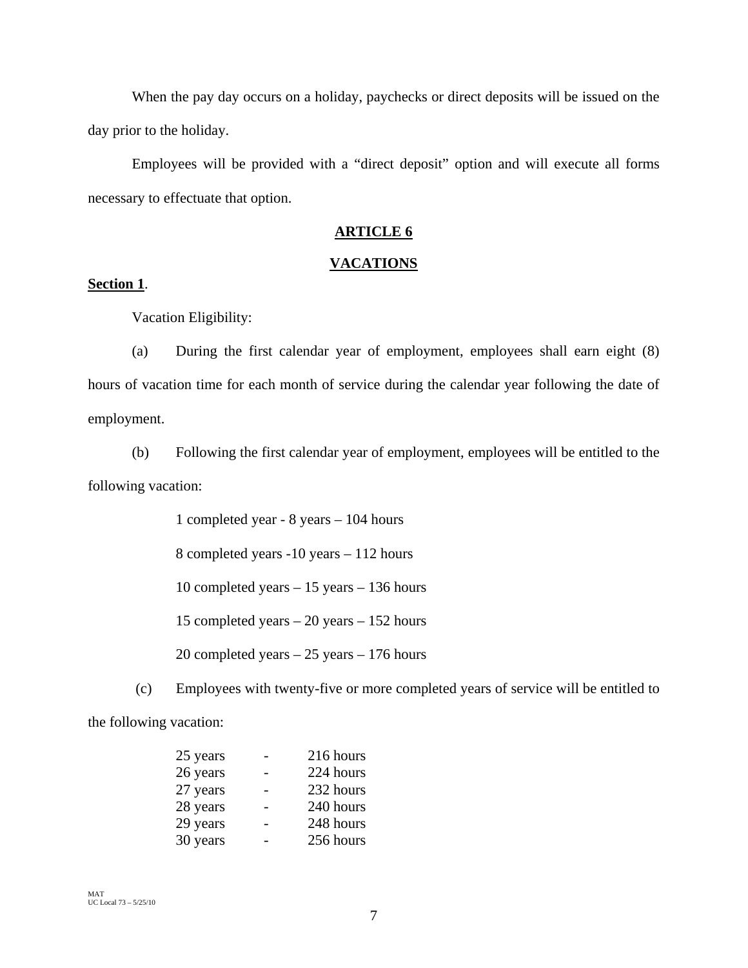When the pay day occurs on a holiday, paychecks or direct deposits will be issued on the day prior to the holiday.

Employees will be provided with a "direct deposit" option and will execute all forms necessary to effectuate that option.

# **ARTICLE 6**

# **VACATIONS**

# **Section 1**.

Vacation Eligibility:

(a) During the first calendar year of employment, employees shall earn eight (8) hours of vacation time for each month of service during the calendar year following the date of employment.

(b) Following the first calendar year of employment, employees will be entitled to the following vacation:

> 1 completed year - 8 years – 104 hours 8 completed years -10 years – 112 hours 10 completed years – 15 years – 136 hours 15 completed years – 20 years – 152 hours 20 completed years – 25 years – 176 hours

 (c) Employees with twenty-five or more completed years of service will be entitled to the following vacation:

| 25 years | 216 hours |
|----------|-----------|
| 26 years | 224 hours |
| 27 years | 232 hours |
| 28 years | 240 hours |
| 29 years | 248 hours |
| 30 years | 256 hours |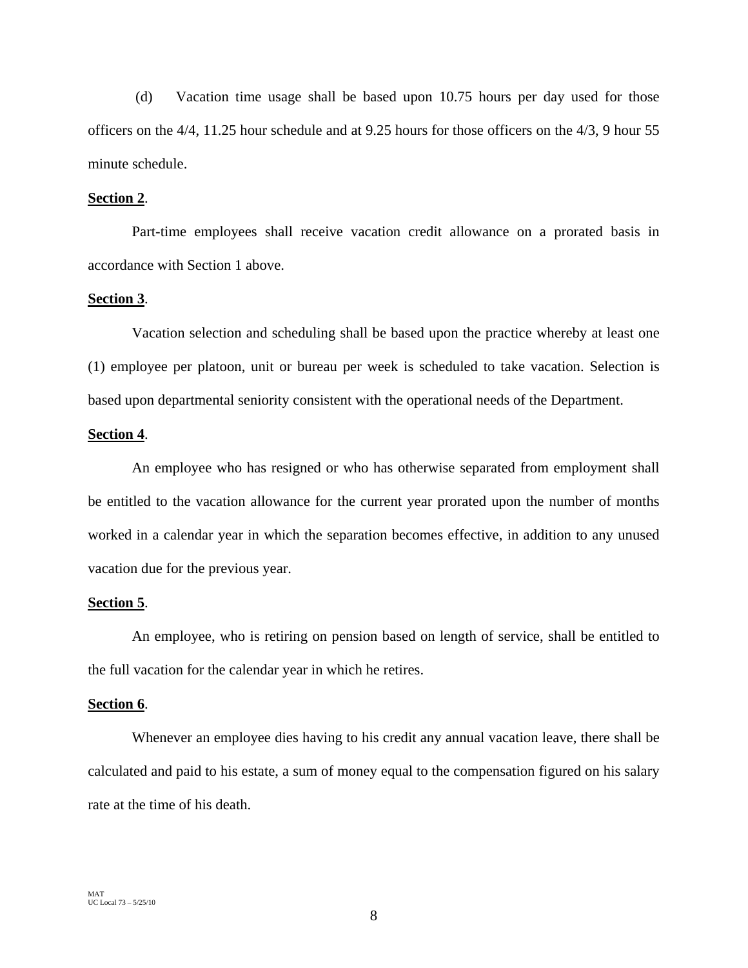(d) Vacation time usage shall be based upon 10.75 hours per day used for those officers on the 4/4, 11.25 hour schedule and at 9.25 hours for those officers on the 4/3, 9 hour 55 minute schedule.

# **Section 2**.

Part-time employees shall receive vacation credit allowance on a prorated basis in accordance with Section 1 above.

#### **Section 3**.

Vacation selection and scheduling shall be based upon the practice whereby at least one (1) employee per platoon, unit or bureau per week is scheduled to take vacation. Selection is based upon departmental seniority consistent with the operational needs of the Department.

# **Section 4**.

An employee who has resigned or who has otherwise separated from employment shall be entitled to the vacation allowance for the current year prorated upon the number of months worked in a calendar year in which the separation becomes effective, in addition to any unused vacation due for the previous year.

#### **Section 5**.

An employee, who is retiring on pension based on length of service, shall be entitled to the full vacation for the calendar year in which he retires.

#### **Section 6**.

Whenever an employee dies having to his credit any annual vacation leave, there shall be calculated and paid to his estate, a sum of money equal to the compensation figured on his salary rate at the time of his death.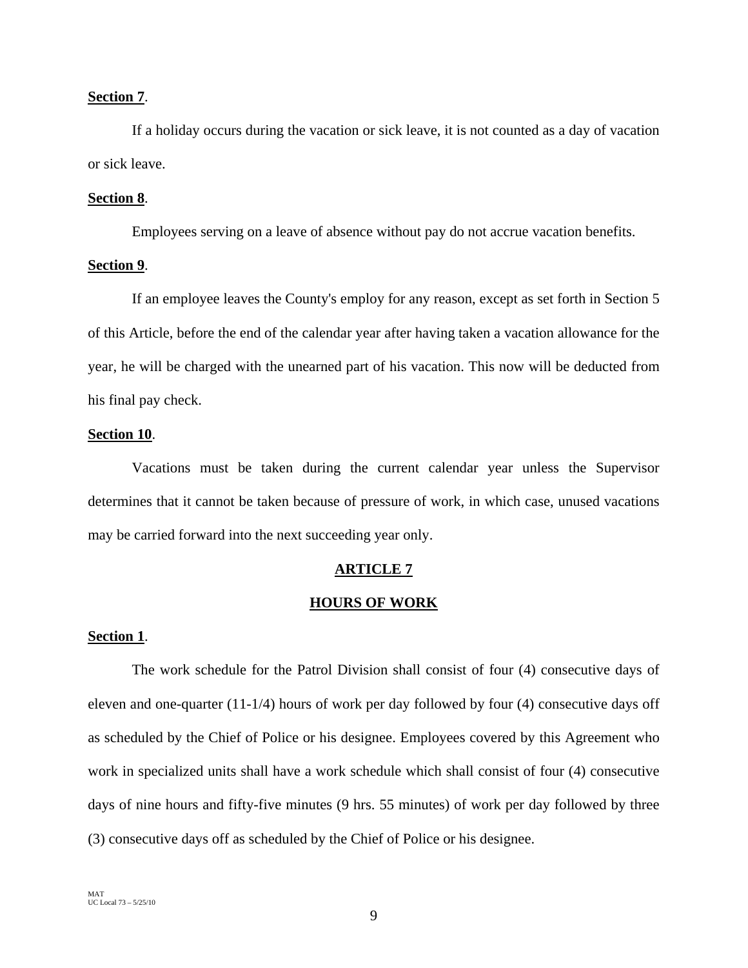# **Section 7**.

If a holiday occurs during the vacation or sick leave, it is not counted as a day of vacation or sick leave.

# **Section 8**.

Employees serving on a leave of absence without pay do not accrue vacation benefits.

# **Section 9**.

If an employee leaves the County's employ for any reason, except as set forth in Section 5 of this Article, before the end of the calendar year after having taken a vacation allowance for the year, he will be charged with the unearned part of his vacation. This now will be deducted from his final pay check.

# **Section 10**.

Vacations must be taken during the current calendar year unless the Supervisor determines that it cannot be taken because of pressure of work, in which case, unused vacations may be carried forward into the next succeeding year only.

# **ARTICLE 7**

#### **HOURS OF WORK**

#### **Section 1**.

The work schedule for the Patrol Division shall consist of four (4) consecutive days of eleven and one-quarter (11-1/4) hours of work per day followed by four (4) consecutive days off as scheduled by the Chief of Police or his designee. Employees covered by this Agreement who work in specialized units shall have a work schedule which shall consist of four (4) consecutive days of nine hours and fifty-five minutes (9 hrs. 55 minutes) of work per day followed by three (3) consecutive days off as scheduled by the Chief of Police or his designee.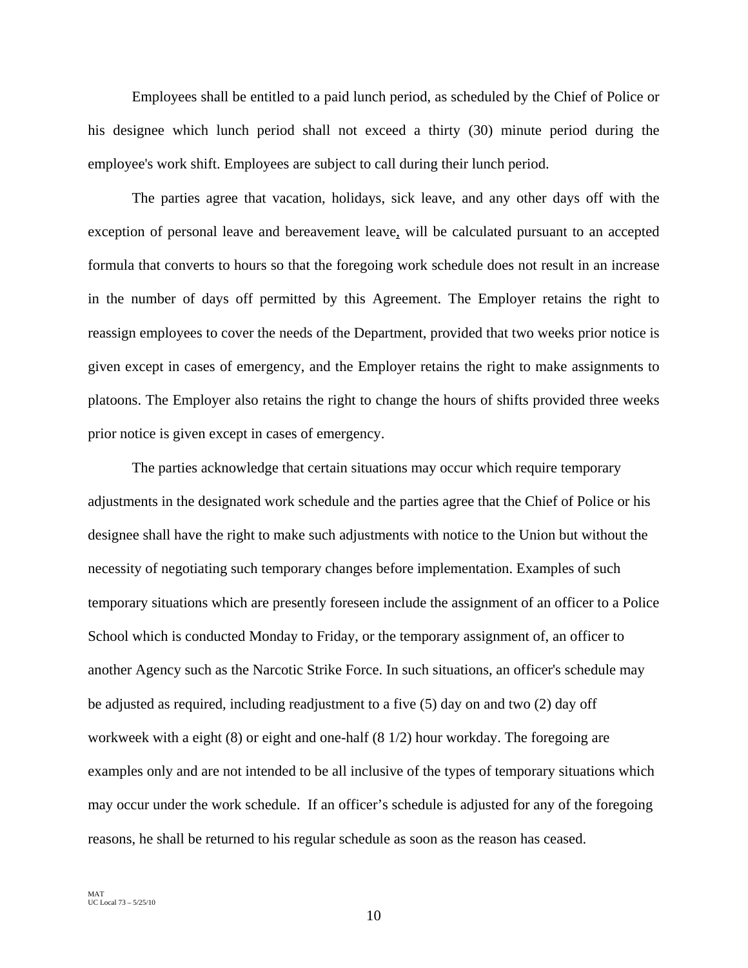Employees shall be entitled to a paid lunch period, as scheduled by the Chief of Police or his designee which lunch period shall not exceed a thirty (30) minute period during the employee's work shift. Employees are subject to call during their lunch period.

The parties agree that vacation, holidays, sick leave, and any other days off with the exception of personal leave and bereavement leave, will be calculated pursuant to an accepted formula that converts to hours so that the foregoing work schedule does not result in an increase in the number of days off permitted by this Agreement. The Employer retains the right to reassign employees to cover the needs of the Department, provided that two weeks prior notice is given except in cases of emergency, and the Employer retains the right to make assignments to platoons. The Employer also retains the right to change the hours of shifts provided three weeks prior notice is given except in cases of emergency.

The parties acknowledge that certain situations may occur which require temporary adjustments in the designated work schedule and the parties agree that the Chief of Police or his designee shall have the right to make such adjustments with notice to the Union but without the necessity of negotiating such temporary changes before implementation. Examples of such temporary situations which are presently foreseen include the assignment of an officer to a Police School which is conducted Monday to Friday, or the temporary assignment of, an officer to another Agency such as the Narcotic Strike Force. In such situations, an officer's schedule may be adjusted as required, including readjustment to a five (5) day on and two (2) day off workweek with a eight (8) or eight and one-half (8 1/2) hour workday. The foregoing are examples only and are not intended to be all inclusive of the types of temporary situations which may occur under the work schedule. If an officer's schedule is adjusted for any of the foregoing reasons, he shall be returned to his regular schedule as soon as the reason has ceased.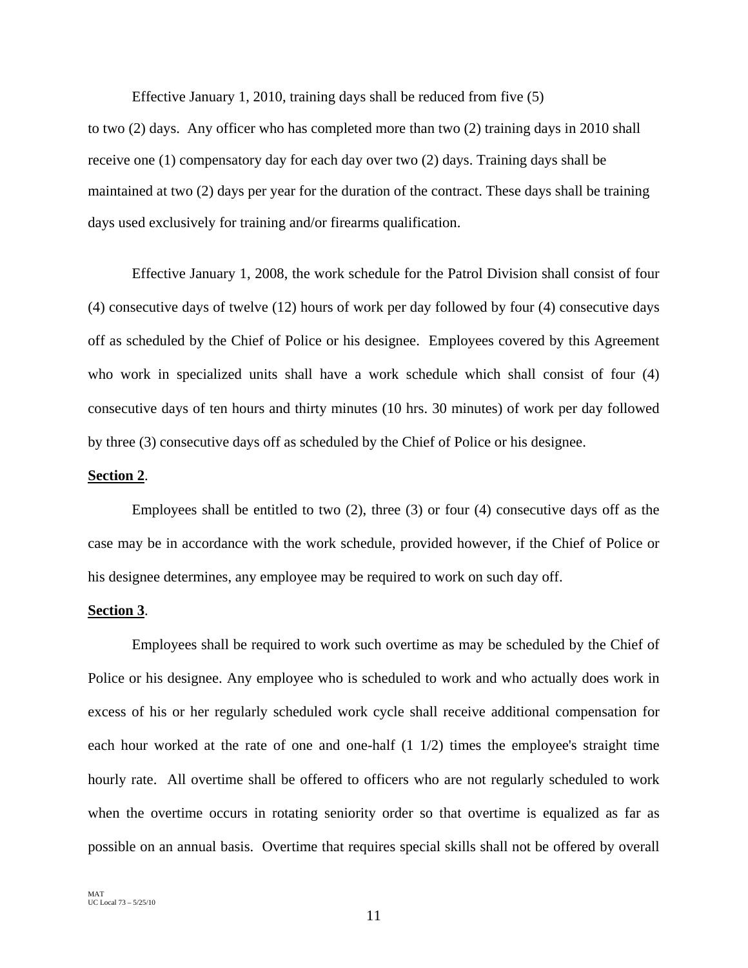Effective January 1, 2010, training days shall be reduced from five (5)

to two (2) days. Any officer who has completed more than two (2) training days in 2010 shall receive one (1) compensatory day for each day over two (2) days. Training days shall be maintained at two (2) days per year for the duration of the contract. These days shall be training days used exclusively for training and/or firearms qualification.

Effective January 1, 2008, the work schedule for the Patrol Division shall consist of four (4) consecutive days of twelve (12) hours of work per day followed by four (4) consecutive days off as scheduled by the Chief of Police or his designee. Employees covered by this Agreement who work in specialized units shall have a work schedule which shall consist of four (4) consecutive days of ten hours and thirty minutes (10 hrs. 30 minutes) of work per day followed by three (3) consecutive days off as scheduled by the Chief of Police or his designee.

#### **Section 2**.

Employees shall be entitled to two (2), three (3) or four (4) consecutive days off as the case may be in accordance with the work schedule, provided however, if the Chief of Police or his designee determines, any employee may be required to work on such day off.

#### **Section 3**.

Employees shall be required to work such overtime as may be scheduled by the Chief of Police or his designee. Any employee who is scheduled to work and who actually does work in excess of his or her regularly scheduled work cycle shall receive additional compensation for each hour worked at the rate of one and one-half (1 1/2) times the employee's straight time hourly rate. All overtime shall be offered to officers who are not regularly scheduled to work when the overtime occurs in rotating seniority order so that overtime is equalized as far as possible on an annual basis. Overtime that requires special skills shall not be offered by overall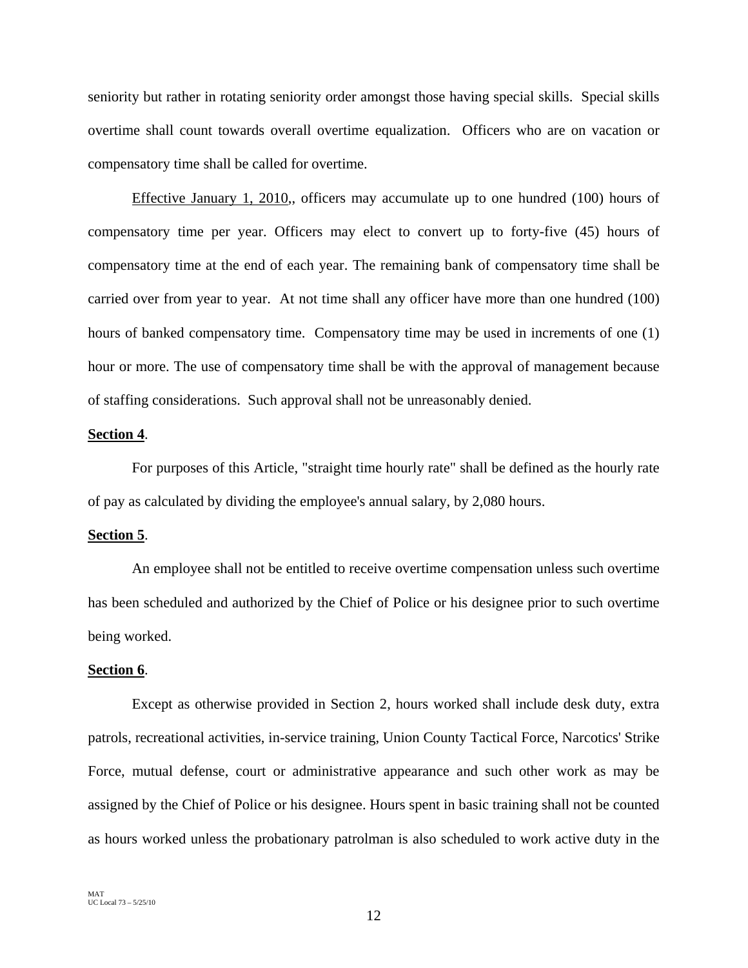seniority but rather in rotating seniority order amongst those having special skills. Special skills overtime shall count towards overall overtime equalization. Officers who are on vacation or compensatory time shall be called for overtime.

Effective January 1, 2010,, officers may accumulate up to one hundred (100) hours of compensatory time per year. Officers may elect to convert up to forty-five (45) hours of compensatory time at the end of each year. The remaining bank of compensatory time shall be carried over from year to year. At not time shall any officer have more than one hundred (100) hours of banked compensatory time. Compensatory time may be used in increments of one (1) hour or more. The use of compensatory time shall be with the approval of management because of staffing considerations. Such approval shall not be unreasonably denied.

# **Section 4**.

For purposes of this Article, "straight time hourly rate" shall be defined as the hourly rate of pay as calculated by dividing the employee's annual salary, by 2,080 hours.

# **Section 5**.

An employee shall not be entitled to receive overtime compensation unless such overtime has been scheduled and authorized by the Chief of Police or his designee prior to such overtime being worked.

#### **Section 6**.

Except as otherwise provided in Section 2, hours worked shall include desk duty, extra patrols, recreational activities, in-service training, Union County Tactical Force, Narcotics' Strike Force, mutual defense, court or administrative appearance and such other work as may be assigned by the Chief of Police or his designee. Hours spent in basic training shall not be counted as hours worked unless the probationary patrolman is also scheduled to work active duty in the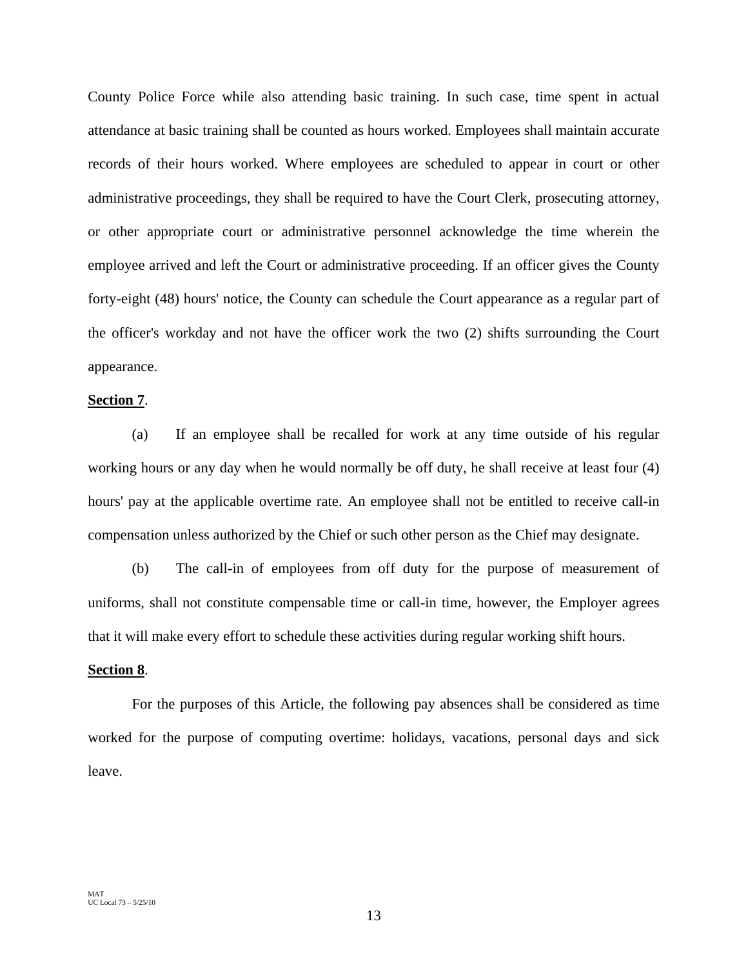County Police Force while also attending basic training. In such case, time spent in actual attendance at basic training shall be counted as hours worked. Employees shall maintain accurate records of their hours worked. Where employees are scheduled to appear in court or other administrative proceedings, they shall be required to have the Court Clerk, prosecuting attorney, or other appropriate court or administrative personnel acknowledge the time wherein the employee arrived and left the Court or administrative proceeding. If an officer gives the County forty-eight (48) hours' notice, the County can schedule the Court appearance as a regular part of the officer's workday and not have the officer work the two (2) shifts surrounding the Court appearance.

# **Section 7**.

(a) If an employee shall be recalled for work at any time outside of his regular working hours or any day when he would normally be off duty, he shall receive at least four (4) hours' pay at the applicable overtime rate. An employee shall not be entitled to receive call-in compensation unless authorized by the Chief or such other person as the Chief may designate.

(b) The call-in of employees from off duty for the purpose of measurement of uniforms, shall not constitute compensable time or call-in time, however, the Employer agrees that it will make every effort to schedule these activities during regular working shift hours.

#### **Section 8**.

For the purposes of this Article, the following pay absences shall be considered as time worked for the purpose of computing overtime: holidays, vacations, personal days and sick leave.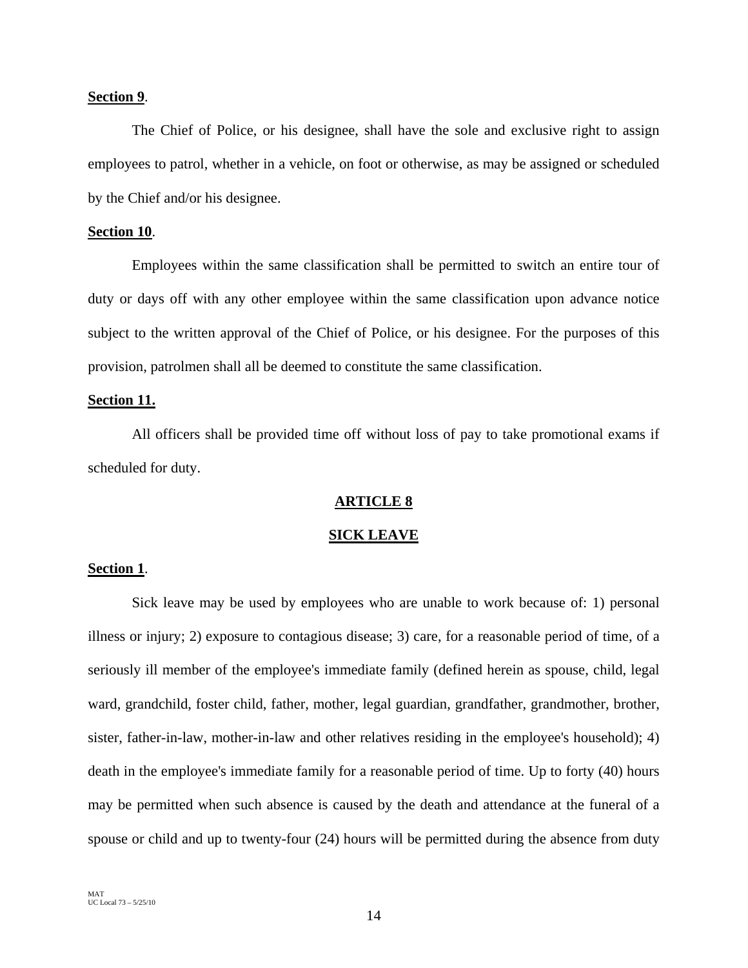# **Section 9**.

 The Chief of Police, or his designee, shall have the sole and exclusive right to assign employees to patrol, whether in a vehicle, on foot or otherwise, as may be assigned or scheduled by the Chief and/or his designee.

#### **Section 10**.

Employees within the same classification shall be permitted to switch an entire tour of duty or days off with any other employee within the same classification upon advance notice subject to the written approval of the Chief of Police, or his designee. For the purposes of this provision, patrolmen shall all be deemed to constitute the same classification.

#### **Section 11.**

 All officers shall be provided time off without loss of pay to take promotional exams if scheduled for duty.

#### **ARTICLE 8**

#### **SICK LEAVE**

# **Section 1**.

Sick leave may be used by employees who are unable to work because of: 1) personal illness or injury; 2) exposure to contagious disease; 3) care, for a reasonable period of time, of a seriously ill member of the employee's immediate family (defined herein as spouse, child, legal ward, grandchild, foster child, father, mother, legal guardian, grandfather, grandmother, brother, sister, father-in-law, mother-in-law and other relatives residing in the employee's household); 4) death in the employee's immediate family for a reasonable period of time. Up to forty (40) hours may be permitted when such absence is caused by the death and attendance at the funeral of a spouse or child and up to twenty-four (24) hours will be permitted during the absence from duty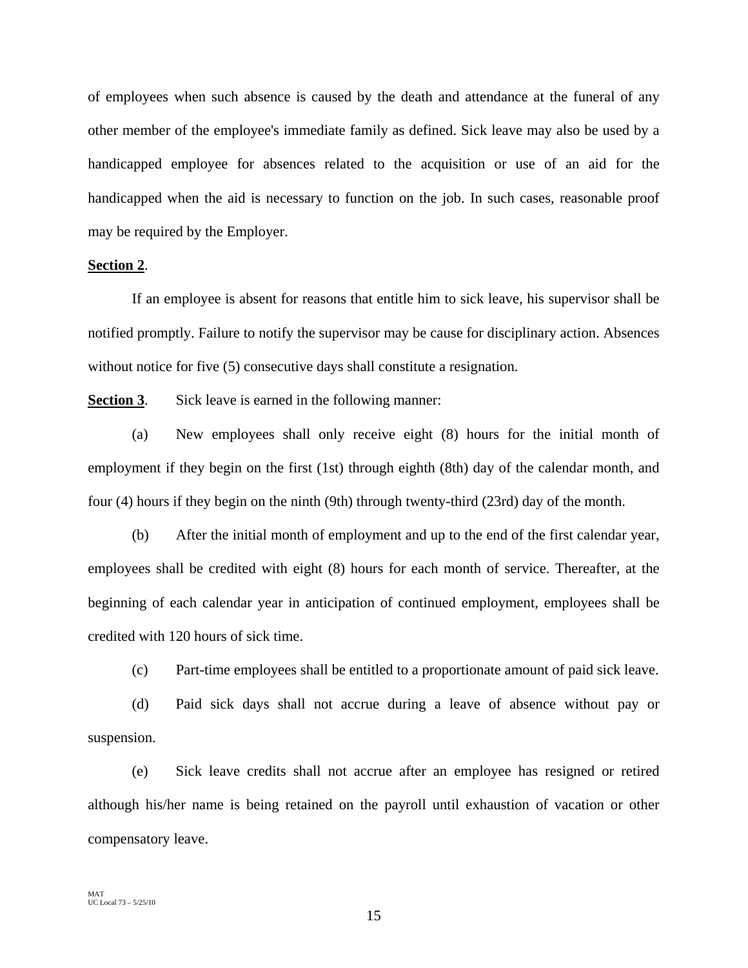of employees when such absence is caused by the death and attendance at the funeral of any other member of the employee's immediate family as defined. Sick leave may also be used by a handicapped employee for absences related to the acquisition or use of an aid for the handicapped when the aid is necessary to function on the job. In such cases, reasonable proof may be required by the Employer.

# **Section 2**.

If an employee is absent for reasons that entitle him to sick leave, his supervisor shall be notified promptly. Failure to notify the supervisor may be cause for disciplinary action. Absences without notice for five (5) consecutive days shall constitute a resignation.

**Section 3**. Sick leave is earned in the following manner:

(a) New employees shall only receive eight (8) hours for the initial month of employment if they begin on the first (1st) through eighth (8th) day of the calendar month, and four (4) hours if they begin on the ninth (9th) through twenty-third (23rd) day of the month.

(b) After the initial month of employment and up to the end of the first calendar year, employees shall be credited with eight (8) hours for each month of service. Thereafter, at the beginning of each calendar year in anticipation of continued employment, employees shall be credited with 120 hours of sick time.

(c) Part-time employees shall be entitled to a proportionate amount of paid sick leave.

(d) Paid sick days shall not accrue during a leave of absence without pay or suspension.

(e) Sick leave credits shall not accrue after an employee has resigned or retired although his/her name is being retained on the payroll until exhaustion of vacation or other compensatory leave.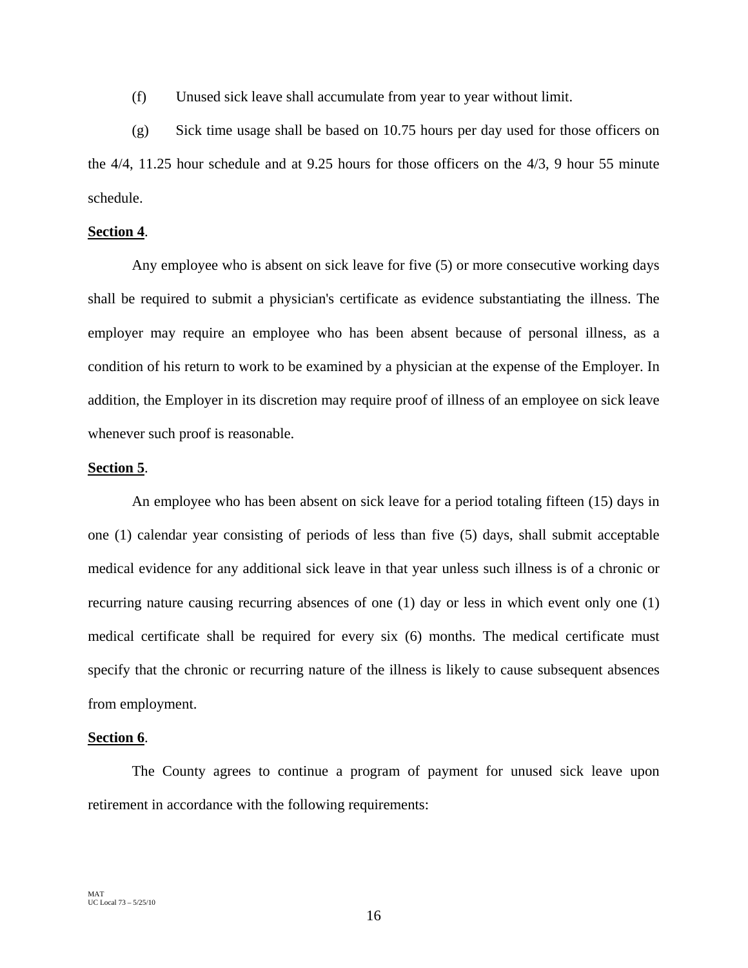(f) Unused sick leave shall accumulate from year to year without limit.

(g) Sick time usage shall be based on 10.75 hours per day used for those officers on the 4/4, 11.25 hour schedule and at 9.25 hours for those officers on the 4/3, 9 hour 55 minute schedule.

# **Section 4**.

Any employee who is absent on sick leave for five (5) or more consecutive working days shall be required to submit a physician's certificate as evidence substantiating the illness. The employer may require an employee who has been absent because of personal illness, as a condition of his return to work to be examined by a physician at the expense of the Employer. In addition, the Employer in its discretion may require proof of illness of an employee on sick leave whenever such proof is reasonable.

# **Section 5**.

An employee who has been absent on sick leave for a period totaling fifteen (15) days in one (1) calendar year consisting of periods of less than five (5) days, shall submit acceptable medical evidence for any additional sick leave in that year unless such illness is of a chronic or recurring nature causing recurring absences of one (1) day or less in which event only one (1) medical certificate shall be required for every six (6) months. The medical certificate must specify that the chronic or recurring nature of the illness is likely to cause subsequent absences from employment.

# **Section 6**.

The County agrees to continue a program of payment for unused sick leave upon retirement in accordance with the following requirements: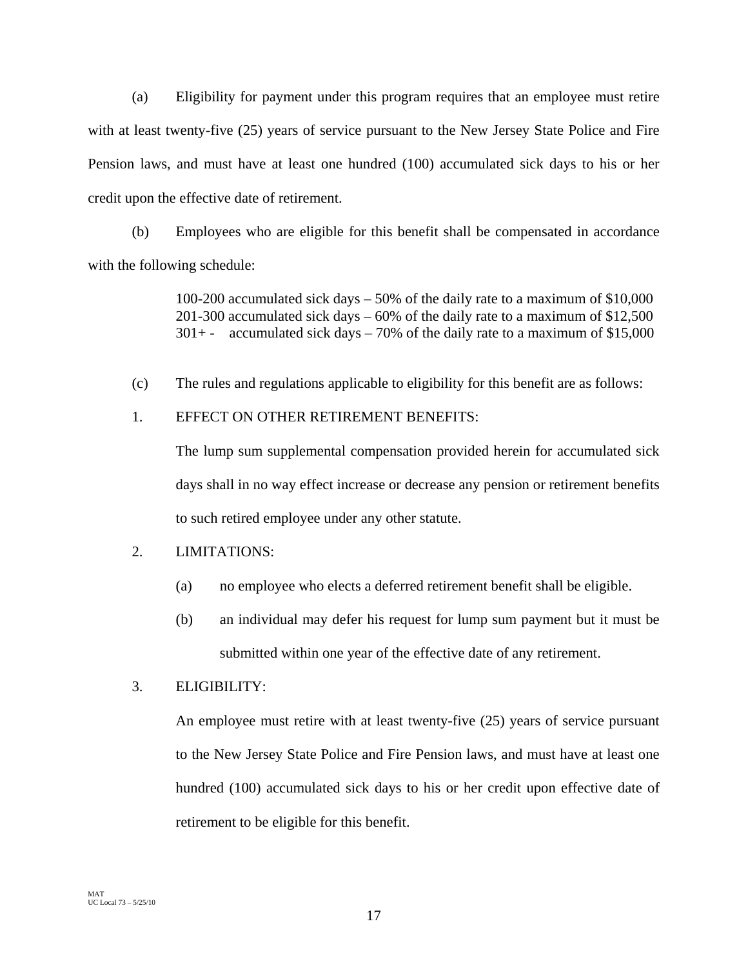(a) Eligibility for payment under this program requires that an employee must retire with at least twenty-five (25) years of service pursuant to the New Jersey State Police and Fire Pension laws, and must have at least one hundred (100) accumulated sick days to his or her credit upon the effective date of retirement.

(b) Employees who are eligible for this benefit shall be compensated in accordance with the following schedule:

> 100-200 accumulated sick days – 50% of the daily rate to a maximum of \$10,000 201-300 accumulated sick days – 60% of the daily rate to a maximum of \$12,500  $301 + -$  accumulated sick days – 70% of the daily rate to a maximum of \$15,000

(c) The rules and regulations applicable to eligibility for this benefit are as follows:

# 1. EFFECT ON OTHER RETIREMENT BENEFITS:

The lump sum supplemental compensation provided herein for accumulated sick days shall in no way effect increase or decrease any pension or retirement benefits to such retired employee under any other statute.

# 2. LIMITATIONS:

- (a) no employee who elects a deferred retirement benefit shall be eligible.
- (b) an individual may defer his request for lump sum payment but it must be submitted within one year of the effective date of any retirement.

# 3. ELIGIBILITY:

An employee must retire with at least twenty-five (25) years of service pursuant to the New Jersey State Police and Fire Pension laws, and must have at least one hundred (100) accumulated sick days to his or her credit upon effective date of retirement to be eligible for this benefit.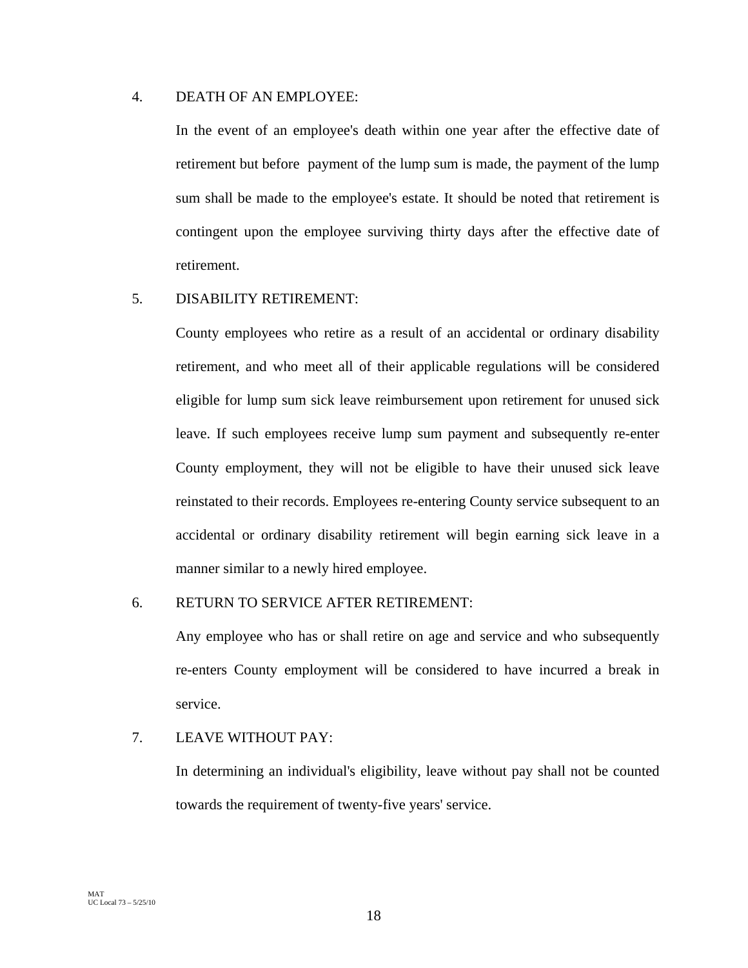# 4. DEATH OF AN EMPLOYEE:

In the event of an employee's death within one year after the effective date of retirement but before payment of the lump sum is made, the payment of the lump sum shall be made to the employee's estate. It should be noted that retirement is contingent upon the employee surviving thirty days after the effective date of retirement.

# 5. DISABILITY RETIREMENT:

County employees who retire as a result of an accidental or ordinary disability retirement, and who meet all of their applicable regulations will be considered eligible for lump sum sick leave reimbursement upon retirement for unused sick leave. If such employees receive lump sum payment and subsequently re-enter County employment, they will not be eligible to have their unused sick leave reinstated to their records. Employees re-entering County service subsequent to an accidental or ordinary disability retirement will begin earning sick leave in a manner similar to a newly hired employee.

# 6. RETURN TO SERVICE AFTER RETIREMENT:

Any employee who has or shall retire on age and service and who subsequently re-enters County employment will be considered to have incurred a break in service.

# 7. LEAVE WITHOUT PAY:

In determining an individual's eligibility, leave without pay shall not be counted towards the requirement of twenty-five years' service.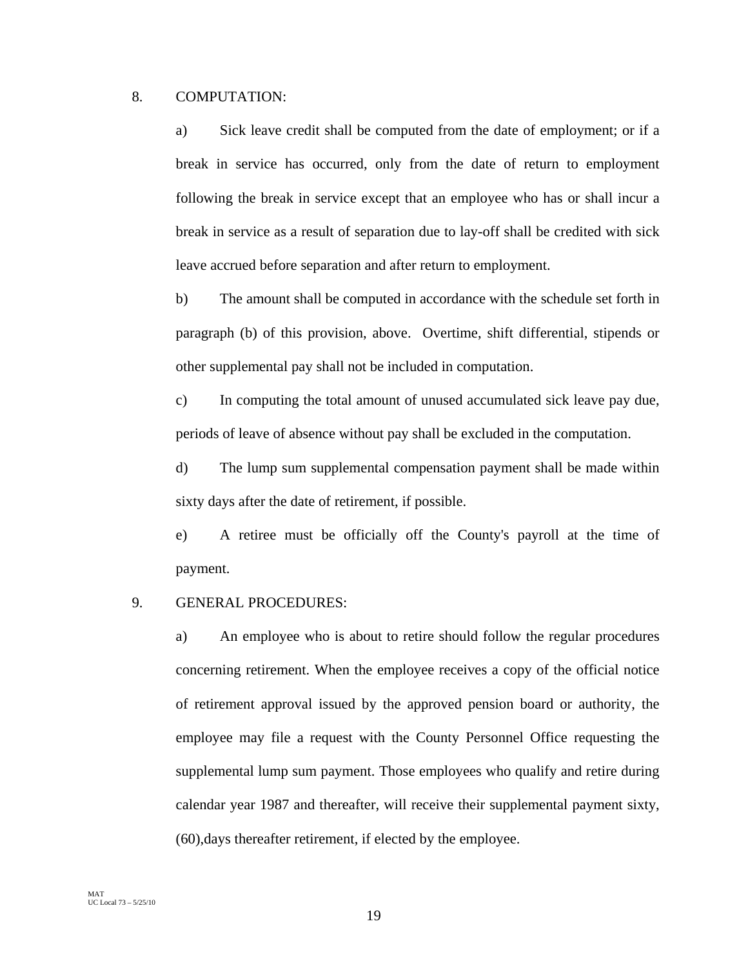# 8. COMPUTATION:

a) Sick leave credit shall be computed from the date of employment; or if a break in service has occurred, only from the date of return to employment following the break in service except that an employee who has or shall incur a break in service as a result of separation due to lay-off shall be credited with sick leave accrued before separation and after return to employment.

b) The amount shall be computed in accordance with the schedule set forth in paragraph (b) of this provision, above. Overtime, shift differential, stipends or other supplemental pay shall not be included in computation.

c) In computing the total amount of unused accumulated sick leave pay due, periods of leave of absence without pay shall be excluded in the computation.

d) The lump sum supplemental compensation payment shall be made within sixty days after the date of retirement, if possible.

e) A retiree must be officially off the County's payroll at the time of payment.

# 9. GENERAL PROCEDURES:

a) An employee who is about to retire should follow the regular procedures concerning retirement. When the employee receives a copy of the official notice of retirement approval issued by the approved pension board or authority, the employee may file a request with the County Personnel Office requesting the supplemental lump sum payment. Those employees who qualify and retire during calendar year 1987 and thereafter, will receive their supplemental payment sixty, (60),days thereafter retirement, if elected by the employee.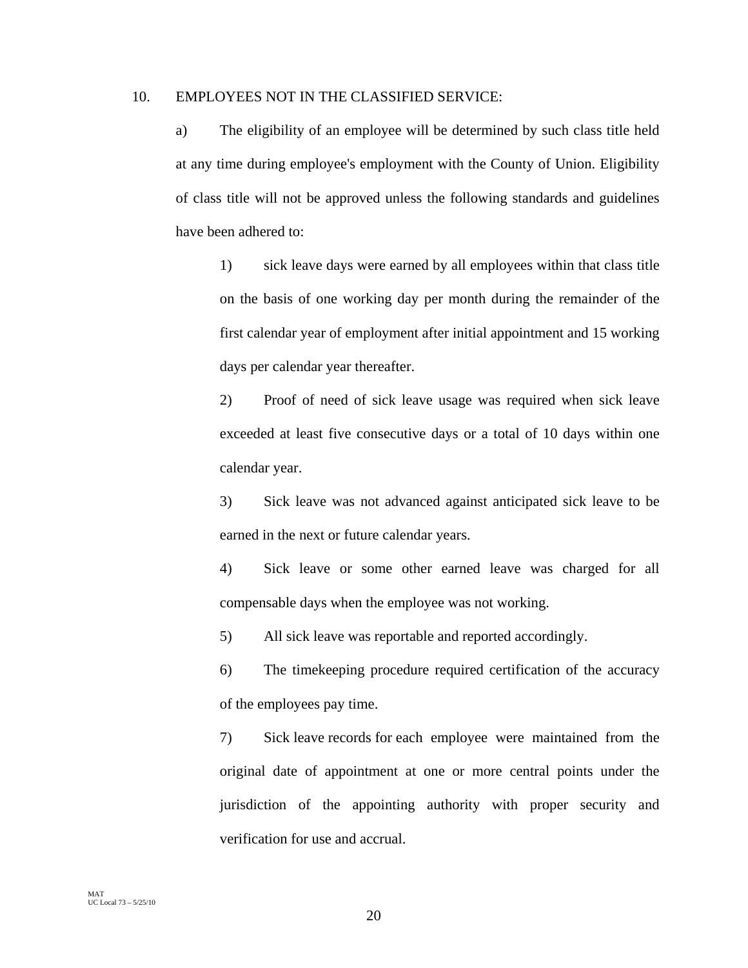# 10. EMPLOYEES NOT IN THE CLASSIFIED SERVICE:

a) The eligibility of an employee will be determined by such class title held at any time during employee's employment with the County of Union. Eligibility of class title will not be approved unless the following standards and guidelines have been adhered to:

1) sick leave days were earned by all employees within that class title on the basis of one working day per month during the remainder of the first calendar year of employment after initial appointment and 15 working days per calendar year thereafter.

2) Proof of need of sick leave usage was required when sick leave exceeded at least five consecutive days or a total of 10 days within one calendar year.

3) Sick leave was not advanced against anticipated sick leave to be earned in the next or future calendar years.

4) Sick leave or some other earned leave was charged for all compensable days when the employee was not working.

5) All sick leave was reportable and reported accordingly.

6) The timekeeping procedure required certification of the accuracy of the employees pay time.

7) Sick leave records for each employee were maintained from the original date of appointment at one or more central points under the jurisdiction of the appointing authority with proper security and verification for use and accrual.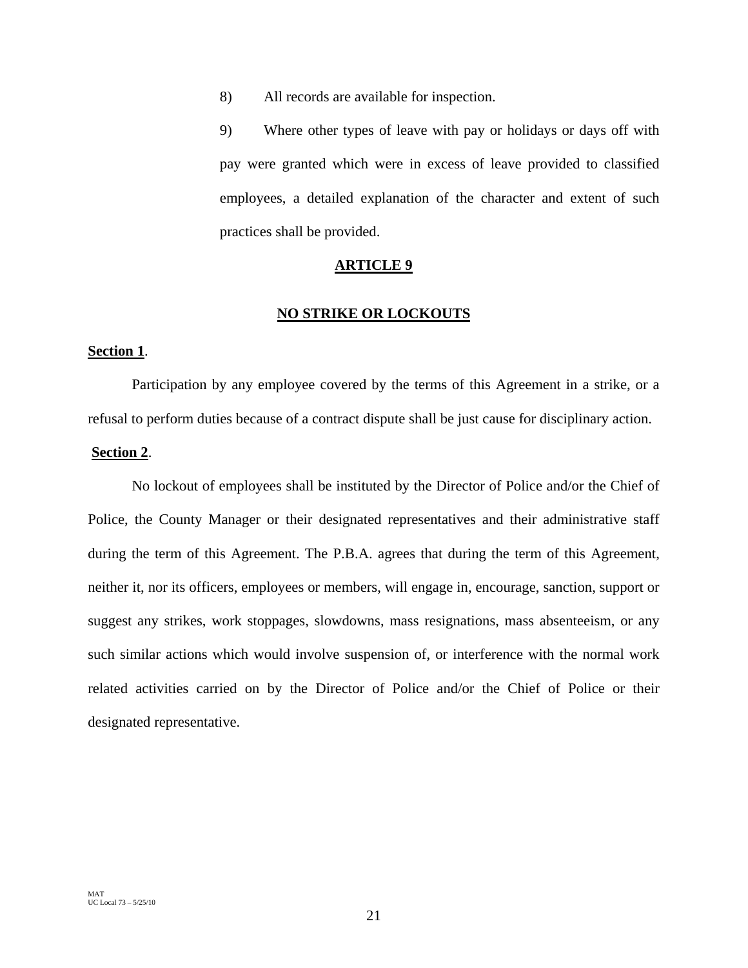8) All records are available for inspection.

9) Where other types of leave with pay or holidays or days off with pay were granted which were in excess of leave provided to classified employees, a detailed explanation of the character and extent of such practices shall be provided.

# **ARTICLE 9**

# **NO STRIKE OR LOCKOUTS**

# **Section 1**.

Participation by any employee covered by the terms of this Agreement in a strike, or a refusal to perform duties because of a contract dispute shall be just cause for disciplinary action.

# **Section 2**.

No lockout of employees shall be instituted by the Director of Police and/or the Chief of Police, the County Manager or their designated representatives and their administrative staff during the term of this Agreement. The P.B.A. agrees that during the term of this Agreement, neither it, nor its officers, employees or members, will engage in, encourage, sanction, support or suggest any strikes, work stoppages, slowdowns, mass resignations, mass absenteeism, or any such similar actions which would involve suspension of, or interference with the normal work related activities carried on by the Director of Police and/or the Chief of Police or their designated representative.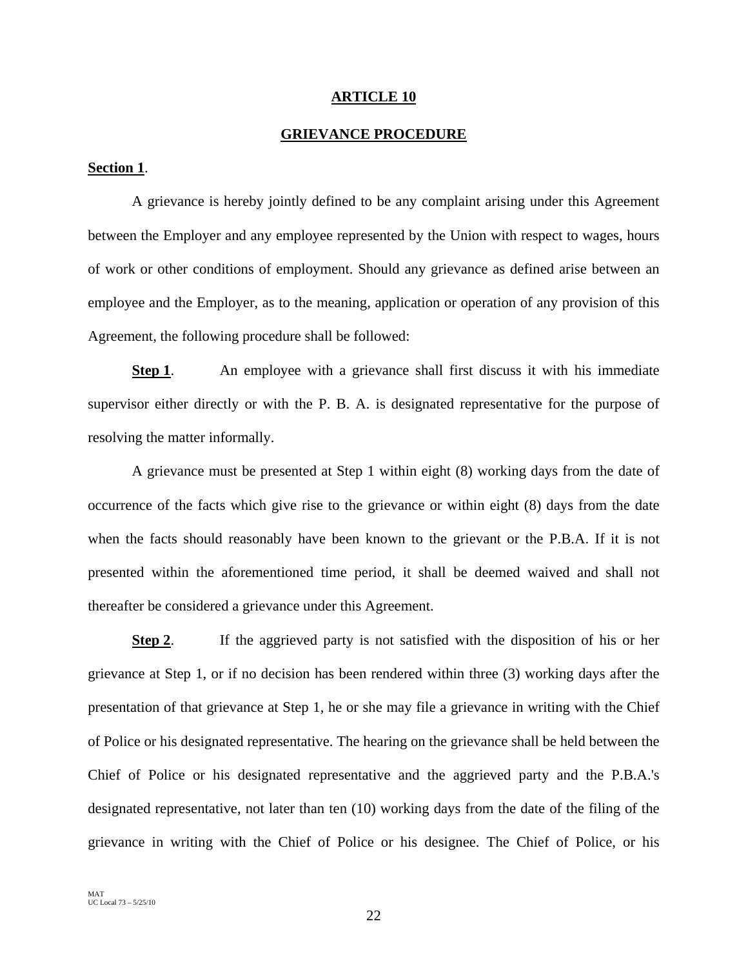#### **ARTICLE 10**

# **GRIEVANCE PROCEDURE**

# **Section 1**.

A grievance is hereby jointly defined to be any complaint arising under this Agreement between the Employer and any employee represented by the Union with respect to wages, hours of work or other conditions of employment. Should any grievance as defined arise between an employee and the Employer, as to the meaning, application or operation of any provision of this Agreement, the following procedure shall be followed:

**Step 1.** An employee with a grievance shall first discuss it with his immediate supervisor either directly or with the P. B. A. is designated representative for the purpose of resolving the matter informally.

A grievance must be presented at Step 1 within eight (8) working days from the date of occurrence of the facts which give rise to the grievance or within eight (8) days from the date when the facts should reasonably have been known to the grievant or the P.B.A. If it is not presented within the aforementioned time period, it shall be deemed waived and shall not thereafter be considered a grievance under this Agreement.

**Step 2**. If the aggrieved party is not satisfied with the disposition of his or her grievance at Step 1, or if no decision has been rendered within three (3) working days after the presentation of that grievance at Step 1, he or she may file a grievance in writing with the Chief of Police or his designated representative. The hearing on the grievance shall be held between the Chief of Police or his designated representative and the aggrieved party and the P.B.A.'s designated representative, not later than ten (10) working days from the date of the filing of the grievance in writing with the Chief of Police or his designee. The Chief of Police, or his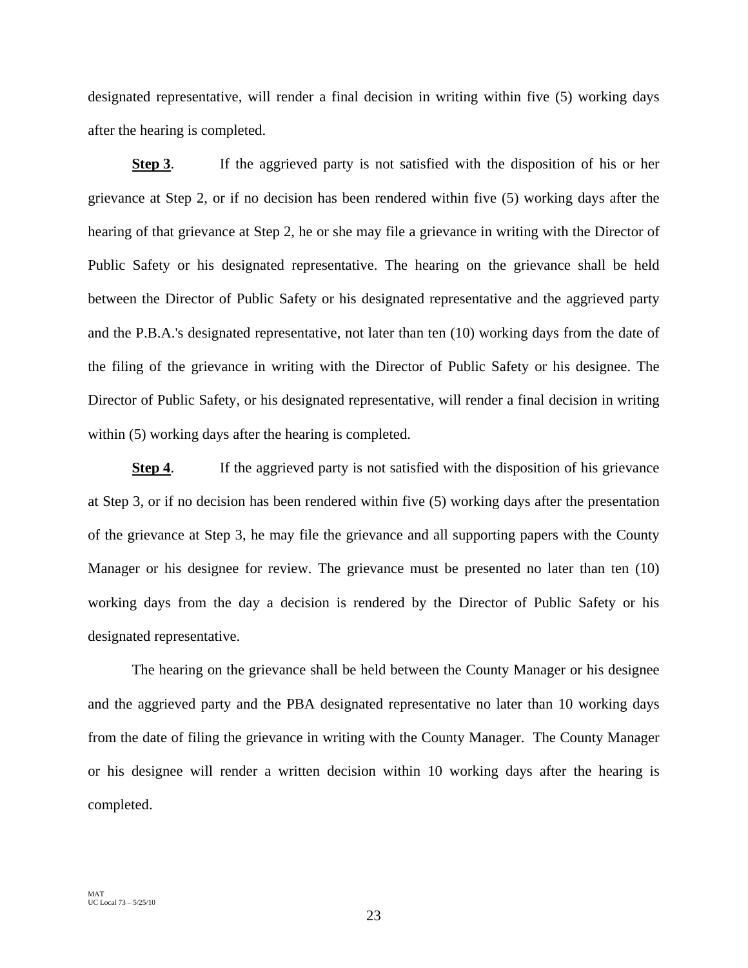designated representative, will render a final decision in writing within five (5) working days after the hearing is completed.

**Step 3**. If the aggrieved party is not satisfied with the disposition of his or her grievance at Step 2, or if no decision has been rendered within five (5) working days after the hearing of that grievance at Step 2, he or she may file a grievance in writing with the Director of Public Safety or his designated representative. The hearing on the grievance shall be held between the Director of Public Safety or his designated representative and the aggrieved party and the P.B.A.'s designated representative, not later than ten (10) working days from the date of the filing of the grievance in writing with the Director of Public Safety or his designee. The Director of Public Safety, or his designated representative, will render a final decision in writing within (5) working days after the hearing is completed.

**Step 4.** If the aggrieved party is not satisfied with the disposition of his grievance at Step 3, or if no decision has been rendered within five (5) working days after the presentation of the grievance at Step 3, he may file the grievance and all supporting papers with the County Manager or his designee for review. The grievance must be presented no later than ten (10) working days from the day a decision is rendered by the Director of Public Safety or his designated representative.

The hearing on the grievance shall be held between the County Manager or his designee and the aggrieved party and the PBA designated representative no later than 10 working days from the date of filing the grievance in writing with the County Manager. The County Manager or his designee will render a written decision within 10 working days after the hearing is completed.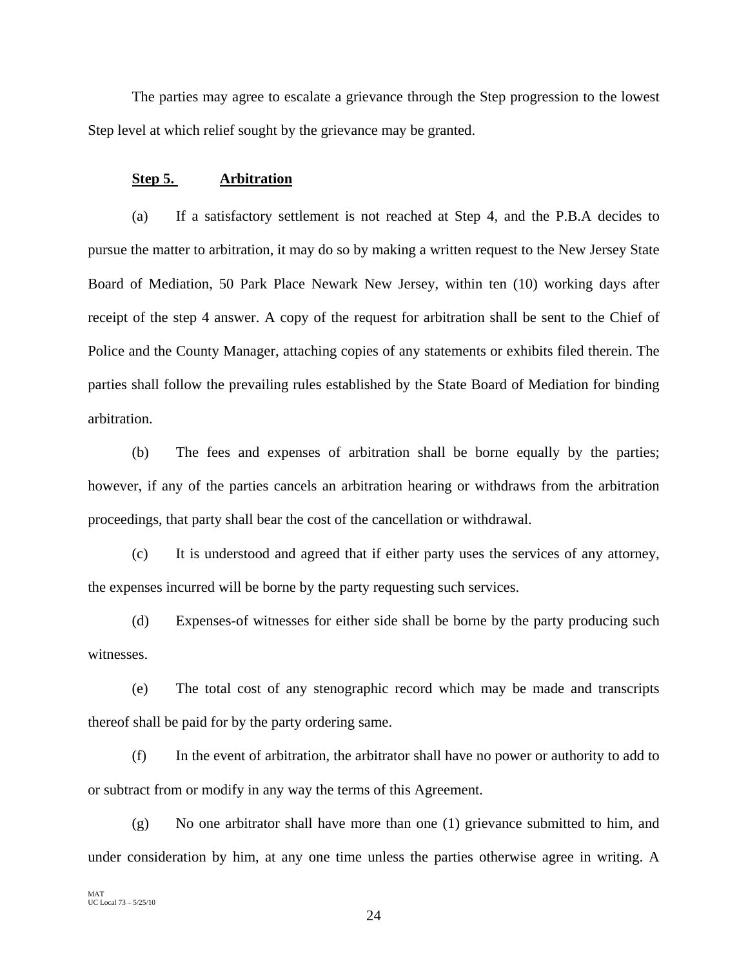The parties may agree to escalate a grievance through the Step progression to the lowest Step level at which relief sought by the grievance may be granted.

# **Step 5. Arbitration**

(a) If a satisfactory settlement is not reached at Step 4, and the P.B.A decides to pursue the matter to arbitration, it may do so by making a written request to the New Jersey State Board of Mediation, 50 Park Place Newark New Jersey, within ten (10) working days after receipt of the step 4 answer. A copy of the request for arbitration shall be sent to the Chief of Police and the County Manager, attaching copies of any statements or exhibits filed therein. The parties shall follow the prevailing rules established by the State Board of Mediation for binding arbitration.

(b) The fees and expenses of arbitration shall be borne equally by the parties; however, if any of the parties cancels an arbitration hearing or withdraws from the arbitration proceedings, that party shall bear the cost of the cancellation or withdrawal.

(c) It is understood and agreed that if either party uses the services of any attorney, the expenses incurred will be borne by the party requesting such services.

(d) Expenses-of witnesses for either side shall be borne by the party producing such witnesses.

(e) The total cost of any stenographic record which may be made and transcripts thereof shall be paid for by the party ordering same.

(f) In the event of arbitration, the arbitrator shall have no power or authority to add to or subtract from or modify in any way the terms of this Agreement.

(g) No one arbitrator shall have more than one (1) grievance submitted to him, and under consideration by him, at any one time unless the parties otherwise agree in writing. A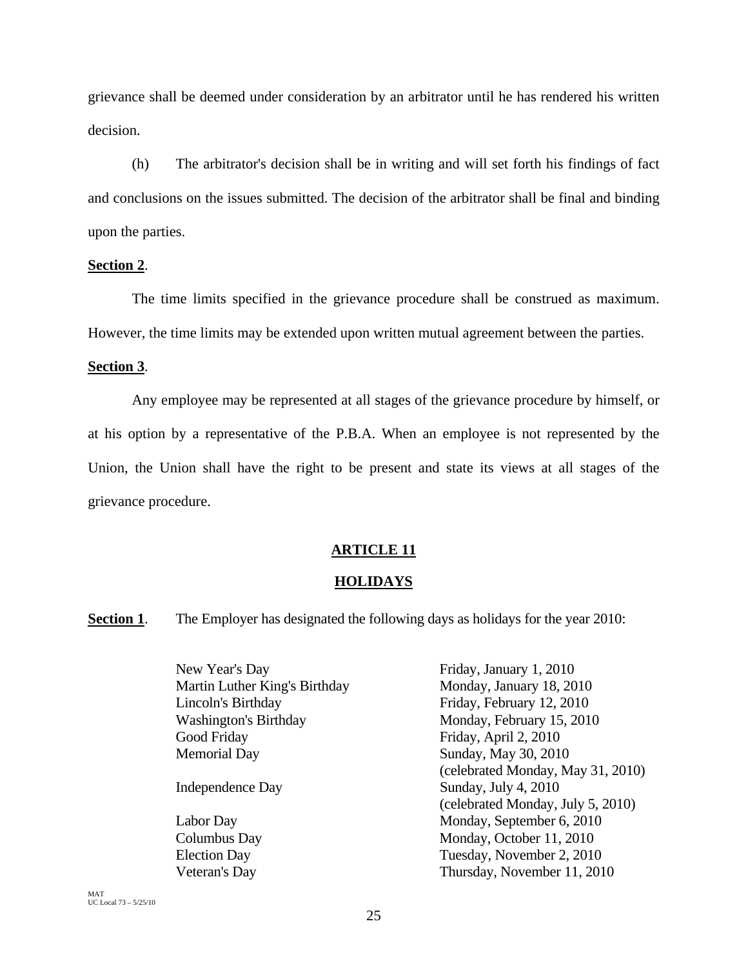grievance shall be deemed under consideration by an arbitrator until he has rendered his written decision.

(h) The arbitrator's decision shall be in writing and will set forth his findings of fact and conclusions on the issues submitted. The decision of the arbitrator shall be final and binding upon the parties.

# **Section 2**.

The time limits specified in the grievance procedure shall be construed as maximum. However, the time limits may be extended upon written mutual agreement between the parties.

# **Section 3**.

Any employee may be represented at all stages of the grievance procedure by himself, or at his option by a representative of the P.B.A. When an employee is not represented by the Union, the Union shall have the right to be present and state its views at all stages of the grievance procedure.

# **ARTICLE 11**

# **HOLIDAYS**

**Section 1**. The Employer has designated the following days as holidays for the year 2010:

| New Year's Day                | Friday, January 1, 2010           |
|-------------------------------|-----------------------------------|
| Martin Luther King's Birthday | Monday, January 18, 2010          |
| Lincoln's Birthday            | Friday, February 12, 2010         |
| <b>Washington's Birthday</b>  | Monday, February 15, 2010         |
| Good Friday                   | Friday, April 2, 2010             |
| <b>Memorial Day</b>           | Sunday, May 30, 2010              |
|                               | (celebrated Monday, May 31, 2010) |
| Independence Day              | Sunday, July 4, 2010              |
|                               | (celebrated Monday, July 5, 2010) |
| Labor Day                     | Monday, September 6, 2010         |
| Columbus Day                  | Monday, October 11, 2010          |
| <b>Election Day</b>           | Tuesday, November 2, 2010         |
| Veteran's Day                 | Thursday, November 11, 2010       |
|                               |                                   |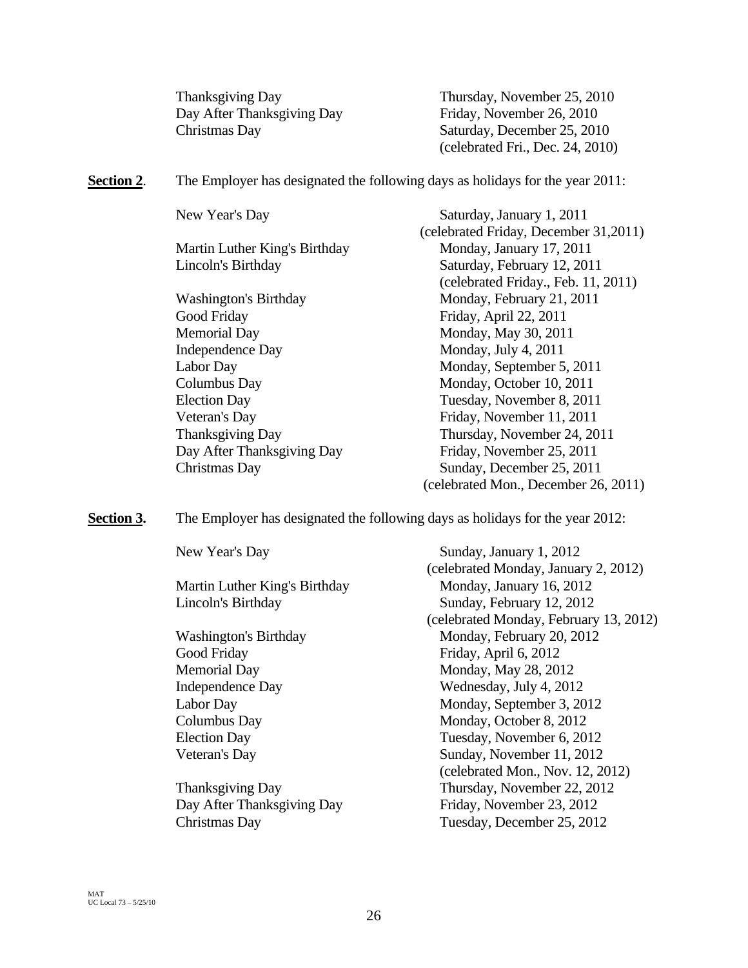| <b>Thanksgiving Day</b>    | Thursday, November 25, 2010      |
|----------------------------|----------------------------------|
| Day After Thanksgiving Day | Friday, November 26, 2010        |
| Christmas Day              | Saturday, December 25, 2010      |
|                            | (celebrated Fri., Dec. 24, 2010) |

**Section 2.** The Employer has designated the following days as holidays for the year 2011:

| New Year's Day                | Saturday, January 1, 2011             |
|-------------------------------|---------------------------------------|
|                               | (celebrated Friday, December 31,2011) |
| Martin Luther King's Birthday | Monday, January 17, 2011              |
| Lincoln's Birthday            | Saturday, February 12, 2011           |
|                               | (celebrated Friday., Feb. 11, 2011)   |
| <b>Washington's Birthday</b>  | Monday, February 21, 2011             |
| Good Friday                   | Friday, April 22, 2011                |
| <b>Memorial Day</b>           | Monday, May 30, 2011                  |
| Independence Day              | Monday, July 4, 2011                  |
| Labor Day                     | Monday, September 5, 2011             |
| Columbus Day                  | Monday, October 10, 2011              |
| <b>Election Day</b>           | Tuesday, November 8, 2011             |
| Veteran's Day                 | Friday, November 11, 2011             |
| Thanksgiving Day              | Thursday, November 24, 2011           |
| Day After Thanksgiving Day    | Friday, November 25, 2011             |
| Christmas Day                 | Sunday, December 25, 2011             |
|                               | (celebrated Mon., December 26, 2011)  |

**Section 3.** The Employer has designated the following days as holidays for the year 2012:

| New Year's Day                | Sunday, January 1, 2012                |
|-------------------------------|----------------------------------------|
|                               | (celebrated Monday, January 2, 2012)   |
| Martin Luther King's Birthday | Monday, January 16, 2012               |
| Lincoln's Birthday            | Sunday, February 12, 2012              |
|                               | (celebrated Monday, February 13, 2012) |
| <b>Washington's Birthday</b>  | Monday, February 20, 2012              |
| Good Friday                   | Friday, April 6, 2012                  |
| <b>Memorial Day</b>           | Monday, May 28, 2012                   |
| <b>Independence Day</b>       | Wednesday, July 4, 2012                |
| Labor Day                     | Monday, September 3, 2012              |
| Columbus Day                  | Monday, October 8, 2012                |
| <b>Election Day</b>           | Tuesday, November 6, 2012              |
| Veteran's Day                 | Sunday, November 11, 2012              |
|                               | (celebrated Mon., Nov. 12, 2012)       |
| Thanksgiving Day              | Thursday, November 22, 2012            |
| Day After Thanksgiving Day    | Friday, November 23, 2012              |
| Christmas Day                 | Tuesday, December 25, 2012             |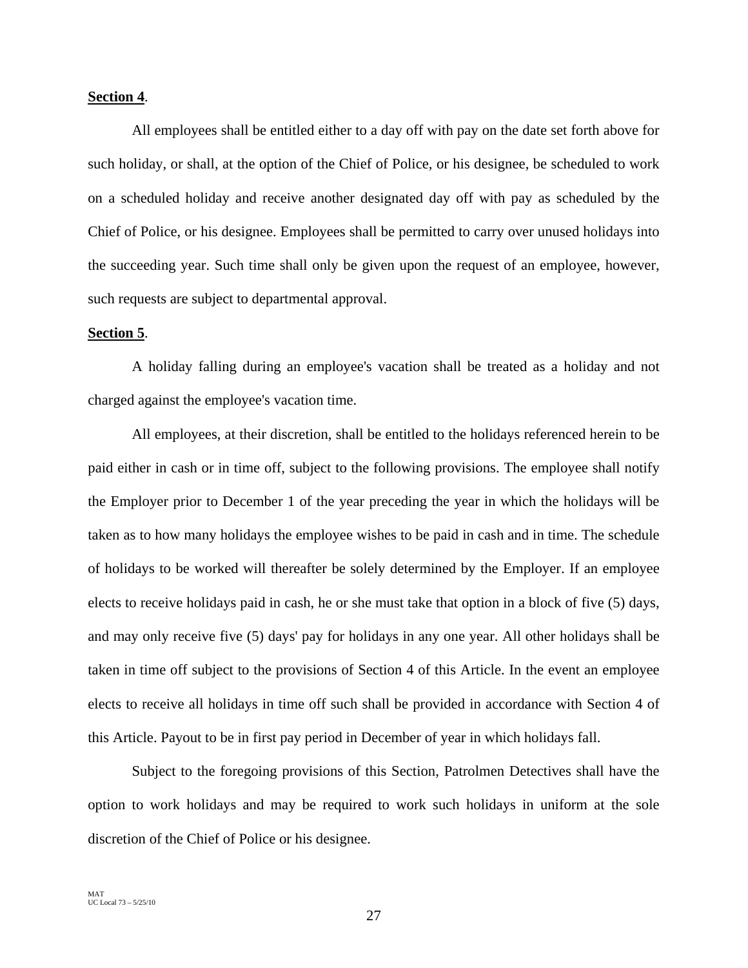# **Section 4**.

All employees shall be entitled either to a day off with pay on the date set forth above for such holiday, or shall, at the option of the Chief of Police, or his designee, be scheduled to work on a scheduled holiday and receive another designated day off with pay as scheduled by the Chief of Police, or his designee. Employees shall be permitted to carry over unused holidays into the succeeding year. Such time shall only be given upon the request of an employee, however, such requests are subject to departmental approval.

#### **Section 5**.

A holiday falling during an employee's vacation shall be treated as a holiday and not charged against the employee's vacation time.

All employees, at their discretion, shall be entitled to the holidays referenced herein to be paid either in cash or in time off, subject to the following provisions. The employee shall notify the Employer prior to December 1 of the year preceding the year in which the holidays will be taken as to how many holidays the employee wishes to be paid in cash and in time. The schedule of holidays to be worked will thereafter be solely determined by the Employer. If an employee elects to receive holidays paid in cash, he or she must take that option in a block of five (5) days, and may only receive five (5) days' pay for holidays in any one year. All other holidays shall be taken in time off subject to the provisions of Section 4 of this Article. In the event an employee elects to receive all holidays in time off such shall be provided in accordance with Section 4 of this Article. Payout to be in first pay period in December of year in which holidays fall.

Subject to the foregoing provisions of this Section, Patrolmen Detectives shall have the option to work holidays and may be required to work such holidays in uniform at the sole discretion of the Chief of Police or his designee.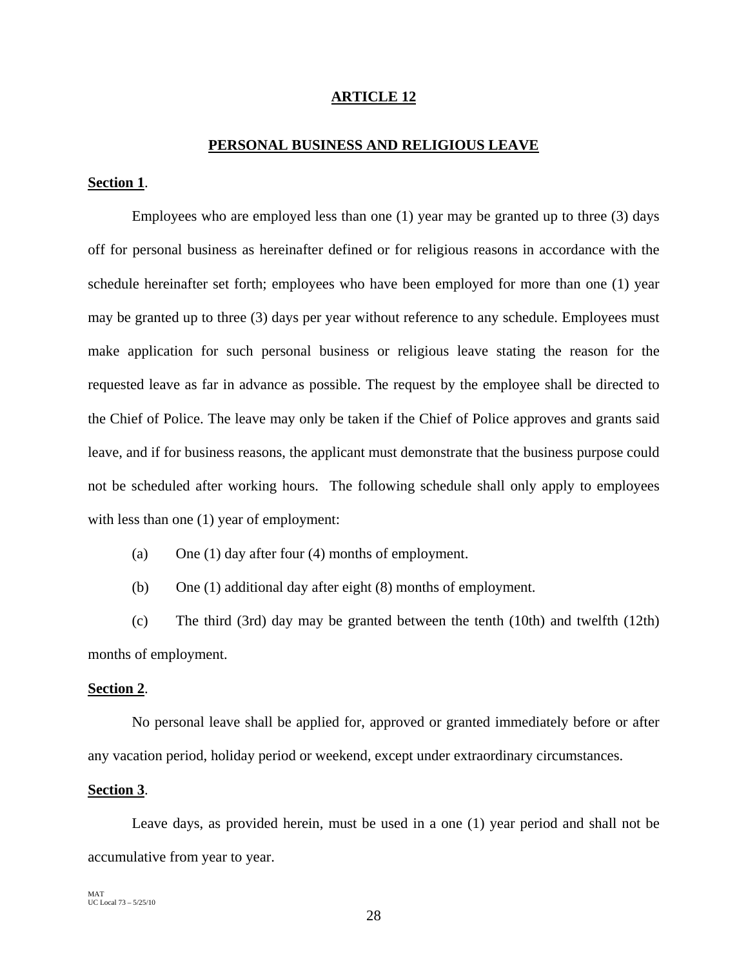# **ARTICLE 12**

#### **PERSONAL BUSINESS AND RELIGIOUS LEAVE**

# **Section 1**.

 Employees who are employed less than one (1) year may be granted up to three (3) days off for personal business as hereinafter defined or for religious reasons in accordance with the schedule hereinafter set forth; employees who have been employed for more than one (1) year may be granted up to three (3) days per year without reference to any schedule. Employees must make application for such personal business or religious leave stating the reason for the requested leave as far in advance as possible. The request by the employee shall be directed to the Chief of Police. The leave may only be taken if the Chief of Police approves and grants said leave, and if for business reasons, the applicant must demonstrate that the business purpose could not be scheduled after working hours. The following schedule shall only apply to employees with less than one (1) year of employment:

(a) One (1) day after four (4) months of employment.

(b) One (1) additional day after eight (8) months of employment.

(c) The third (3rd) day may be granted between the tenth (10th) and twelfth (12th) months of employment.

# **Section 2**.

No personal leave shall be applied for, approved or granted immediately before or after any vacation period, holiday period or weekend, except under extraordinary circumstances.

# **Section 3**.

Leave days, as provided herein, must be used in a one (1) year period and shall not be accumulative from year to year.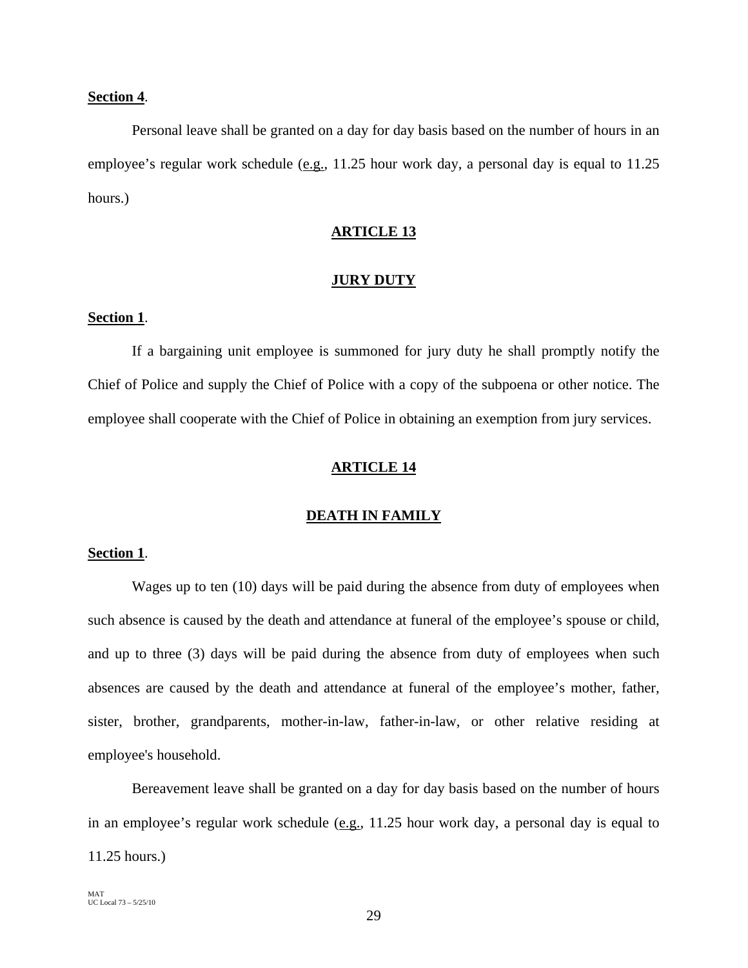# **Section 4**.

Personal leave shall be granted on a day for day basis based on the number of hours in an employee's regular work schedule (e.g., 11.25 hour work day, a personal day is equal to 11.25 hours.)

# **ARTICLE 13**

#### **JURY DUTY**

# **Section 1**.

If a bargaining unit employee is summoned for jury duty he shall promptly notify the Chief of Police and supply the Chief of Police with a copy of the subpoena or other notice. The employee shall cooperate with the Chief of Police in obtaining an exemption from jury services.

#### **ARTICLE 14**

# **DEATH IN FAMILY**

# **Section 1**.

Wages up to ten (10) days will be paid during the absence from duty of employees when such absence is caused by the death and attendance at funeral of the employee's spouse or child, and up to three (3) days will be paid during the absence from duty of employees when such absences are caused by the death and attendance at funeral of the employee's mother, father, sister, brother, grandparents, mother-in-law, father-in-law, or other relative residing at employee's household.

Bereavement leave shall be granted on a day for day basis based on the number of hours in an employee's regular work schedule (e.g., 11.25 hour work day, a personal day is equal to 11.25 hours.)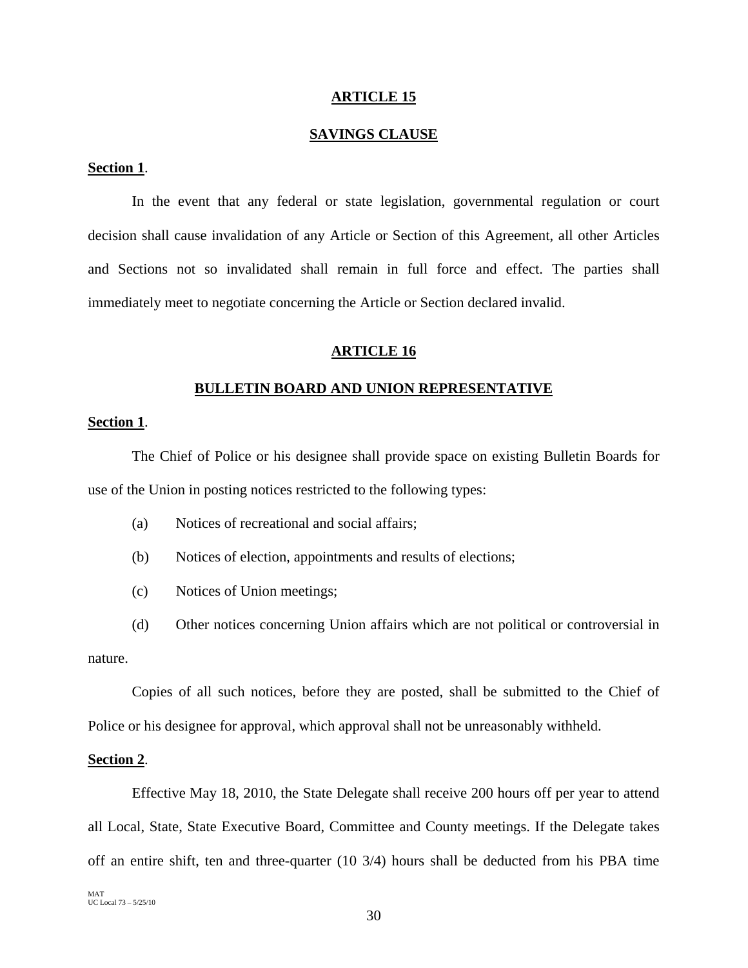#### **ARTICLE 15**

# **SAVINGS CLAUSE**

# **Section 1**.

In the event that any federal or state legislation, governmental regulation or court decision shall cause invalidation of any Article or Section of this Agreement, all other Articles and Sections not so invalidated shall remain in full force and effect. The parties shall immediately meet to negotiate concerning the Article or Section declared invalid.

# **ARTICLE 16**

# **BULLETIN BOARD AND UNION REPRESENTATIVE**

# **Section 1**.

The Chief of Police or his designee shall provide space on existing Bulletin Boards for use of the Union in posting notices restricted to the following types:

- (a) Notices of recreational and social affairs;
- (b) Notices of election, appointments and results of elections;
- (c) Notices of Union meetings;

(d) Other notices concerning Union affairs which are not political or controversial in nature.

Copies of all such notices, before they are posted, shall be submitted to the Chief of Police or his designee for approval, which approval shall not be unreasonably withheld.

# **Section 2**.

Effective May 18, 2010, the State Delegate shall receive 200 hours off per year to attend all Local, State, State Executive Board, Committee and County meetings. If the Delegate takes off an entire shift, ten and three-quarter (10 3/4) hours shall be deducted from his PBA time

MAT UC Local 73 – 5/25/10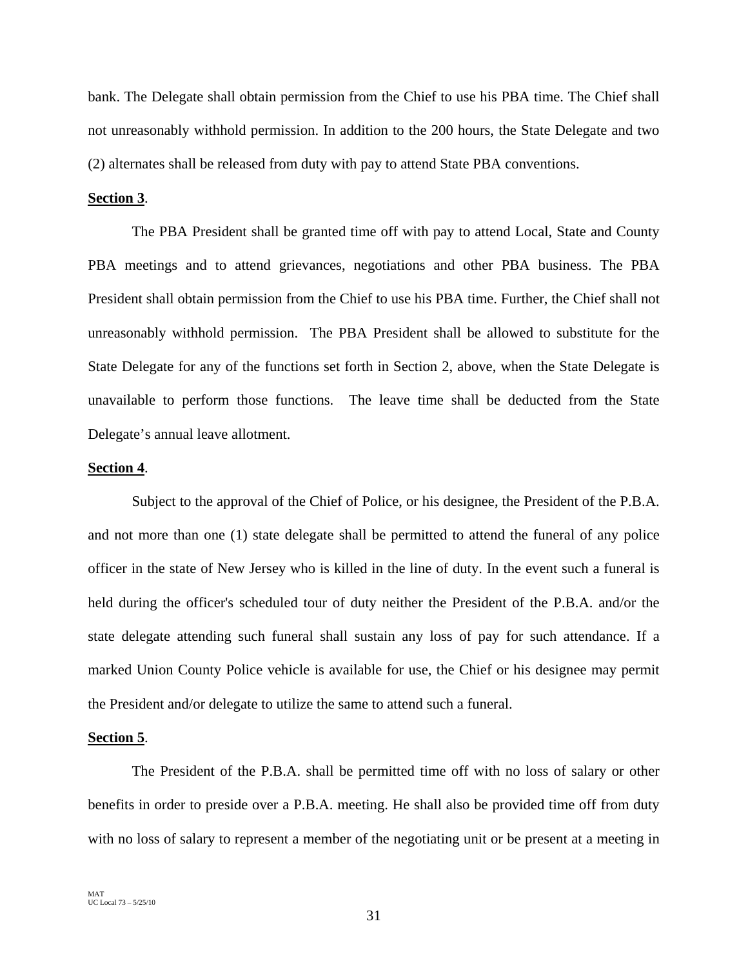bank. The Delegate shall obtain permission from the Chief to use his PBA time. The Chief shall not unreasonably withhold permission. In addition to the 200 hours, the State Delegate and two (2) alternates shall be released from duty with pay to attend State PBA conventions.

# **Section 3**.

The PBA President shall be granted time off with pay to attend Local, State and County PBA meetings and to attend grievances, negotiations and other PBA business. The PBA President shall obtain permission from the Chief to use his PBA time. Further, the Chief shall not unreasonably withhold permission. The PBA President shall be allowed to substitute for the State Delegate for any of the functions set forth in Section 2, above, when the State Delegate is unavailable to perform those functions. The leave time shall be deducted from the State Delegate's annual leave allotment.

#### **Section 4**.

Subject to the approval of the Chief of Police, or his designee, the President of the P.B.A. and not more than one (1) state delegate shall be permitted to attend the funeral of any police officer in the state of New Jersey who is killed in the line of duty. In the event such a funeral is held during the officer's scheduled tour of duty neither the President of the P.B.A. and/or the state delegate attending such funeral shall sustain any loss of pay for such attendance. If a marked Union County Police vehicle is available for use, the Chief or his designee may permit the President and/or delegate to utilize the same to attend such a funeral.

#### **Section 5**.

The President of the P.B.A. shall be permitted time off with no loss of salary or other benefits in order to preside over a P.B.A. meeting. He shall also be provided time off from duty with no loss of salary to represent a member of the negotiating unit or be present at a meeting in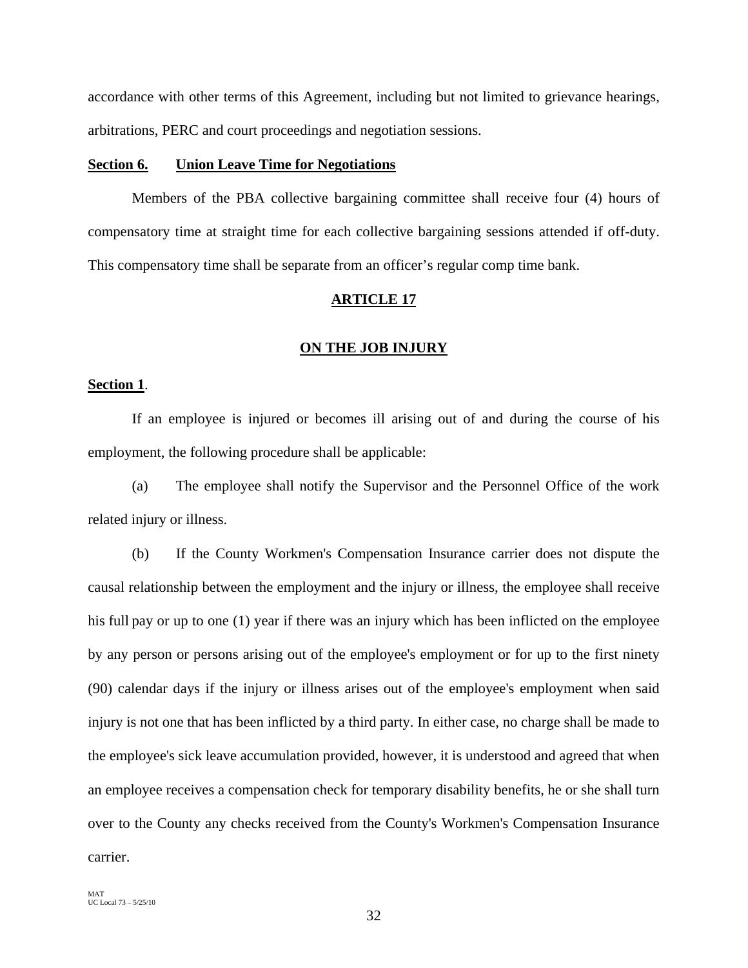accordance with other terms of this Agreement, including but not limited to grievance hearings, arbitrations, PERC and court proceedings and negotiation sessions.

# **Section 6. Union Leave Time for Negotiations**

Members of the PBA collective bargaining committee shall receive four (4) hours of compensatory time at straight time for each collective bargaining sessions attended if off-duty. This compensatory time shall be separate from an officer's regular comp time bank.

#### **ARTICLE 17**

#### **ON THE JOB INJURY**

# **Section 1**.

If an employee is injured or becomes ill arising out of and during the course of his employment, the following procedure shall be applicable:

(a) The employee shall notify the Supervisor and the Personnel Office of the work related injury or illness.

(b) If the County Workmen's Compensation Insurance carrier does not dispute the causal relationship between the employment and the injury or illness, the employee shall receive his full pay or up to one (1) year if there was an injury which has been inflicted on the employee by any person or persons arising out of the employee's employment or for up to the first ninety (90) calendar days if the injury or illness arises out of the employee's employment when said injury is not one that has been inflicted by a third party. In either case, no charge shall be made to the employee's sick leave accumulation provided, however, it is understood and agreed that when an employee receives a compensation check for temporary disability benefits, he or she shall turn over to the County any checks received from the County's Workmen's Compensation Insurance carrier.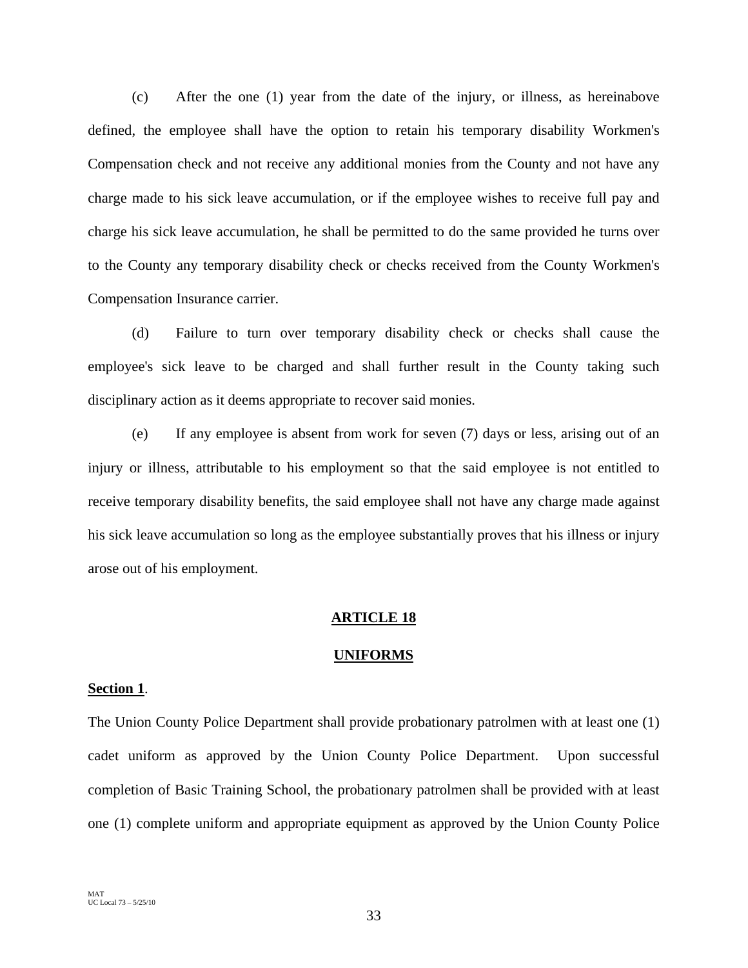(c) After the one (1) year from the date of the injury, or illness, as hereinabove defined, the employee shall have the option to retain his temporary disability Workmen's Compensation check and not receive any additional monies from the County and not have any charge made to his sick leave accumulation, or if the employee wishes to receive full pay and charge his sick leave accumulation, he shall be permitted to do the same provided he turns over to the County any temporary disability check or checks received from the County Workmen's Compensation Insurance carrier.

(d) Failure to turn over temporary disability check or checks shall cause the employee's sick leave to be charged and shall further result in the County taking such disciplinary action as it deems appropriate to recover said monies.

(e) If any employee is absent from work for seven (7) days or less, arising out of an injury or illness, attributable to his employment so that the said employee is not entitled to receive temporary disability benefits, the said employee shall not have any charge made against his sick leave accumulation so long as the employee substantially proves that his illness or injury arose out of his employment.

# **ARTICLE 18**

# **UNIFORMS**

#### **Section 1**.

The Union County Police Department shall provide probationary patrolmen with at least one (1) cadet uniform as approved by the Union County Police Department. Upon successful completion of Basic Training School, the probationary patrolmen shall be provided with at least one (1) complete uniform and appropriate equipment as approved by the Union County Police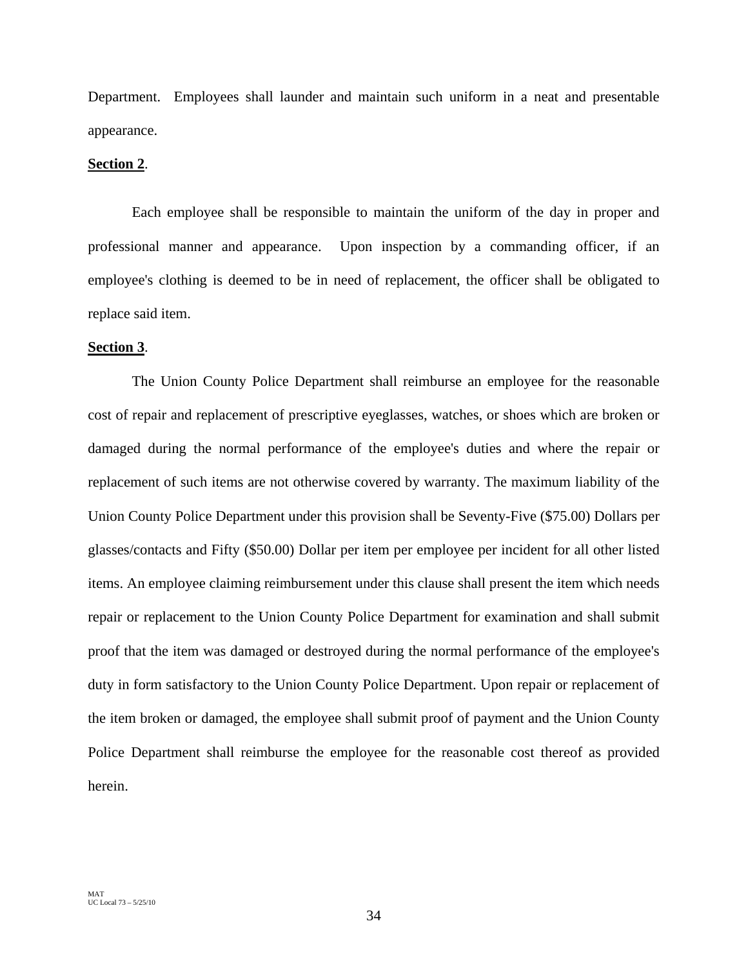Department. Employees shall launder and maintain such uniform in a neat and presentable appearance.

# **Section 2**.

Each employee shall be responsible to maintain the uniform of the day in proper and professional manner and appearance. Upon inspection by a commanding officer, if an employee's clothing is deemed to be in need of replacement, the officer shall be obligated to replace said item.

#### **Section 3**.

 The Union County Police Department shall reimburse an employee for the reasonable cost of repair and replacement of prescriptive eyeglasses, watches, or shoes which are broken or damaged during the normal performance of the employee's duties and where the repair or replacement of such items are not otherwise covered by warranty. The maximum liability of the Union County Police Department under this provision shall be Seventy-Five (\$75.00) Dollars per glasses/contacts and Fifty (\$50.00) Dollar per item per employee per incident for all other listed items. An employee claiming reimbursement under this clause shall present the item which needs repair or replacement to the Union County Police Department for examination and shall submit proof that the item was damaged or destroyed during the normal performance of the employee's duty in form satisfactory to the Union County Police Department. Upon repair or replacement of the item broken or damaged, the employee shall submit proof of payment and the Union County Police Department shall reimburse the employee for the reasonable cost thereof as provided herein.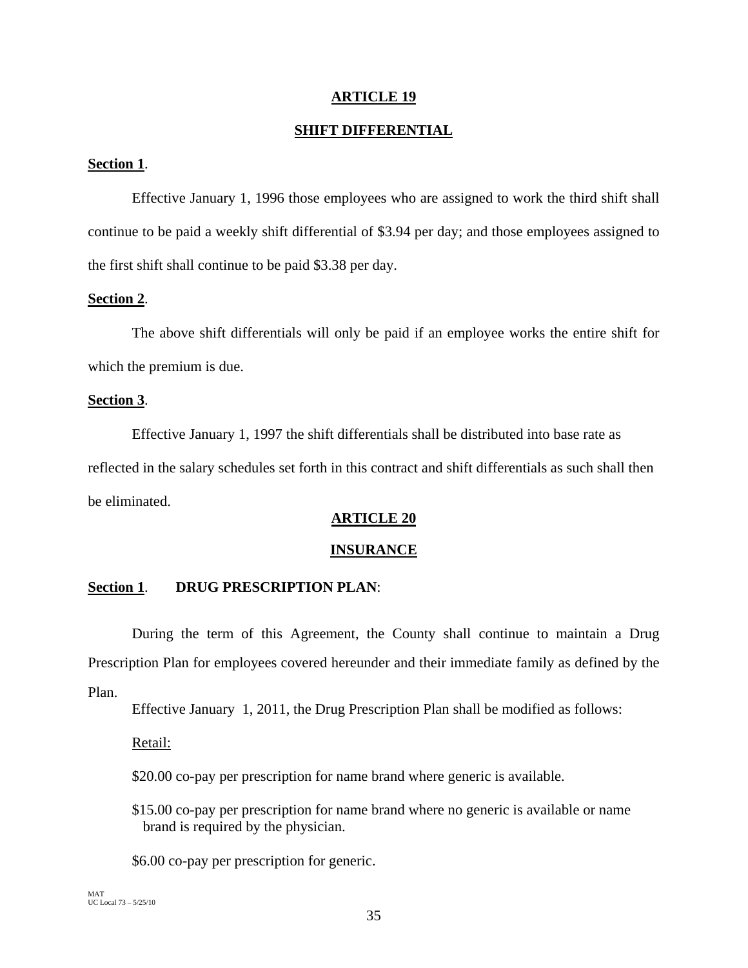# **ARTICLE 19**

# **SHIFT DIFFERENTIAL**

# **Section 1**.

Effective January 1, 1996 those employees who are assigned to work the third shift shall continue to be paid a weekly shift differential of \$3.94 per day; and those employees assigned to the first shift shall continue to be paid \$3.38 per day.

# **Section 2**.

The above shift differentials will only be paid if an employee works the entire shift for which the premium is due.

# **Section 3**.

Effective January 1, 1997 the shift differentials shall be distributed into base rate as reflected in the salary schedules set forth in this contract and shift differentials as such shall then be eliminated.

# **ARTICLE 20**

# **INSURANCE**

# **Section 1**. **DRUG PRESCRIPTION PLAN**:

 During the term of this Agreement, the County shall continue to maintain a Drug Prescription Plan for employees covered hereunder and their immediate family as defined by the Plan.

Effective January 1, 2011, the Drug Prescription Plan shall be modified as follows:

Retail:

\$20.00 co-pay per prescription for name brand where generic is available.

\$15.00 co-pay per prescription for name brand where no generic is available or name brand is required by the physician.

\$6.00 co-pay per prescription for generic.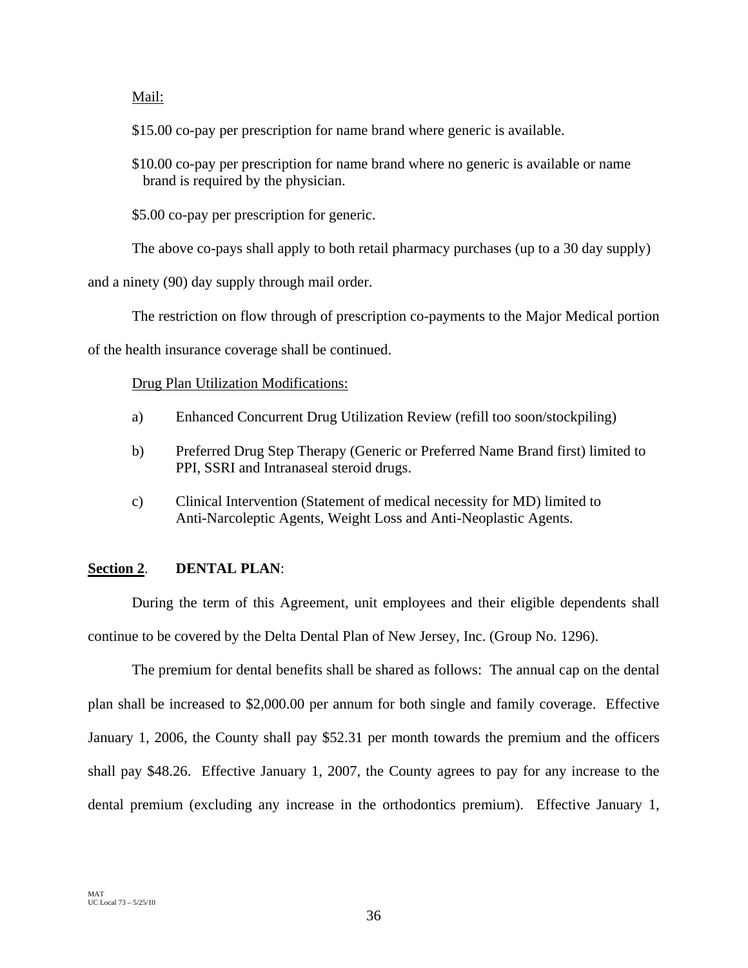Mail:

\$15.00 co-pay per prescription for name brand where generic is available.

\$10.00 co-pay per prescription for name brand where no generic is available or name brand is required by the physician.

\$5.00 co-pay per prescription for generic.

The above co-pays shall apply to both retail pharmacy purchases (up to a 30 day supply)

and a ninety (90) day supply through mail order.

The restriction on flow through of prescription co-payments to the Major Medical portion

of the health insurance coverage shall be continued.

# Drug Plan Utilization Modifications:

- a) Enhanced Concurrent Drug Utilization Review (refill too soon/stockpiling)
- b) Preferred Drug Step Therapy (Generic or Preferred Name Brand first) limited to PPI, SSRI and Intranaseal steroid drugs.
- c) Clinical Intervention (Statement of medical necessity for MD) limited to Anti-Narcoleptic Agents, Weight Loss and Anti-Neoplastic Agents.

# **Section 2**. **DENTAL PLAN**:

During the term of this Agreement, unit employees and their eligible dependents shall continue to be covered by the Delta Dental Plan of New Jersey, Inc. (Group No. 1296).

The premium for dental benefits shall be shared as follows: The annual cap on the dental plan shall be increased to \$2,000.00 per annum for both single and family coverage. Effective January 1, 2006, the County shall pay \$52.31 per month towards the premium and the officers shall pay \$48.26. Effective January 1, 2007, the County agrees to pay for any increase to the dental premium (excluding any increase in the orthodontics premium). Effective January 1,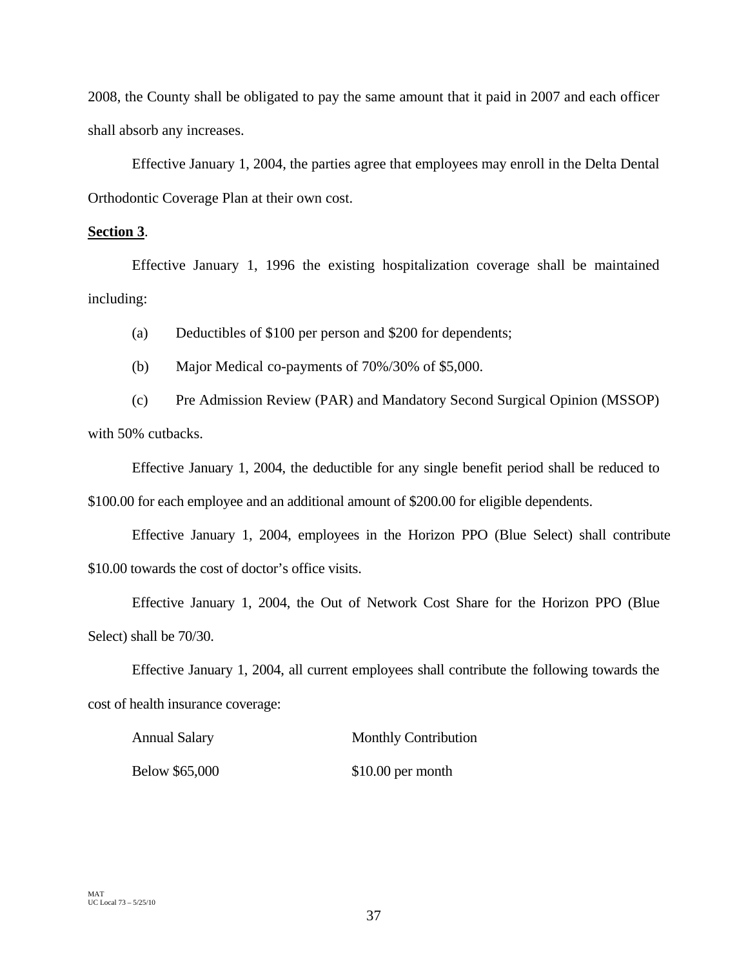2008, the County shall be obligated to pay the same amount that it paid in 2007 and each officer shall absorb any increases.

Effective January 1, 2004, the parties agree that employees may enroll in the Delta Dental Orthodontic Coverage Plan at their own cost.

# **Section 3**.

Effective January 1, 1996 the existing hospitalization coverage shall be maintained including:

(a) Deductibles of \$100 per person and \$200 for dependents;

(b) Major Medical co-payments of 70%/30% of \$5,000.

(c) Pre Admission Review (PAR) and Mandatory Second Surgical Opinion (MSSOP) with 50% cutbacks.

 Effective January 1, 2004, the deductible for any single benefit period shall be reduced to \$100.00 for each employee and an additional amount of \$200.00 for eligible dependents.

 Effective January 1, 2004, employees in the Horizon PPO (Blue Select) shall contribute \$10.00 towards the cost of doctor's office visits.

Effective January 1, 2004, the Out of Network Cost Share for the Horizon PPO (Blue Select) shall be 70/30.

Effective January 1, 2004, all current employees shall contribute the following towards the cost of health insurance coverage:

| <b>Annual Salary</b> | <b>Monthly Contribution</b> |
|----------------------|-----------------------------|
| Below \$65,000       | $$10.00$ per month          |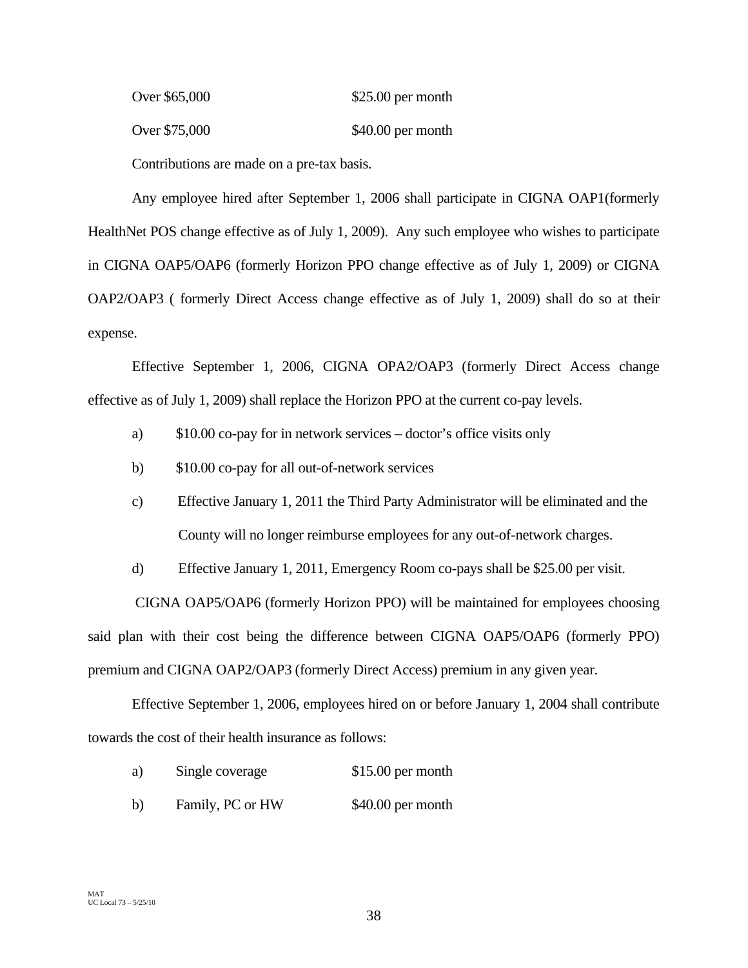| Over \$65,000 | $$25.00$ per month |
|---------------|--------------------|
| Over \$75,000 | $$40.00$ per month |

Contributions are made on a pre-tax basis.

Any employee hired after September 1, 2006 shall participate in CIGNA OAP1(formerly HealthNet POS change effective as of July 1, 2009). Any such employee who wishes to participate in CIGNA OAP5/OAP6 (formerly Horizon PPO change effective as of July 1, 2009) or CIGNA OAP2/OAP3 ( formerly Direct Access change effective as of July 1, 2009) shall do so at their expense.

Effective September 1, 2006, CIGNA OPA2/OAP3 (formerly Direct Access change effective as of July 1, 2009) shall replace the Horizon PPO at the current co-pay levels.

- a) \$10.00 co-pay for in network services doctor's office visits only
- b) \$10.00 co-pay for all out-of-network services
- c) Effective January 1, 2011 the Third Party Administrator will be eliminated and the County will no longer reimburse employees for any out-of-network charges.
- d) Effective January 1, 2011, Emergency Room co-pays shall be \$25.00 per visit.

 CIGNA OAP5/OAP6 (formerly Horizon PPO) will be maintained for employees choosing said plan with their cost being the difference between CIGNA OAP5/OAP6 (formerly PPO) premium and CIGNA OAP2/OAP3 (formerly Direct Access) premium in any given year.

Effective September 1, 2006, employees hired on or before January 1, 2004 shall contribute towards the cost of their health insurance as follows:

- a) Single coverage \$15.00 per month
- b) Family, PC or HW \$40.00 per month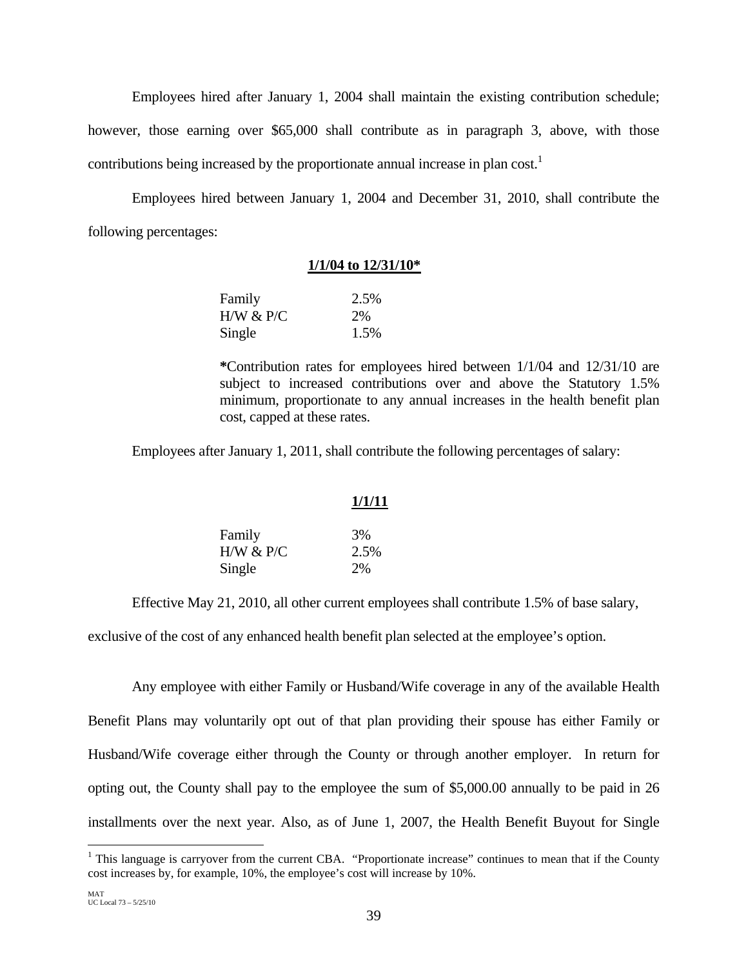Employees hired after January 1, 2004 shall maintain the existing contribution schedule; however, those earning over \$65,000 shall contribute as in paragraph 3, above, with those contributions being increased by the proportionate annual increase in plan cost.<sup>1</sup>

Employees hired between January 1, 2004 and December 31, 2010, shall contribute the following percentages:

# **1/1/04 to 12/31/10\***

| Family    | 2.5% |
|-----------|------|
| H/W & P/C | 2%   |
| Single    | 1.5% |

**\***Contribution rates for employees hired between 1/1/04 and 12/31/10 are subject to increased contributions over and above the Statutory 1.5% minimum, proportionate to any annual increases in the health benefit plan cost, capped at these rates.

Employees after January 1, 2011, shall contribute the following percentages of salary:

|           | 1/1/11 |
|-----------|--------|
| Family    | 3%     |
| H/W & P/C | 2.5%   |
| Single    | 2%     |

Effective May 21, 2010, all other current employees shall contribute 1.5% of base salary,

exclusive of the cost of any enhanced health benefit plan selected at the employee's option.

Any employee with either Family or Husband/Wife coverage in any of the available Health Benefit Plans may voluntarily opt out of that plan providing their spouse has either Family or Husband/Wife coverage either through the County or through another employer. In return for opting out, the County shall pay to the employee the sum of \$5,000.00 annually to be paid in 26 installments over the next year. Also, as of June 1, 2007, the Health Benefit Buyout for Single

<sup>&</sup>lt;sup>1</sup> This language is carryover from the current CBA. "Proportionate increase" continues to mean that if the County cost increases by, for example, 10%, the employee's cost will increase by 10%.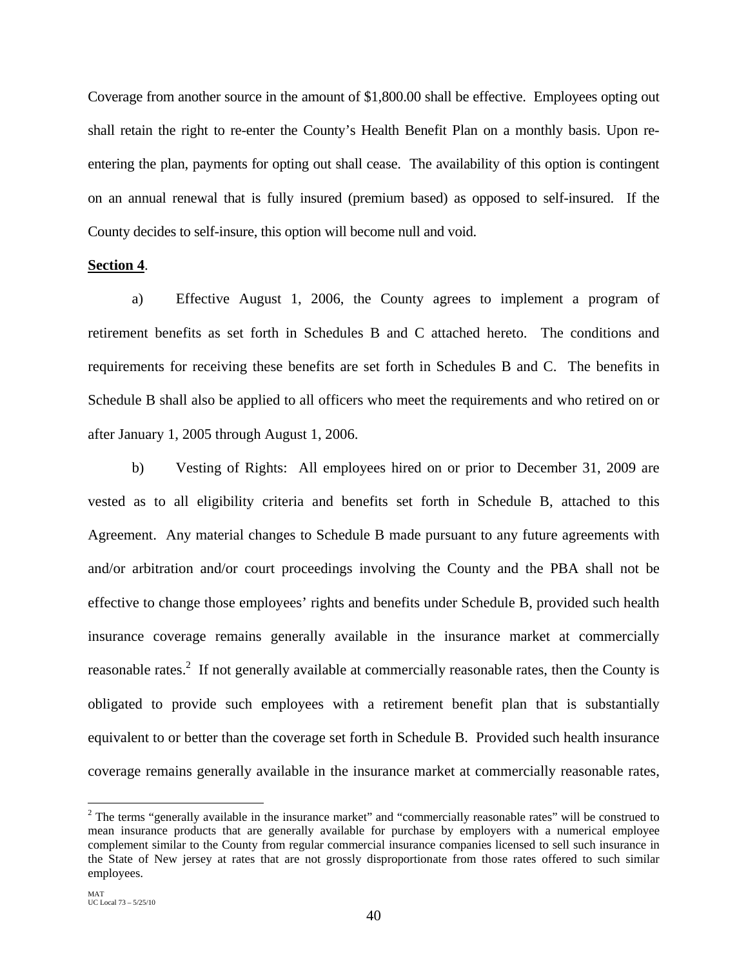Coverage from another source in the amount of \$1,800.00 shall be effective. Employees opting out shall retain the right to re-enter the County's Health Benefit Plan on a monthly basis. Upon reentering the plan, payments for opting out shall cease. The availability of this option is contingent on an annual renewal that is fully insured (premium based) as opposed to self-insured. If the County decides to self-insure, this option will become null and void.

### **Section 4**.

a) Effective August 1, 2006, the County agrees to implement a program of retirement benefits as set forth in Schedules B and C attached hereto. The conditions and requirements for receiving these benefits are set forth in Schedules B and C. The benefits in Schedule B shall also be applied to all officers who meet the requirements and who retired on or after January 1, 2005 through August 1, 2006.

b) Vesting of Rights: All employees hired on or prior to December 31, 2009 are vested as to all eligibility criteria and benefits set forth in Schedule B, attached to this Agreement. Any material changes to Schedule B made pursuant to any future agreements with and/or arbitration and/or court proceedings involving the County and the PBA shall not be effective to change those employees' rights and benefits under Schedule B, provided such health insurance coverage remains generally available in the insurance market at commercially reasonable rates.<sup>2</sup> If not generally available at commercially reasonable rates, then the County is obligated to provide such employees with a retirement benefit plan that is substantially equivalent to or better than the coverage set forth in Schedule B. Provided such health insurance coverage remains generally available in the insurance market at commercially reasonable rates,

 $\overline{a}$ 

 $2$  The terms "generally available in the insurance market" and "commercially reasonable rates" will be construed to mean insurance products that are generally available for purchase by employers with a numerical employee complement similar to the County from regular commercial insurance companies licensed to sell such insurance in the State of New jersey at rates that are not grossly disproportionate from those rates offered to such similar employees.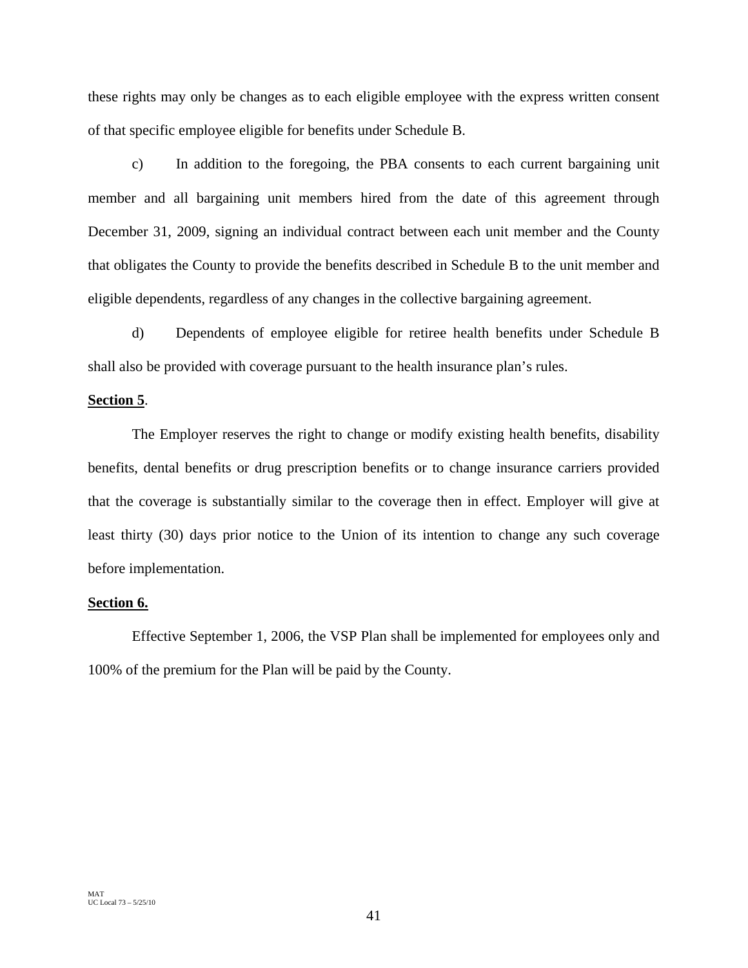these rights may only be changes as to each eligible employee with the express written consent of that specific employee eligible for benefits under Schedule B.

c) In addition to the foregoing, the PBA consents to each current bargaining unit member and all bargaining unit members hired from the date of this agreement through December 31, 2009, signing an individual contract between each unit member and the County that obligates the County to provide the benefits described in Schedule B to the unit member and eligible dependents, regardless of any changes in the collective bargaining agreement.

d) Dependents of employee eligible for retiree health benefits under Schedule B shall also be provided with coverage pursuant to the health insurance plan's rules.

# **Section 5**.

The Employer reserves the right to change or modify existing health benefits, disability benefits, dental benefits or drug prescription benefits or to change insurance carriers provided that the coverage is substantially similar to the coverage then in effect. Employer will give at least thirty (30) days prior notice to the Union of its intention to change any such coverage before implementation.

# **Section 6.**

Effective September 1, 2006, the VSP Plan shall be implemented for employees only and 100% of the premium for the Plan will be paid by the County.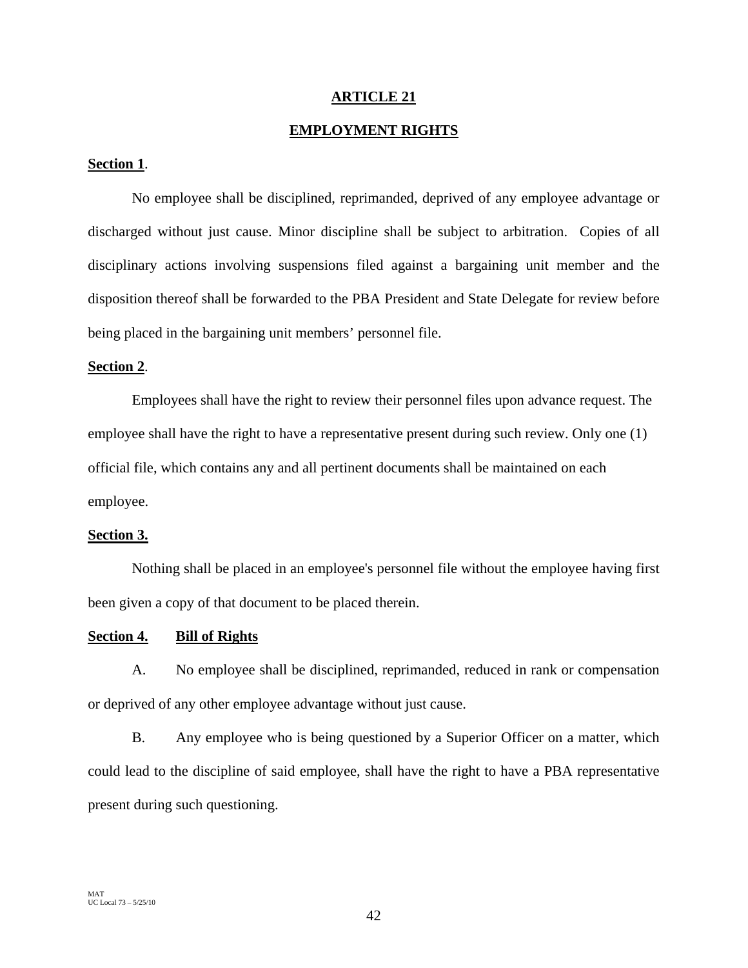# **ARTICLE 21**

# **EMPLOYMENT RIGHTS**

# **Section 1**.

No employee shall be disciplined, reprimanded, deprived of any employee advantage or discharged without just cause. Minor discipline shall be subject to arbitration. Copies of all disciplinary actions involving suspensions filed against a bargaining unit member and the disposition thereof shall be forwarded to the PBA President and State Delegate for review before being placed in the bargaining unit members' personnel file.

#### **Section 2**.

Employees shall have the right to review their personnel files upon advance request. The employee shall have the right to have a representative present during such review. Only one (1) official file, which contains any and all pertinent documents shall be maintained on each employee.

#### **Section 3.**

Nothing shall be placed in an employee's personnel file without the employee having first been given a copy of that document to be placed therein.

# **Section 4. Bill of Rights**

A. No employee shall be disciplined, reprimanded, reduced in rank or compensation or deprived of any other employee advantage without just cause.

B. Any employee who is being questioned by a Superior Officer on a matter, which could lead to the discipline of said employee, shall have the right to have a PBA representative present during such questioning.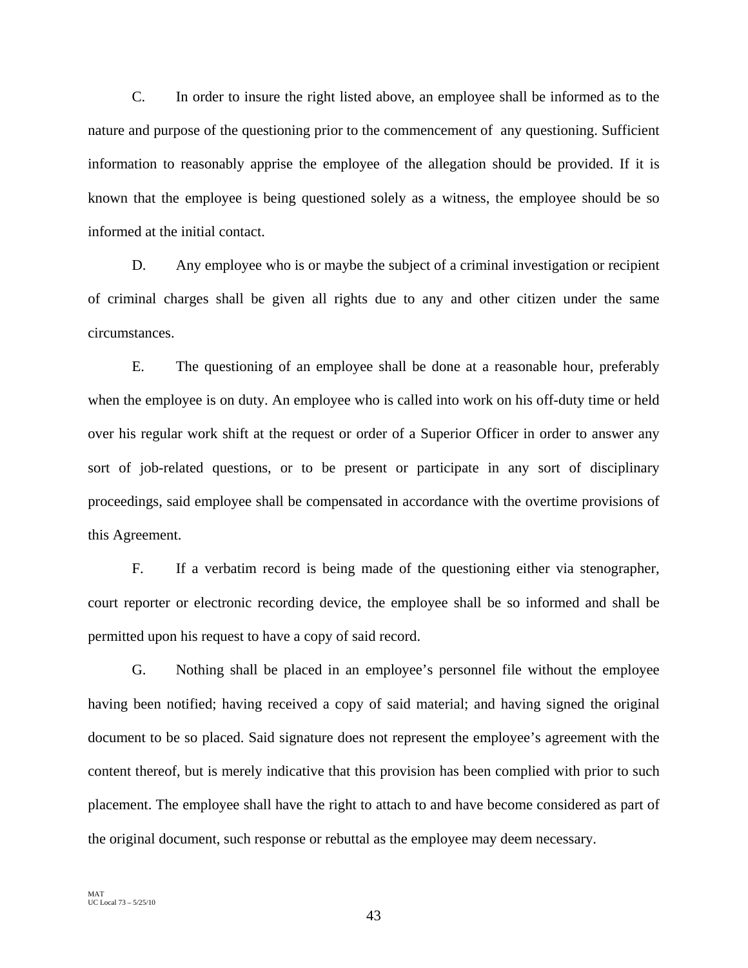C. In order to insure the right listed above, an employee shall be informed as to the nature and purpose of the questioning prior to the commencement of any questioning. Sufficient information to reasonably apprise the employee of the allegation should be provided. If it is known that the employee is being questioned solely as a witness, the employee should be so informed at the initial contact.

D. Any employee who is or maybe the subject of a criminal investigation or recipient of criminal charges shall be given all rights due to any and other citizen under the same circumstances.

 E. The questioning of an employee shall be done at a reasonable hour, preferably when the employee is on duty. An employee who is called into work on his off-duty time or held over his regular work shift at the request or order of a Superior Officer in order to answer any sort of job-related questions, or to be present or participate in any sort of disciplinary proceedings, said employee shall be compensated in accordance with the overtime provisions of this Agreement.

 F. If a verbatim record is being made of the questioning either via stenographer, court reporter or electronic recording device, the employee shall be so informed and shall be permitted upon his request to have a copy of said record.

 G. Nothing shall be placed in an employee's personnel file without the employee having been notified; having received a copy of said material; and having signed the original document to be so placed. Said signature does not represent the employee's agreement with the content thereof, but is merely indicative that this provision has been complied with prior to such placement. The employee shall have the right to attach to and have become considered as part of the original document, such response or rebuttal as the employee may deem necessary.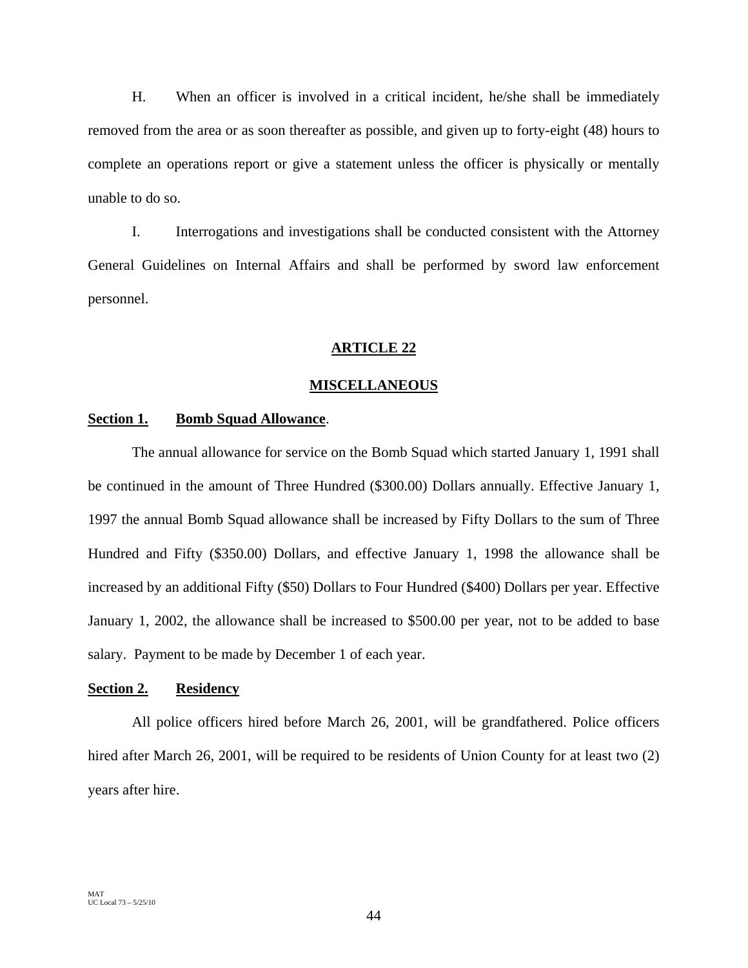H. When an officer is involved in a critical incident, he/she shall be immediately removed from the area or as soon thereafter as possible, and given up to forty-eight (48) hours to complete an operations report or give a statement unless the officer is physically or mentally unable to do so.

 I. Interrogations and investigations shall be conducted consistent with the Attorney General Guidelines on Internal Affairs and shall be performed by sword law enforcement personnel.

# **ARTICLE 22**

#### **MISCELLANEOUS**

# Section 1. Bomb Squad Allowance.

The annual allowance for service on the Bomb Squad which started January 1, 1991 shall be continued in the amount of Three Hundred (\$300.00) Dollars annually. Effective January 1, 1997 the annual Bomb Squad allowance shall be increased by Fifty Dollars to the sum of Three Hundred and Fifty (\$350.00) Dollars, and effective January 1, 1998 the allowance shall be increased by an additional Fifty (\$50) Dollars to Four Hundred (\$400) Dollars per year. Effective January 1, 2002, the allowance shall be increased to \$500.00 per year, not to be added to base salary. Payment to be made by December 1 of each year.

# **Section 2. Residency**

All police officers hired before March 26, 2001, will be grandfathered. Police officers hired after March 26, 2001, will be required to be residents of Union County for at least two  $(2)$ years after hire.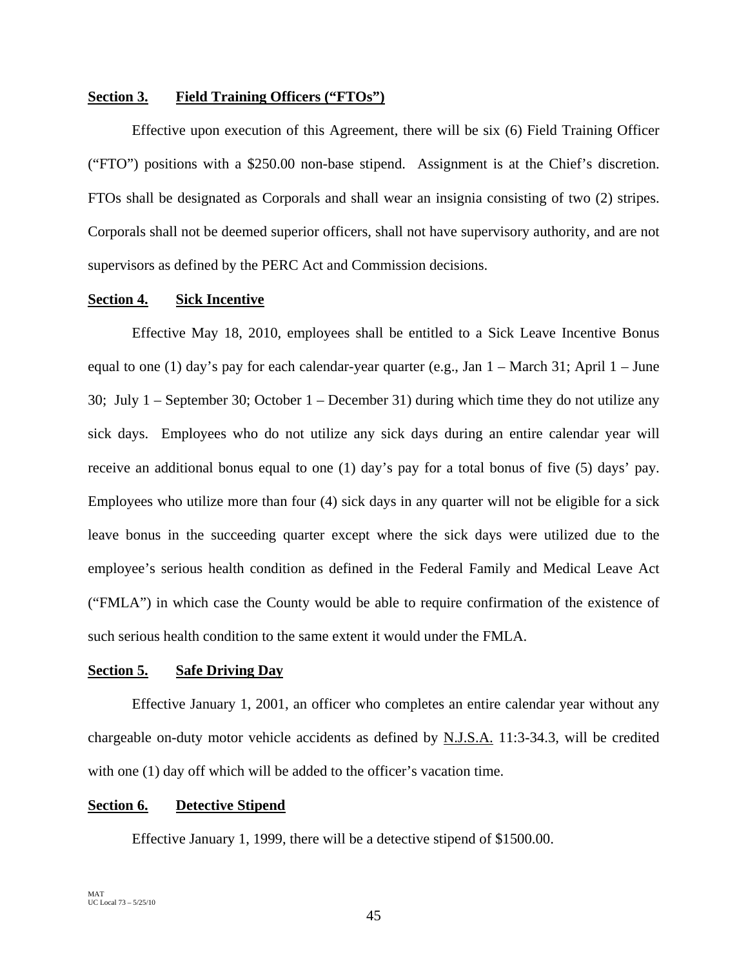# **Section 3. Field Training Officers ("FTOs")**

Effective upon execution of this Agreement, there will be six (6) Field Training Officer ("FTO") positions with a \$250.00 non-base stipend. Assignment is at the Chief's discretion. FTOs shall be designated as Corporals and shall wear an insignia consisting of two (2) stripes. Corporals shall not be deemed superior officers, shall not have supervisory authority, and are not supervisors as defined by the PERC Act and Commission decisions.

# **Section 4. Sick Incentive**

Effective May 18, 2010, employees shall be entitled to a Sick Leave Incentive Bonus equal to one (1) day's pay for each calendar-year quarter (e.g., Jan 1 – March 31; April 1 – June 30; July 1 – September 30; October 1 – December 31) during which time they do not utilize any sick days. Employees who do not utilize any sick days during an entire calendar year will receive an additional bonus equal to one (1) day's pay for a total bonus of five (5) days' pay. Employees who utilize more than four (4) sick days in any quarter will not be eligible for a sick leave bonus in the succeeding quarter except where the sick days were utilized due to the employee's serious health condition as defined in the Federal Family and Medical Leave Act ("FMLA") in which case the County would be able to require confirmation of the existence of such serious health condition to the same extent it would under the FMLA.

#### **Section 5. Safe Driving Day**

Effective January 1, 2001, an officer who completes an entire calendar year without any chargeable on-duty motor vehicle accidents as defined by **N.J.S.A.** 11:3-34.3, will be credited with one (1) day off which will be added to the officer's vacation time.

# **Section 6. Detective Stipend**

Effective January 1, 1999, there will be a detective stipend of \$1500.00.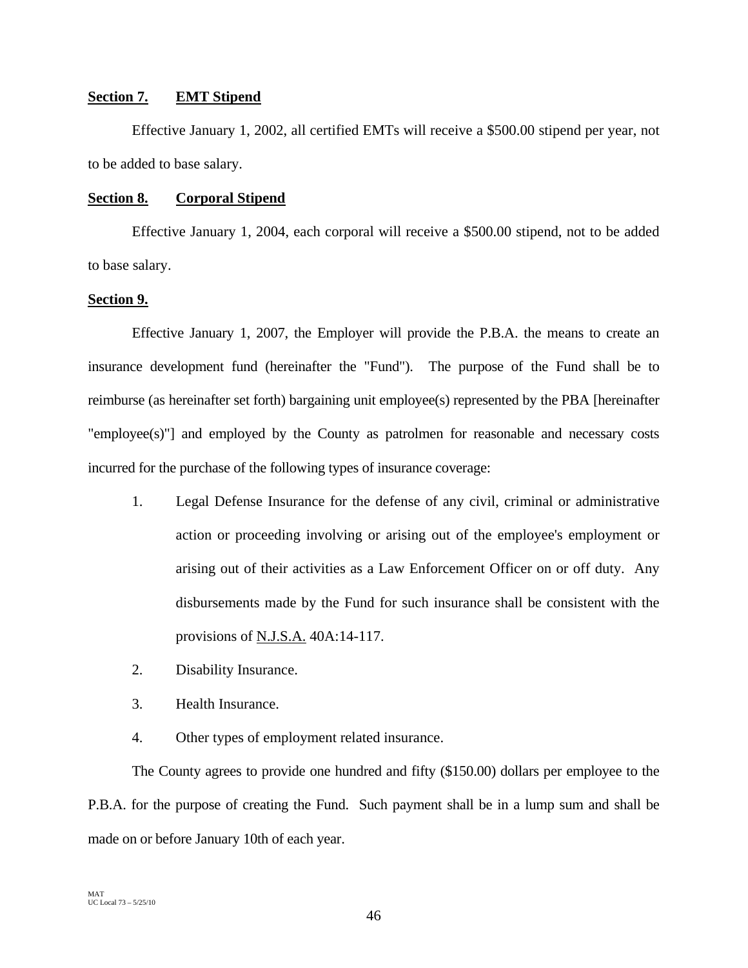# **Section 7. EMT Stipend**

Effective January 1, 2002, all certified EMTs will receive a \$500.00 stipend per year, not to be added to base salary.

# **Section 8. Corporal Stipend**

Effective January 1, 2004, each corporal will receive a \$500.00 stipend, not to be added to base salary.

# **Section 9.**

Effective January 1, 2007, the Employer will provide the P.B.A. the means to create an insurance development fund (hereinafter the "Fund"). The purpose of the Fund shall be to reimburse (as hereinafter set forth) bargaining unit employee(s) represented by the PBA [hereinafter "employee(s)"] and employed by the County as patrolmen for reasonable and necessary costs incurred for the purchase of the following types of insurance coverage:

- 1. Legal Defense Insurance for the defense of any civil, criminal or administrative action or proceeding involving or arising out of the employee's employment or arising out of their activities as a Law Enforcement Officer on or off duty. Any disbursements made by the Fund for such insurance shall be consistent with the provisions of N.J.S.A. 40A:14-117.
- 2. Disability Insurance.
- 3. Health Insurance.
- 4. Other types of employment related insurance.

The County agrees to provide one hundred and fifty (\$150.00) dollars per employee to the P.B.A. for the purpose of creating the Fund. Such payment shall be in a lump sum and shall be made on or before January 10th of each year.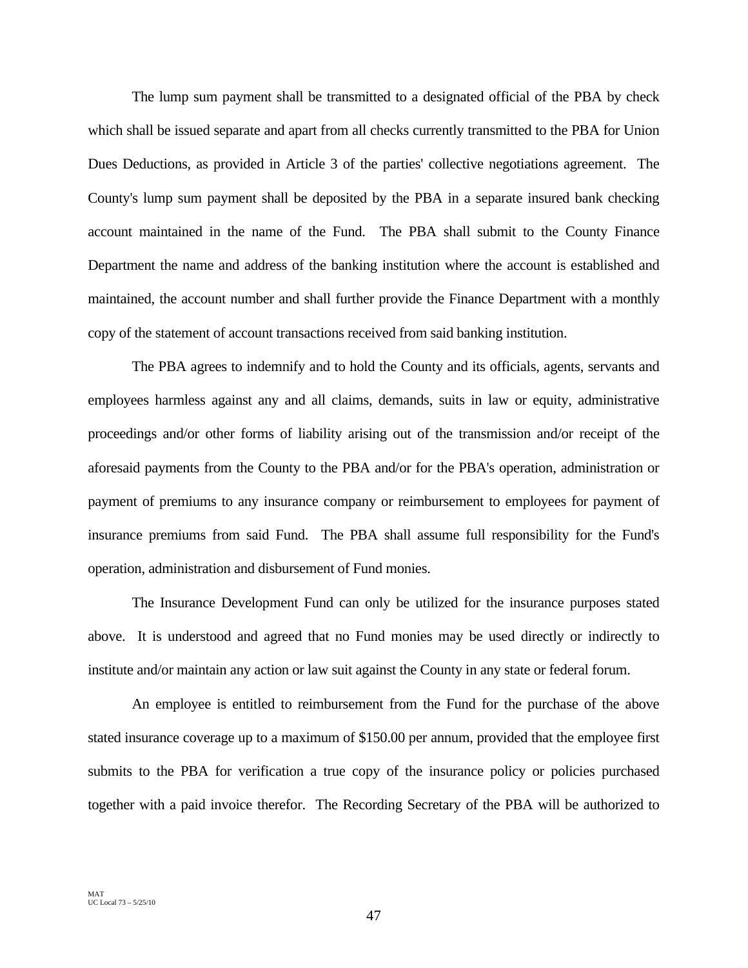The lump sum payment shall be transmitted to a designated official of the PBA by check which shall be issued separate and apart from all checks currently transmitted to the PBA for Union Dues Deductions, as provided in Article 3 of the parties' collective negotiations agreement. The County's lump sum payment shall be deposited by the PBA in a separate insured bank checking account maintained in the name of the Fund. The PBA shall submit to the County Finance Department the name and address of the banking institution where the account is established and maintained, the account number and shall further provide the Finance Department with a monthly copy of the statement of account transactions received from said banking institution.

The PBA agrees to indemnify and to hold the County and its officials, agents, servants and employees harmless against any and all claims, demands, suits in law or equity, administrative proceedings and/or other forms of liability arising out of the transmission and/or receipt of the aforesaid payments from the County to the PBA and/or for the PBA's operation, administration or payment of premiums to any insurance company or reimbursement to employees for payment of insurance premiums from said Fund. The PBA shall assume full responsibility for the Fund's operation, administration and disbursement of Fund monies.

The Insurance Development Fund can only be utilized for the insurance purposes stated above. It is understood and agreed that no Fund monies may be used directly or indirectly to institute and/or maintain any action or law suit against the County in any state or federal forum.

An employee is entitled to reimbursement from the Fund for the purchase of the above stated insurance coverage up to a maximum of \$150.00 per annum, provided that the employee first submits to the PBA for verification a true copy of the insurance policy or policies purchased together with a paid invoice therefor. The Recording Secretary of the PBA will be authorized to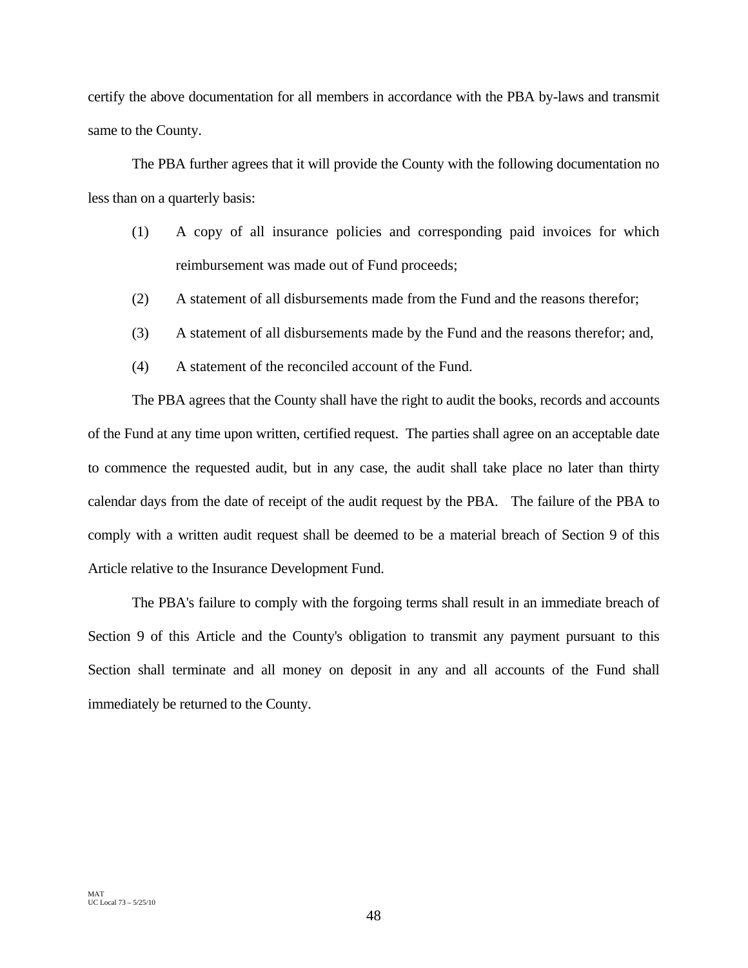certify the above documentation for all members in accordance with the PBA by-laws and transmit same to the County.

The PBA further agrees that it will provide the County with the following documentation no less than on a quarterly basis:

- (1) A copy of all insurance policies and corresponding paid invoices for which reimbursement was made out of Fund proceeds;
- (2) A statement of all disbursements made from the Fund and the reasons therefor;
- (3) A statement of all disbursements made by the Fund and the reasons therefor; and,
- (4) A statement of the reconciled account of the Fund.

The PBA agrees that the County shall have the right to audit the books, records and accounts of the Fund at any time upon written, certified request. The parties shall agree on an acceptable date to commence the requested audit, but in any case, the audit shall take place no later than thirty calendar days from the date of receipt of the audit request by the PBA. The failure of the PBA to comply with a written audit request shall be deemed to be a material breach of Section 9 of this Article relative to the Insurance Development Fund.

The PBA's failure to comply with the forgoing terms shall result in an immediate breach of Section 9 of this Article and the County's obligation to transmit any payment pursuant to this Section shall terminate and all money on deposit in any and all accounts of the Fund shall immediately be returned to the County.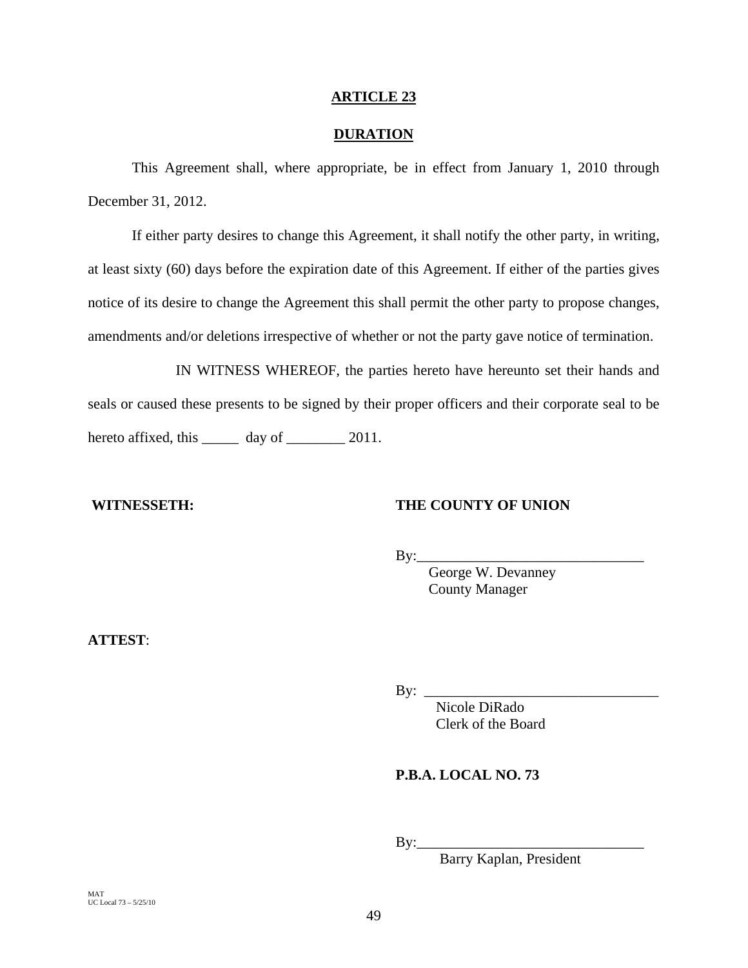# **ARTICLE 23**

# **DURATION**

This Agreement shall, where appropriate, be in effect from January 1, 2010 through December 31, 2012.

If either party desires to change this Agreement, it shall notify the other party, in writing, at least sixty (60) days before the expiration date of this Agreement. If either of the parties gives notice of its desire to change the Agreement this shall permit the other party to propose changes, amendments and/or deletions irrespective of whether or not the party gave notice of termination.

 IN WITNESS WHEREOF, the parties hereto have hereunto set their hands and seals or caused these presents to be signed by their proper officers and their corporate seal to be hereto affixed, this \_\_\_\_\_\_\_ day of \_\_\_\_\_\_\_\_ 2011.

# **WITNESSETH: THE COUNTY OF UNION**

 $By:$ 

 George W. Devanney County Manager

**ATTEST**:

By: \_\_\_\_\_\_\_\_\_\_\_\_\_\_\_\_\_\_\_\_\_\_\_\_\_\_\_\_\_\_\_\_

 Nicole DiRado Clerk of the Board

# **P.B.A. LOCAL NO. 73**

By:\_\_\_\_\_\_\_\_\_\_\_\_\_\_\_\_\_\_\_\_\_\_\_\_\_\_\_\_\_\_\_

Barry Kaplan, President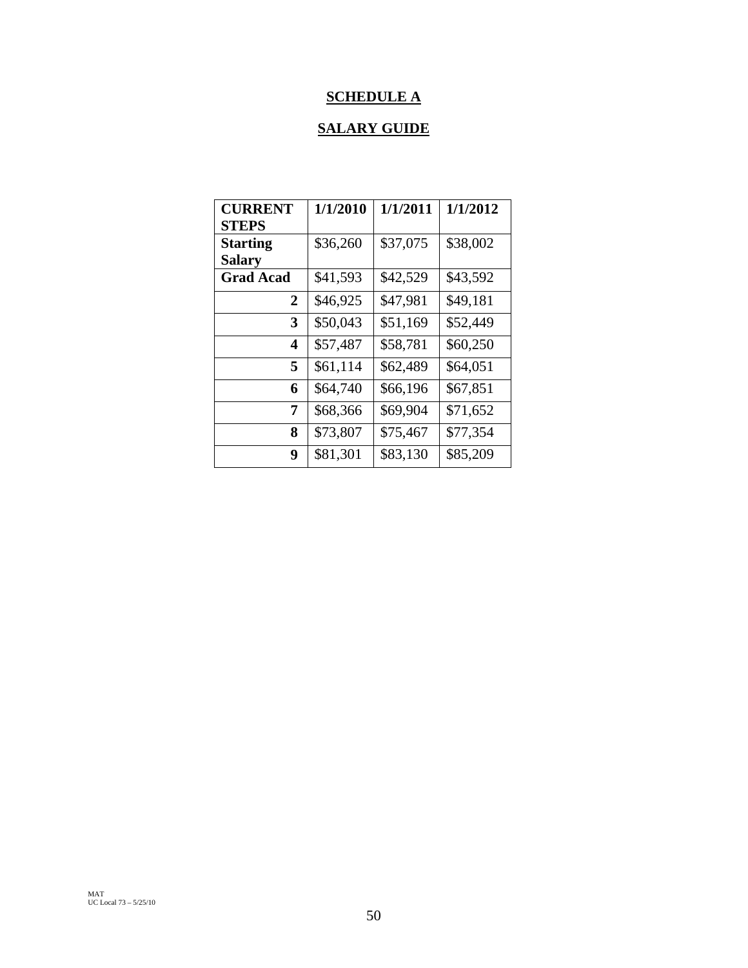# **SCHEDULE A**

# **SALARY GUIDE**

| <b>CURRENT</b>   | 1/1/2010 | 1/1/2011 | 1/1/2012 |
|------------------|----------|----------|----------|
| <b>STEPS</b>     |          |          |          |
| <b>Starting</b>  | \$36,260 | \$37,075 | \$38,002 |
| <b>Salary</b>    |          |          |          |
| <b>Grad Acad</b> | \$41,593 | \$42,529 | \$43,592 |
| $\overline{2}$   | \$46,925 | \$47,981 | \$49,181 |
| 3                | \$50,043 | \$51,169 | \$52,449 |
| 4                | \$57,487 | \$58,781 | \$60,250 |
| 5                | \$61,114 | \$62,489 | \$64,051 |
| 6                | \$64,740 | \$66,196 | \$67,851 |
| 7                | \$68,366 | \$69,904 | \$71,652 |
| 8                | \$73,807 | \$75,467 | \$77,354 |
| 9                | \$81,301 | \$83,130 | \$85,209 |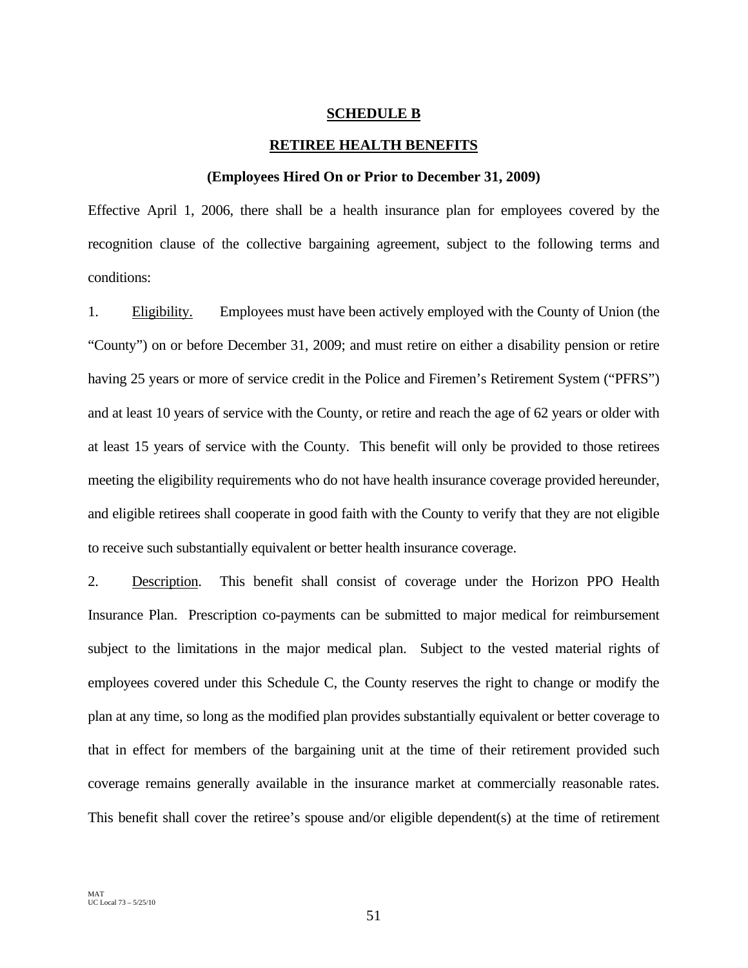## **SCHEDULE B**

#### **RETIREE HEALTH BENEFITS**

#### **(Employees Hired On or Prior to December 31, 2009)**

Effective April 1, 2006, there shall be a health insurance plan for employees covered by the recognition clause of the collective bargaining agreement, subject to the following terms and conditions:

1. Eligibility. Employees must have been actively employed with the County of Union (the "County") on or before December 31, 2009; and must retire on either a disability pension or retire having 25 years or more of service credit in the Police and Firemen's Retirement System ("PFRS") and at least 10 years of service with the County, or retire and reach the age of 62 years or older with at least 15 years of service with the County. This benefit will only be provided to those retirees meeting the eligibility requirements who do not have health insurance coverage provided hereunder, and eligible retirees shall cooperate in good faith with the County to verify that they are not eligible to receive such substantially equivalent or better health insurance coverage.

2. Description. This benefit shall consist of coverage under the Horizon PPO Health Insurance Plan. Prescription co-payments can be submitted to major medical for reimbursement subject to the limitations in the major medical plan. Subject to the vested material rights of employees covered under this Schedule C, the County reserves the right to change or modify the plan at any time, so long as the modified plan provides substantially equivalent or better coverage to that in effect for members of the bargaining unit at the time of their retirement provided such coverage remains generally available in the insurance market at commercially reasonable rates. This benefit shall cover the retiree's spouse and/or eligible dependent(s) at the time of retirement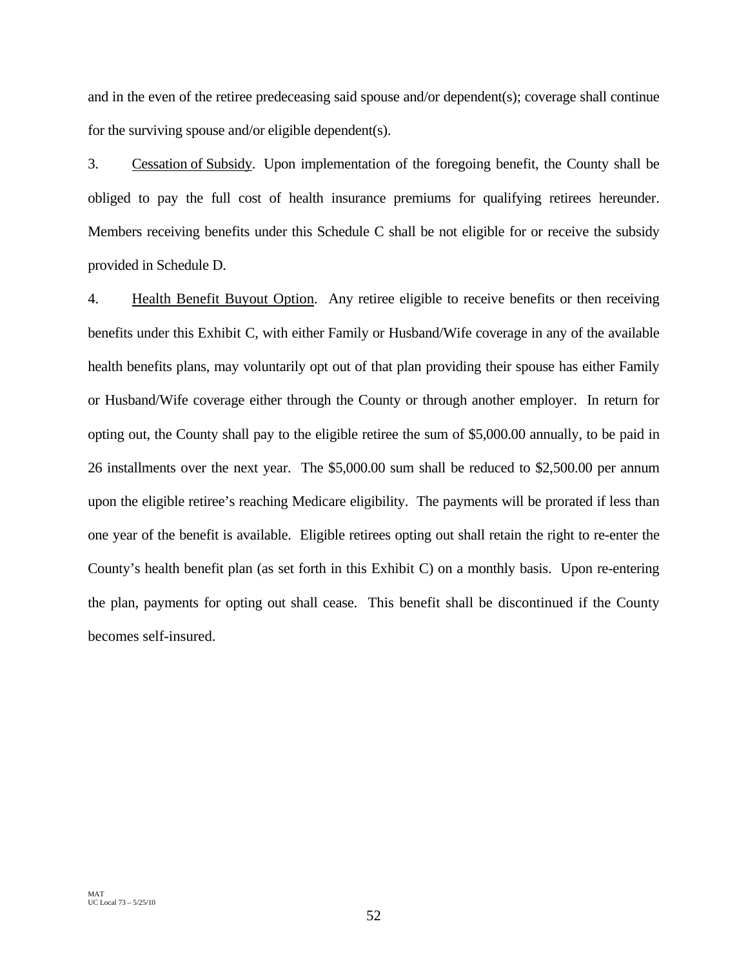and in the even of the retiree predeceasing said spouse and/or dependent(s); coverage shall continue for the surviving spouse and/or eligible dependent(s).

3. Cessation of Subsidy. Upon implementation of the foregoing benefit, the County shall be obliged to pay the full cost of health insurance premiums for qualifying retirees hereunder. Members receiving benefits under this Schedule C shall be not eligible for or receive the subsidy provided in Schedule D.

4. Health Benefit Buyout Option. Any retiree eligible to receive benefits or then receiving benefits under this Exhibit C, with either Family or Husband/Wife coverage in any of the available health benefits plans, may voluntarily opt out of that plan providing their spouse has either Family or Husband/Wife coverage either through the County or through another employer. In return for opting out, the County shall pay to the eligible retiree the sum of \$5,000.00 annually, to be paid in 26 installments over the next year. The \$5,000.00 sum shall be reduced to \$2,500.00 per annum upon the eligible retiree's reaching Medicare eligibility. The payments will be prorated if less than one year of the benefit is available. Eligible retirees opting out shall retain the right to re-enter the County's health benefit plan (as set forth in this Exhibit C) on a monthly basis. Upon re-entering the plan, payments for opting out shall cease. This benefit shall be discontinued if the County becomes self-insured.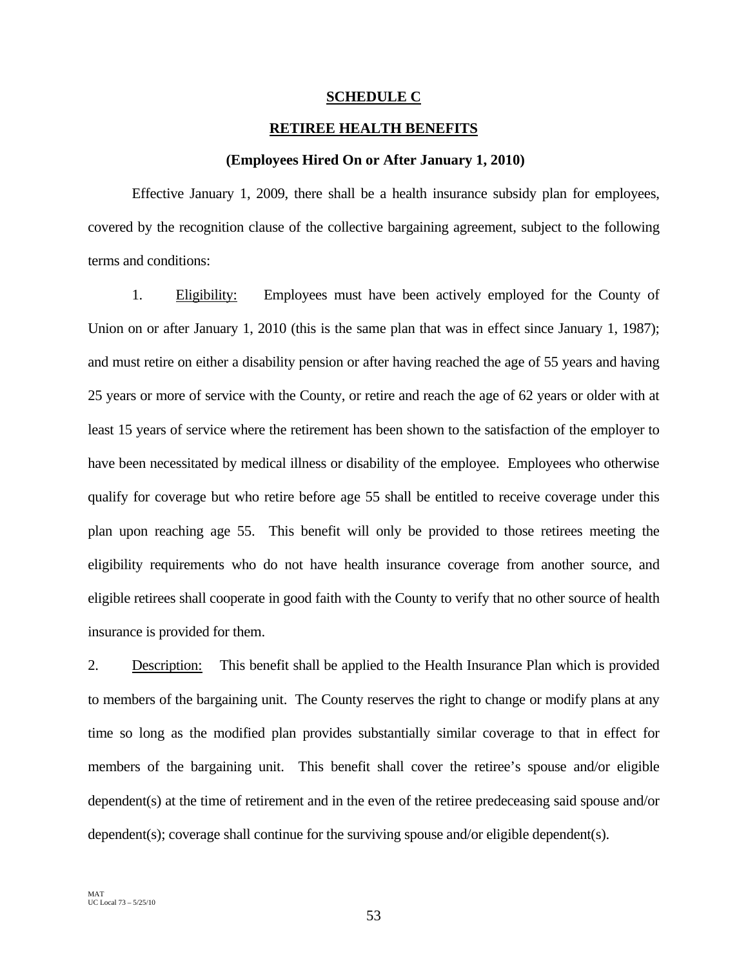# **SCHEDULE C**

# **RETIREE HEALTH BENEFITS**

### **(Employees Hired On or After January 1, 2010)**

Effective January 1, 2009, there shall be a health insurance subsidy plan for employees, covered by the recognition clause of the collective bargaining agreement, subject to the following terms and conditions:

1. Eligibility: Employees must have been actively employed for the County of Union on or after January 1, 2010 (this is the same plan that was in effect since January 1, 1987); and must retire on either a disability pension or after having reached the age of 55 years and having 25 years or more of service with the County, or retire and reach the age of 62 years or older with at least 15 years of service where the retirement has been shown to the satisfaction of the employer to have been necessitated by medical illness or disability of the employee. Employees who otherwise qualify for coverage but who retire before age 55 shall be entitled to receive coverage under this plan upon reaching age 55. This benefit will only be provided to those retirees meeting the eligibility requirements who do not have health insurance coverage from another source, and eligible retirees shall cooperate in good faith with the County to verify that no other source of health insurance is provided for them.

2. Description: This benefit shall be applied to the Health Insurance Plan which is provided to members of the bargaining unit. The County reserves the right to change or modify plans at any time so long as the modified plan provides substantially similar coverage to that in effect for members of the bargaining unit. This benefit shall cover the retiree's spouse and/or eligible dependent(s) at the time of retirement and in the even of the retiree predeceasing said spouse and/or dependent(s); coverage shall continue for the surviving spouse and/or eligible dependent(s).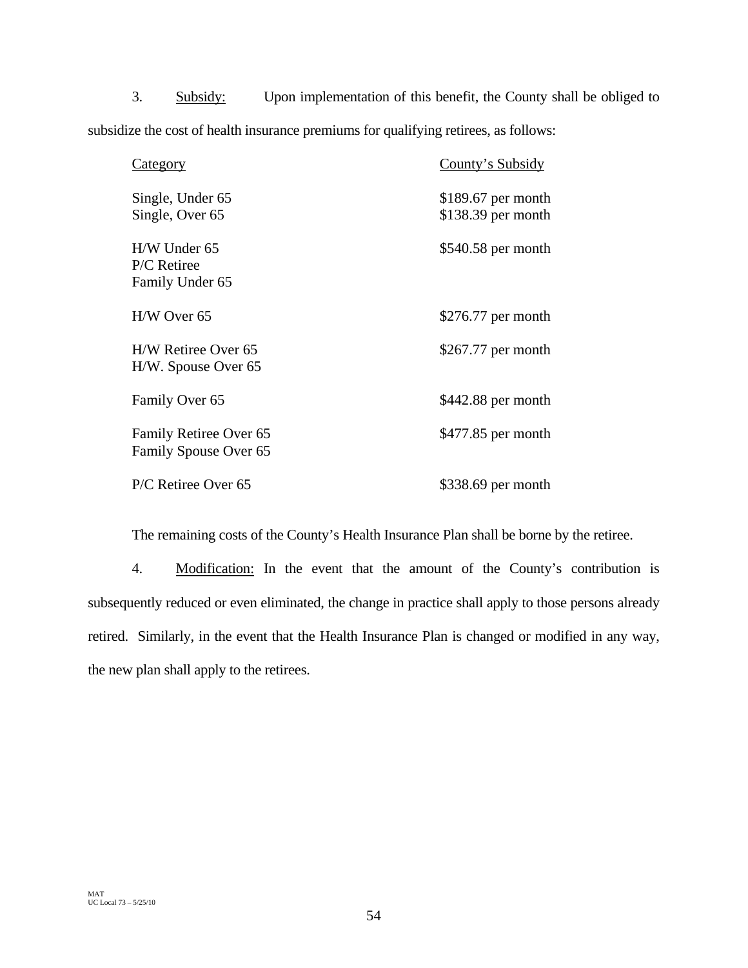3. Subsidy: Upon implementation of this benefit, the County shall be obliged to subsidize the cost of health insurance premiums for qualifying retirees, as follows:

| <u>Category</u>                                  | County's Subsidy                           |
|--------------------------------------------------|--------------------------------------------|
| Single, Under 65<br>Single, Over 65              | $$189.67$ per month<br>$$138.39$ per month |
| $H/W$ Under 65<br>P/C Retiree<br>Family Under 65 | \$540.58 per month                         |
| H/W Over 65                                      | $$276.77$ per month                        |
| H/W Retiree Over 65<br>H/W. Spouse Over 65       | $$267.77$ per month                        |
| Family Over 65                                   | $$442.88$ per month                        |
| Family Retiree Over 65<br>Family Spouse Over 65  | \$477.85 per month                         |
| P/C Retiree Over 65                              | \$338.69 per month                         |

The remaining costs of the County's Health Insurance Plan shall be borne by the retiree.

4. Modification: In the event that the amount of the County's contribution is subsequently reduced or even eliminated, the change in practice shall apply to those persons already retired. Similarly, in the event that the Health Insurance Plan is changed or modified in any way, the new plan shall apply to the retirees.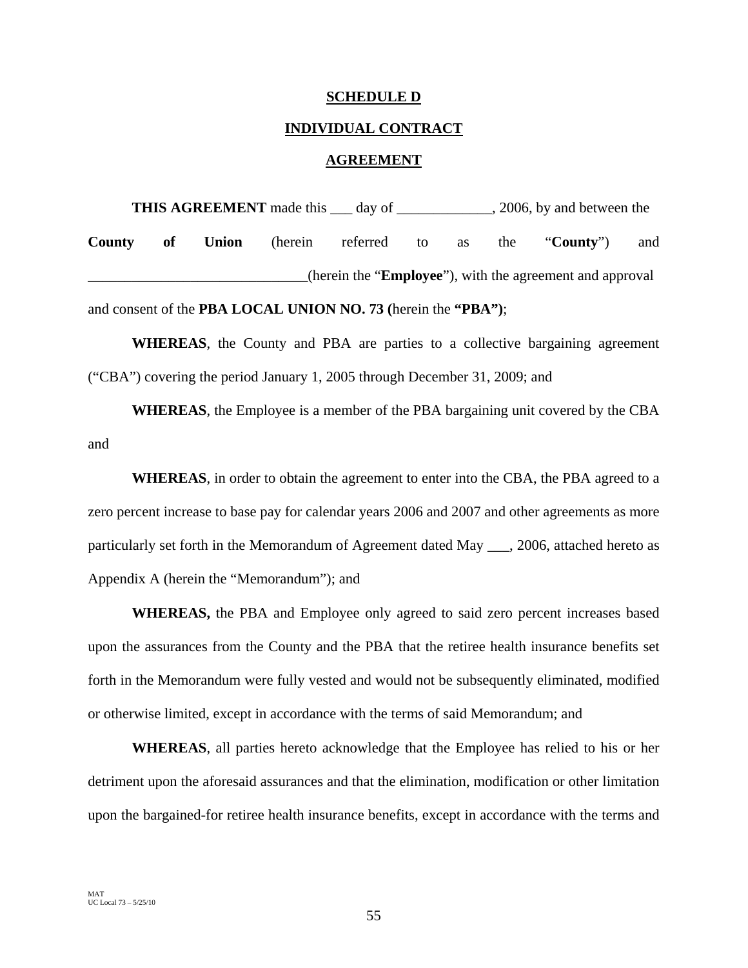# **SCHEDULE D**

# **INDIVIDUAL CONTRACT**

# **AGREEMENT**

**THIS AGREEMENT** made this \_\_\_ day of \_\_\_\_\_\_\_\_\_\_\_\_, 2006, by and between the **County of Union** (herein referred to as the "**County**") and \_\_\_\_\_\_\_\_\_\_\_\_\_\_\_\_\_\_\_\_\_\_\_\_\_\_\_\_\_\_(herein the "**Employee**"), with the agreement and approval

and consent of the **PBA LOCAL UNION NO. 73 (**herein the **"PBA")**;

**WHEREAS**, the County and PBA are parties to a collective bargaining agreement ("CBA") covering the period January 1, 2005 through December 31, 2009; and

**WHEREAS**, the Employee is a member of the PBA bargaining unit covered by the CBA and

**WHEREAS**, in order to obtain the agreement to enter into the CBA, the PBA agreed to a zero percent increase to base pay for calendar years 2006 and 2007 and other agreements as more particularly set forth in the Memorandum of Agreement dated May . 2006, attached hereto as Appendix A (herein the "Memorandum"); and

**WHEREAS,** the PBA and Employee only agreed to said zero percent increases based upon the assurances from the County and the PBA that the retiree health insurance benefits set forth in the Memorandum were fully vested and would not be subsequently eliminated, modified or otherwise limited, except in accordance with the terms of said Memorandum; and

**WHEREAS**, all parties hereto acknowledge that the Employee has relied to his or her detriment upon the aforesaid assurances and that the elimination, modification or other limitation upon the bargained-for retiree health insurance benefits, except in accordance with the terms and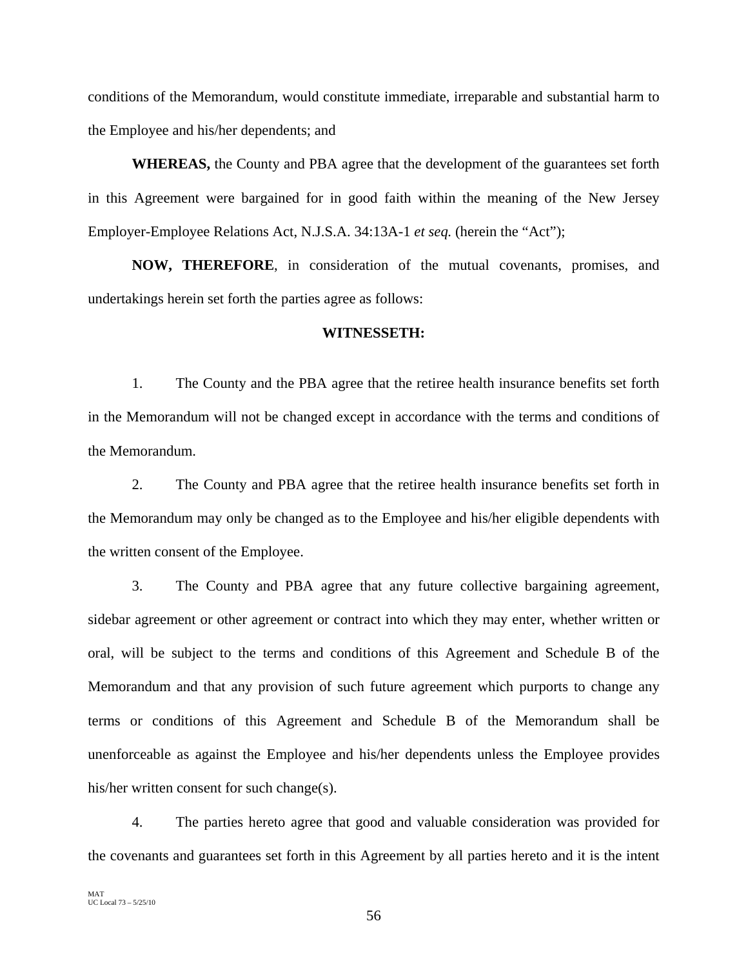conditions of the Memorandum, would constitute immediate, irreparable and substantial harm to the Employee and his/her dependents; and

**WHEREAS,** the County and PBA agree that the development of the guarantees set forth in this Agreement were bargained for in good faith within the meaning of the New Jersey Employer-Employee Relations Act, N.J.S.A. 34:13A-1 *et seq.* (herein the "Act");

**NOW, THEREFORE**, in consideration of the mutual covenants, promises, and undertakings herein set forth the parties agree as follows:

# **WITNESSETH:**

 1. The County and the PBA agree that the retiree health insurance benefits set forth in the Memorandum will not be changed except in accordance with the terms and conditions of the Memorandum.

 2. The County and PBA agree that the retiree health insurance benefits set forth in the Memorandum may only be changed as to the Employee and his/her eligible dependents with the written consent of the Employee.

 3. The County and PBA agree that any future collective bargaining agreement, sidebar agreement or other agreement or contract into which they may enter, whether written or oral, will be subject to the terms and conditions of this Agreement and Schedule B of the Memorandum and that any provision of such future agreement which purports to change any terms or conditions of this Agreement and Schedule B of the Memorandum shall be unenforceable as against the Employee and his/her dependents unless the Employee provides his/her written consent for such change(s).

 4. The parties hereto agree that good and valuable consideration was provided for the covenants and guarantees set forth in this Agreement by all parties hereto and it is the intent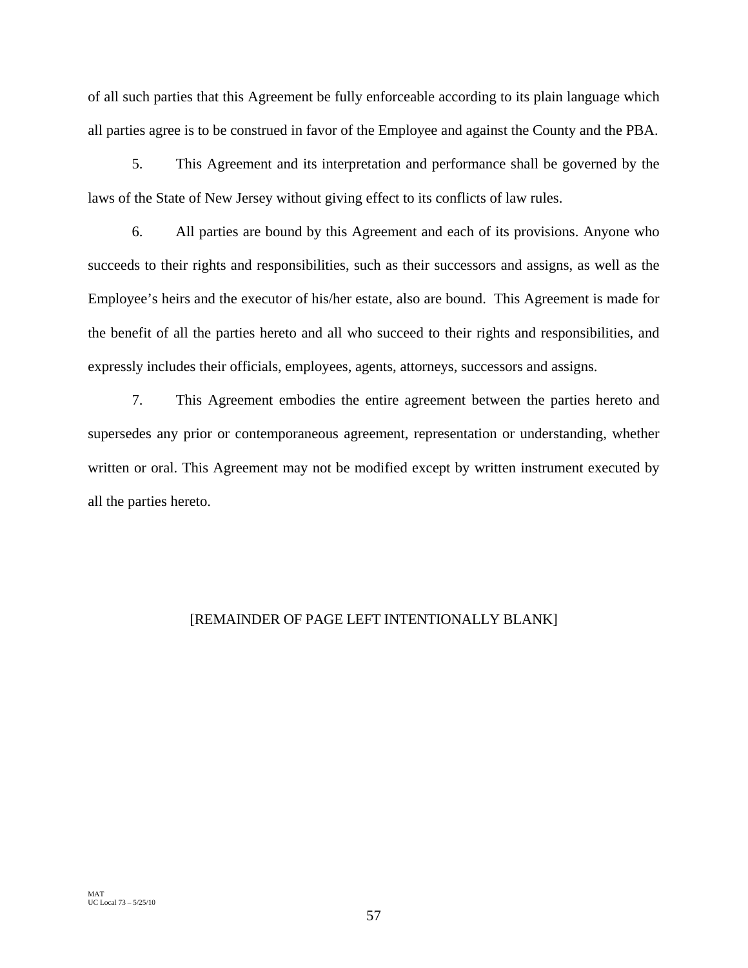of all such parties that this Agreement be fully enforceable according to its plain language which all parties agree is to be construed in favor of the Employee and against the County and the PBA.

 5. This Agreement and its interpretation and performance shall be governed by the laws of the State of New Jersey without giving effect to its conflicts of law rules.

 6. All parties are bound by this Agreement and each of its provisions. Anyone who succeeds to their rights and responsibilities, such as their successors and assigns, as well as the Employee's heirs and the executor of his/her estate, also are bound. This Agreement is made for the benefit of all the parties hereto and all who succeed to their rights and responsibilities, and expressly includes their officials, employees, agents, attorneys, successors and assigns.

 7. This Agreement embodies the entire agreement between the parties hereto and supersedes any prior or contemporaneous agreement, representation or understanding, whether written or oral. This Agreement may not be modified except by written instrument executed by all the parties hereto.

# [REMAINDER OF PAGE LEFT INTENTIONALLY BLANK]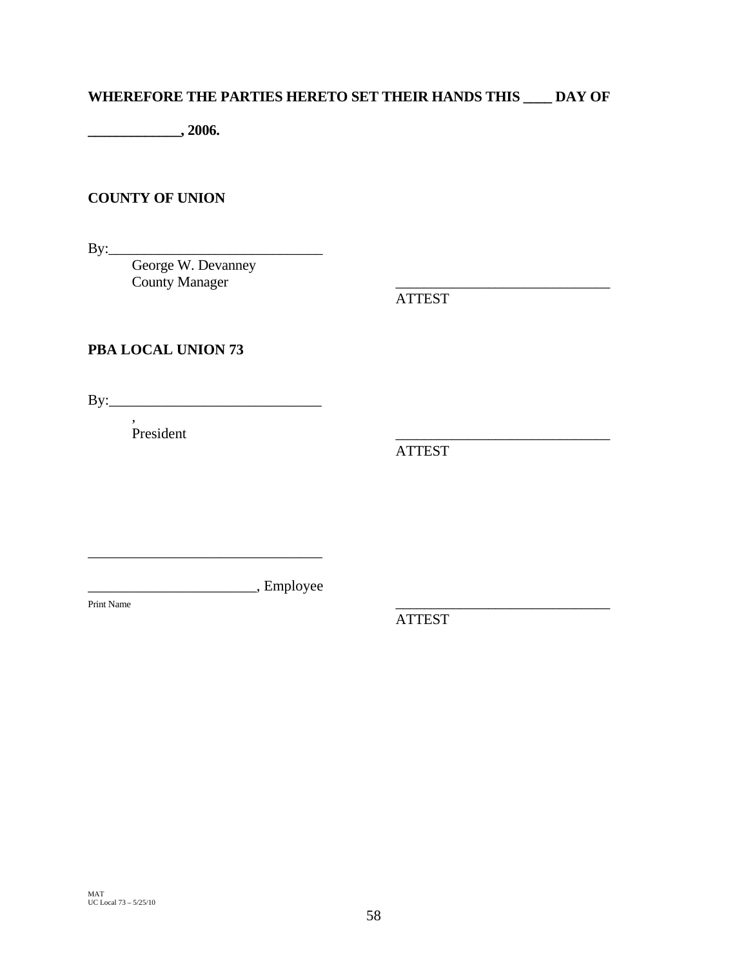# **WHEREFORE THE PARTIES HERETO SET THEIR HANDS THIS \_\_\_\_ DAY OF**

**\_\_\_\_\_\_\_\_\_\_\_\_\_, 2006.** 

# **COUNTY OF UNION**

By:\_\_\_\_\_\_\_\_\_\_\_\_\_\_\_\_\_\_\_\_\_\_\_\_\_\_\_\_\_\_

 George W. Devanney County Manager

ATTEST

# **PBA LOCAL UNION 73**

By:\_\_\_\_\_\_\_\_\_\_\_\_\_\_\_\_\_\_\_\_\_\_\_\_\_\_\_\_\_

 $P$  resident

,

ATTEST

\_\_\_\_\_\_\_\_\_\_\_\_\_\_\_\_\_\_\_\_\_\_\_, Employee

\_\_\_\_\_\_\_\_\_\_\_\_\_\_\_\_\_\_\_\_\_\_\_\_\_\_\_\_\_\_\_\_

Print Name

ATTEST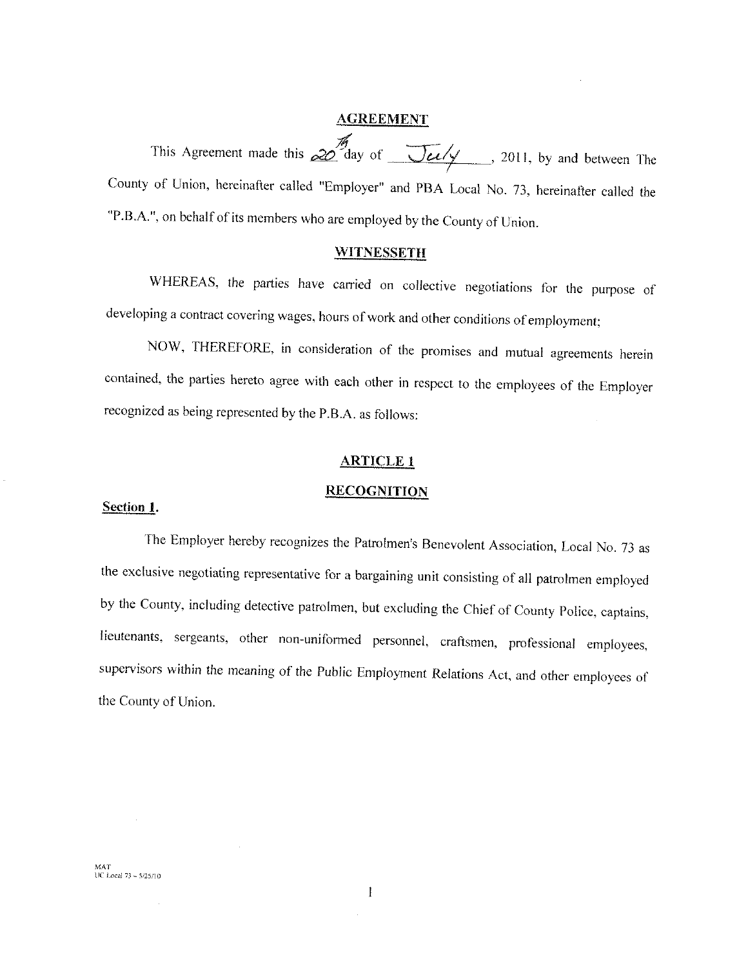#### **AGREEMENT**

This Agreement made this  $\frac{M}{20}$  day of  $\frac{M}{20}$  2011, by and between The County of Union, hereinafter called "Employer" and PBA Local No. 73, hereinafter called the "P.B.A.", on behalf of its members who are employed by the County of Union.

#### **WITNESSETH**

WHEREAS, the parties have carried on collective negotiations for the purpose of developing a contract covering wages, hours of work and other conditions of employment;

NOW, THEREFORE, in consideration of the promises and mutual agreements herein contained, the parties hereto agree with each other in respect to the employees of the Employer recognized as being represented by the P.B.A. as follows:

# **ARTICLE 1**

#### **RECOGNITION**

#### Section 1.

The Employer hereby recognizes the Patrolmen's Benevolent Association, Local No. 73 as the exclusive negotiating representative for a bargaining unit consisting of all patrolmen employed by the County, including detective patrolmen, but excluding the Chief of County Police, captains, lieutenants, sergeants, other non-uniformed personnel, craftsmen, professional employees, supervisors within the meaning of the Public Employment Relations Act, and other employees of the County of Union.